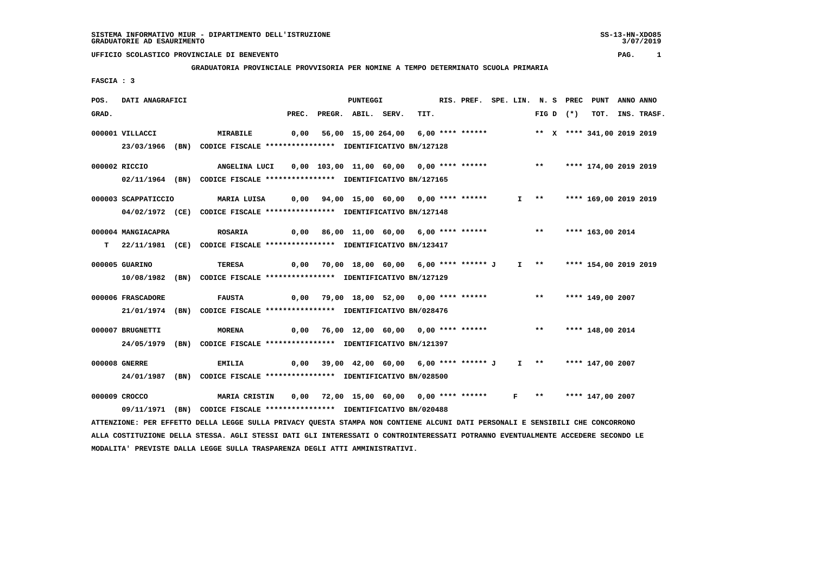### **GRADUATORIA PROVINCIALE PROVVISORIA PER NOMINE A TEMPO DETERMINATO SCUOLA PRIMARIA**

 **FASCIA : 3**

| POS.  | DATI ANAGRAFICI     |                                                                                       |       | <b>PUNTEGGI</b>                                                          |      | RIS. PREF. SPE. LIN. N. S PREC PUNT |  |                             |             |                            | ANNO ANNO |                  |
|-------|---------------------|---------------------------------------------------------------------------------------|-------|--------------------------------------------------------------------------|------|-------------------------------------|--|-----------------------------|-------------|----------------------------|-----------|------------------|
| GRAD. |                     |                                                                                       | PREC. | PREGR. ABIL. SERV.                                                       | TIT. |                                     |  |                             | FIG D $(*)$ |                            |           | TOT. INS. TRASF. |
|       | 000001 VILLACCI     | MIRABILE                                                                              |       | 0,00 56,00 15,00 264,00 6,00 **** ****** *** ** ** **** 341,00 2019 2019 |      |                                     |  |                             |             |                            |           |                  |
|       | 23/03/1966          | (BN) CODICE FISCALE **************** IDENTIFICATIVO BN/127128                         |       |                                                                          |      |                                     |  |                             |             |                            |           |                  |
|       | 000002 RICCIO       | ANGELINA LUCI 0,00 103,00 11,00 60,00 0,00 **** ******* *** *** **** 174,00 2019 2019 |       |                                                                          |      |                                     |  |                             |             |                            |           |                  |
|       |                     | 02/11/1964 (BN) CODICE FISCALE *************** IDENTIFICATIVO BN/127165               |       |                                                                          |      |                                     |  |                             |             |                            |           |                  |
|       | 000003 SCAPPATICCIO | MARIA LUISA          0,00     94,00    15,00    60,00     0,00    ****    ******      |       |                                                                          |      |                                     |  |                             |             | I ** **** 169,00 2019 2019 |           |                  |
|       |                     | 04/02/1972 (CE) CODICE FISCALE *************** IDENTIFICATIVO BN/127148               |       |                                                                          |      |                                     |  |                             |             |                            |           |                  |
|       | 000004 MANGIACAPRA  | <b>ROSARIA</b>                                                                        |       | 0,00 86,00 11,00 60,00 6,00 **** ******           **                     |      |                                     |  |                             |             | **** 163,00 2014           |           |                  |
|       |                     | T 22/11/1981 (CE) CODICE FISCALE *************** IDENTIFICATIVO BN/123417             |       |                                                                          |      |                                     |  |                             |             |                            |           |                  |
|       | 000005 GUARINO      | TERESA                                                                                |       | 0,00 70,00 18,00 60,00 6,00 **** ****** J 1 ** **** 154,00 2019 2019     |      |                                     |  |                             |             |                            |           |                  |
|       |                     | 10/08/1982 (BN) CODICE FISCALE *************** IDENTIFICATIVO BN/127129               |       |                                                                          |      |                                     |  |                             |             |                            |           |                  |
|       |                     |                                                                                       |       |                                                                          |      |                                     |  |                             |             |                            |           |                  |
|       | 000006 FRASCADORE   | <b>FAUSTA</b>                                                                         |       | 0,00 79,00 18,00 52,00 0,00 **** ******           **                     |      |                                     |  |                             |             | **** 149,00 2007           |           |                  |
|       |                     | 21/01/1974 (BN) CODICE FISCALE *************** IDENTIFICATIVO BN/028476               |       |                                                                          |      |                                     |  |                             |             |                            |           |                  |
|       | 000007 BRUGNETTI    | <b>MORENA</b>                                                                         |       | 0,00 76,00 12,00 60,00 0,00 **** ****** *** **                           |      |                                     |  |                             |             | **** 148,00 2014           |           |                  |
|       |                     | 24/05/1979 (BN) CODICE FISCALE *************** IDENTIFICATIVO BN/121397               |       |                                                                          |      |                                     |  |                             |             |                            |           |                  |
|       | 000008 GNERRE       | <b>EMILIA</b>                                                                         |       | $0.00$ 39.00 42.00 60.00 6.00 **** ****** J I **                         |      |                                     |  |                             |             | **** 147,00 2007           |           |                  |
|       | 24/01/1987          | (BN) CODICE FISCALE **************** IDENTIFICATIVO BN/028500                         |       |                                                                          |      |                                     |  |                             |             |                            |           |                  |
|       |                     |                                                                                       |       |                                                                          |      |                                     |  |                             |             |                            |           |                  |
|       | 000009 CROCCO       | MARIA CRISTIN                                                                         |       | 0,00 72,00 15,00 60,00 0,00 **** ******                                  |      |                                     |  | $F \rightarrow \star \star$ |             | **** 147,00 2007           |           |                  |
|       |                     | 09/11/1971 (BN) CODICE FISCALE *************** IDENTIFICATIVO BN/020488               |       |                                                                          |      |                                     |  |                             |             |                            |           |                  |

 **ATTENZIONE: PER EFFETTO DELLA LEGGE SULLA PRIVACY QUESTA STAMPA NON CONTIENE ALCUNI DATI PERSONALI E SENSIBILI CHE CONCORRONO ALLA COSTITUZIONE DELLA STESSA. AGLI STESSI DATI GLI INTERESSATI O CONTROINTERESSATI POTRANNO EVENTUALMENTE ACCEDERE SECONDO LE MODALITA' PREVISTE DALLA LEGGE SULLA TRASPARENZA DEGLI ATTI AMMINISTRATIVI.**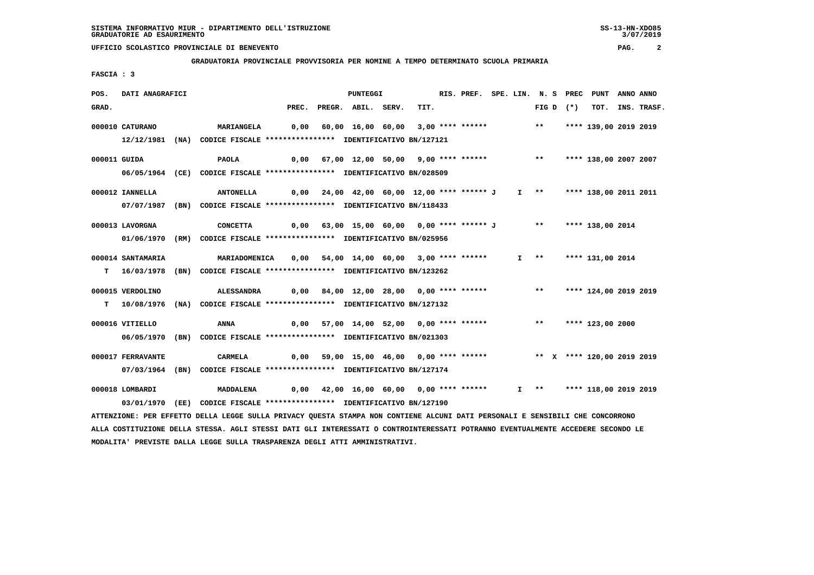**GRADUATORIA PROVINCIALE PROVVISORIA PER NOMINE A TEMPO DETERMINATO SCUOLA PRIMARIA**

 **FASCIA : 3**

| POS.         | DATI ANAGRAFICI   |                                                                                                                               |       | <b>PUNTEGGI</b>                                                                |      |  |  |             | RIS. PREF. SPE. LIN. N. S PREC PUNT ANNO ANNO |                  |
|--------------|-------------------|-------------------------------------------------------------------------------------------------------------------------------|-------|--------------------------------------------------------------------------------|------|--|--|-------------|-----------------------------------------------|------------------|
| GRAD.        |                   |                                                                                                                               | PREC. | PREGR. ABIL. SERV.                                                             | TIT. |  |  | FIG D $(*)$ |                                               | TOT. INS. TRASF. |
|              | 000010 CATURANO   | <b>MARIANGELA</b>                                                                                                             | 0,00  | 60,00 16,00 60,00 3,00 **** ****** *** **                                      |      |  |  |             | **** 139,00 2019 2019                         |                  |
|              |                   | 12/12/1981 (NA) CODICE FISCALE *************** IDENTIFICATIVO BN/127121                                                       |       |                                                                                |      |  |  |             |                                               |                  |
|              |                   |                                                                                                                               |       |                                                                                |      |  |  |             |                                               |                  |
| 000011 GUIDA |                   | PAOLA                                                                                                                         |       | 0,00 67,00 12,00 50,00 9,00 **** ******           **     **** 138,00 2007 2007 |      |  |  |             |                                               |                  |
|              |                   | 06/05/1964 (CE) CODICE FISCALE *************** IDENTIFICATIVO BN/028509                                                       |       |                                                                                |      |  |  |             |                                               |                  |
|              | 000012 IANNELLA   | <b>ANTONELLA</b>                                                                                                              |       | $0,00$ 24,00 42,00 60,00 12,00 **** ****** J I ** ***** 138,00 2011 2011       |      |  |  |             |                                               |                  |
|              |                   | 07/07/1987 (BN) CODICE FISCALE *************** IDENTIFICATIVO BN/118433                                                       |       |                                                                                |      |  |  |             |                                               |                  |
|              | 000013 LAVORGNA   | <b>CONCETTA</b>                                                                                                               |       | 0,00 63,00 15,00 60,00 0,00 **** ****** J ** **** 138,00 2014                  |      |  |  |             |                                               |                  |
|              |                   |                                                                                                                               |       |                                                                                |      |  |  |             |                                               |                  |
|              |                   | 01/06/1970 (RM) CODICE FISCALE *************** IDENTIFICATIVO BN/025956                                                       |       |                                                                                |      |  |  |             |                                               |                  |
|              | 000014 SANTAMARIA | <b>MARIADOMENICA</b>                                                                                                          | 0,00  | 54,00 14,00 60,00 3,00 **** ******                                             |      |  |  |             | I ** **** 131,00 2014                         |                  |
|              |                   | T 16/03/1978 (BN) CODICE FISCALE *************** IDENTIFICATIVO BN/123262                                                     |       |                                                                                |      |  |  |             |                                               |                  |
|              |                   |                                                                                                                               |       | 0,00 84,00 12,00 28,00 0,00 **** ****** *** *** **** 124,00 2019 2019          |      |  |  |             |                                               |                  |
|              | 000015 VERDOLINO  | ALESSANDRA                                                                                                                    |       |                                                                                |      |  |  |             |                                               |                  |
|              |                   | T  10/08/1976 (NA) CODICE FISCALE *************** IDENTIFICATIVO BN/127132                                                    |       |                                                                                |      |  |  |             |                                               |                  |
|              | 000016 VITIELLO   | <b>ANNA</b>                                                                                                                   |       | 0,00 57,00 14,00 52,00 0,00 **** ******                                        |      |  |  |             | ** **** 123,00 2000                           |                  |
|              |                   | 06/05/1970 (BN) CODICE FISCALE *************** IDENTIFICATIVO BN/021303                                                       |       |                                                                                |      |  |  |             |                                               |                  |
|              |                   |                                                                                                                               |       | 0,00 59,00 15,00 46,00 0,00 **** ****** *** ** ** **** 120,00 2019 2019        |      |  |  |             |                                               |                  |
|              | 000017 FERRAVANTE | <b>CARMELA</b>                                                                                                                |       |                                                                                |      |  |  |             |                                               |                  |
|              |                   | 07/03/1964 (BN) CODICE FISCALE *************** IDENTIFICATIVO BN/127174                                                       |       |                                                                                |      |  |  |             |                                               |                  |
|              | 000018 LOMBARDI   | <b>MADDALENA</b>                                                                                                              |       | 0,00 42,00 16,00 60,00 0,00 **** ****** I ** **** 118,00 2019 2019             |      |  |  |             |                                               |                  |
|              |                   | 03/01/1970 (EE) CODICE FISCALE *************** IDENTIFICATIVO BN/127190                                                       |       |                                                                                |      |  |  |             |                                               |                  |
|              |                   | ATTENZIONE: PER EFFETTO DELLA LEGGE SULLA PRIVACY QUESTA STAMPA NON CONTIENE ALCUNI DATI PERSONALI E SENSIBILI CHE CONCORRONO |       |                                                                                |      |  |  |             |                                               |                  |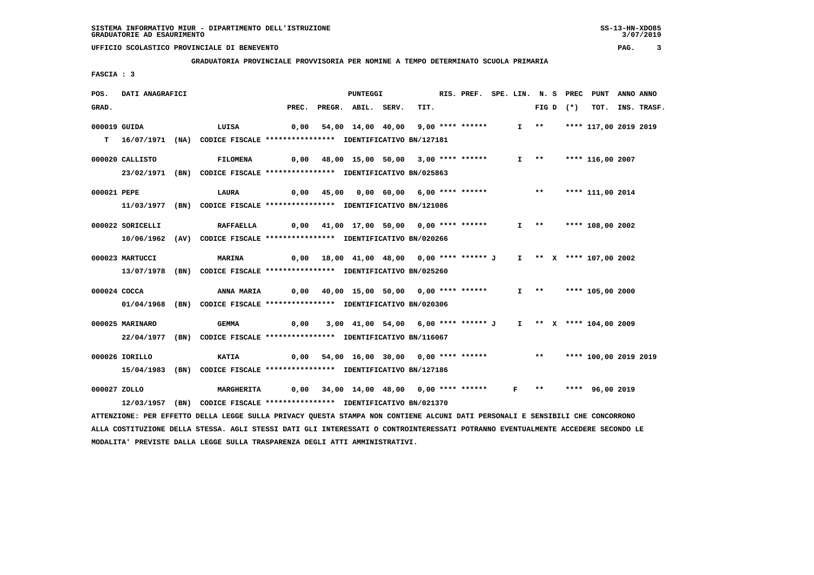#### **GRADUATORIA PROVINCIALE PROVVISORIA PER NOMINE A TEMPO DETERMINATO SCUOLA PRIMARIA**

 **FASCIA : 3**

| POS.         | DATI ANAGRAFICI  |                                                                                                                               |       | PUNTEGGI                                                     |      | RIS. PREF. SPE. LIN. N. S PREC |  |                       |             | PUNT                     | ANNO ANNO        |
|--------------|------------------|-------------------------------------------------------------------------------------------------------------------------------|-------|--------------------------------------------------------------|------|--------------------------------|--|-----------------------|-------------|--------------------------|------------------|
| GRAD.        |                  |                                                                                                                               | PREC. | PREGR. ABIL. SERV.                                           | TIT. |                                |  |                       | FIG D $(*)$ |                          | TOT. INS. TRASF. |
|              | 000019 GUIDA     | LUISA                                                                                                                         | 0,00  | 54,00 14,00 40,00 9,00 **** ******                           |      |                                |  | $I \rightarrow \star$ |             | **** 117,00 2019 2019    |                  |
| T.           |                  | 16/07/1971 (NA) CODICE FISCALE **************** IDENTIFICATIVO BN/127181                                                      |       |                                                              |      |                                |  |                       |             |                          |                  |
|              | 000020 CALLISTO  | <b>FILOMENA</b>                                                                                                               |       | 0,00 48,00 15,00 50,00 3,00 **** ******                      |      |                                |  |                       |             | $I$ ** **** 116,00 2007  |                  |
|              |                  | 23/02/1971 (BN) CODICE FISCALE *************** IDENTIFICATIVO BN/025863                                                       |       |                                                              |      |                                |  |                       |             |                          |                  |
| 000021 PEPE  |                  | LAURA                                                                                                                         |       | 0,00 45,00 0,00 60,00 6,00 **** ****** *** **                |      |                                |  |                       |             | **** 111,00 2014         |                  |
|              |                  | 11/03/1977 (BN) CODICE FISCALE *************** IDENTIFICATIVO BN/121086                                                       |       |                                                              |      |                                |  |                       |             |                          |                  |
|              | 000022 SORICELLI | <b>RAFFAELLA</b>                                                                                                              |       | 0,00 41,00 17,00 50,00 0,00 **** ******                      |      |                                |  |                       |             | I ** **** 108,00 2002    |                  |
|              |                  | 10/06/1962 (AV) CODICE FISCALE **************** IDENTIFICATIVO BN/020266                                                      |       |                                                              |      |                                |  |                       |             |                          |                  |
|              | 000023 MARTUCCI  | <b>MARINA</b>                                                                                                                 | 0,00  | 18,00 41,00 48,00 0,00 **** ****** J I ** X **** 107,00 2002 |      |                                |  |                       |             |                          |                  |
|              |                  | 13/07/1978 (BN) CODICE FISCALE *************** IDENTIFICATIVO BN/025260                                                       |       |                                                              |      |                                |  |                       |             |                          |                  |
|              | 000024 COCCA     | <b>ANNA MARIA</b>                                                                                                             |       | 0,00 40,00 15,00 50,00 0,00 **** ******                      |      |                                |  |                       |             | I ** **** 105,00 2000    |                  |
|              |                  | 01/04/1968 (BN) CODICE FISCALE *************** IDENTIFICATIVO BN/020306                                                       |       |                                                              |      |                                |  |                       |             |                          |                  |
|              | 000025 MARINARO  | <b>GEMMA</b>                                                                                                                  | 0,00  | 3,00 41,00 54,00 6,00 **** ****** J                          |      |                                |  |                       |             | I ** X **** 104,00 2009  |                  |
|              |                  | 22/04/1977 (BN) CODICE FISCALE *************** IDENTIFICATIVO BN/116067                                                       |       |                                                              |      |                                |  |                       |             |                          |                  |
|              | 000026 IORILLO   | <b>KATIA</b>                                                                                                                  | 0,00  | 54,00 16,00 30,00 0,00 **** ******                           |      |                                |  |                       |             | ** **** 100,00 2019 2019 |                  |
|              |                  | 15/04/1983 (BN) CODICE FISCALE *************** IDENTIFICATIVO BN/127186                                                       |       |                                                              |      |                                |  |                       |             |                          |                  |
| 000027 ZOLLO |                  | MARGHERITA                                                                                                                    | 0,00  | 34,00 14,00 48,00 0,00 **** ****** F **                      |      |                                |  |                       |             | **** 96,00 2019          |                  |
|              |                  | 12/03/1957 (BN) CODICE FISCALE *************** IDENTIFICATIVO BN/021370                                                       |       |                                                              |      |                                |  |                       |             |                          |                  |
|              |                  | ATTENZIONE: PER EFFETTO DELLA LEGGE SULLA PRIVACY QUESTA STAMPA NON CONTIENE ALCUNI DATI PERSONALI E SENSIBILI CHE CONCORRONO |       |                                                              |      |                                |  |                       |             |                          |                  |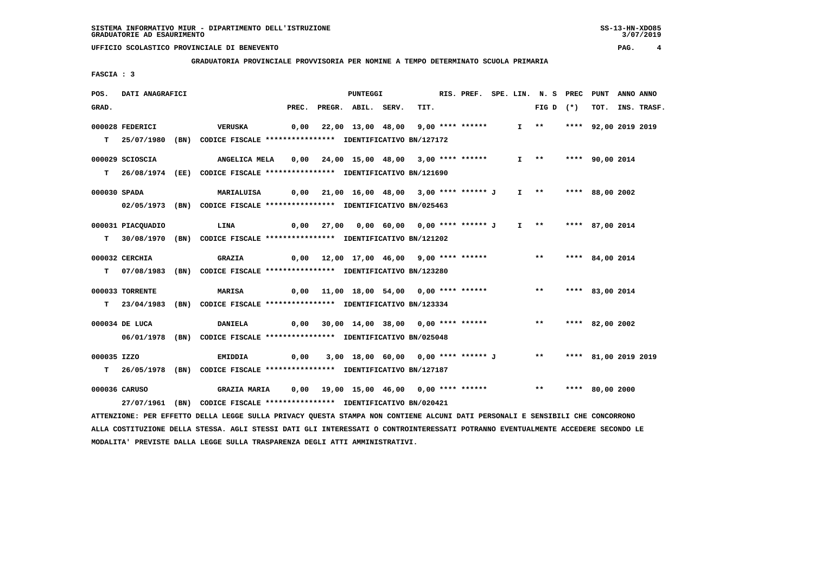**GRADUATORIA PROVINCIALE PROVVISORIA PER NOMINE A TEMPO DETERMINATO SCUOLA PRIMARIA**

 **FASCIA : 3**

| POS.        | DATI ANAGRAFICI   |                                                                                                                                 |      | PUNTEGGI                                                           |      |  |  | RIS. PREF. SPE. LIN. N. S PREC PUNT |                 | ANNO ANNO |                  |
|-------------|-------------------|---------------------------------------------------------------------------------------------------------------------------------|------|--------------------------------------------------------------------|------|--|--|-------------------------------------|-----------------|-----------|------------------|
| GRAD.       |                   |                                                                                                                                 |      | PREC. PREGR. ABIL. SERV.                                           | TIT. |  |  | FIG D $(*)$                         |                 |           | TOT. INS. TRASF. |
|             | 000028 FEDERICI   | VERUSKA                                                                                                                         |      | 0,00 22,00 13,00 48,00 9,00 **** ******                            |      |  |  | I ** **** 92,00 2019 2019           |                 |           |                  |
|             |                   | T 25/07/1980 (BN) CODICE FISCALE **************** IDENTIFICATIVO BN/127172                                                      |      |                                                                    |      |  |  |                                     |                 |           |                  |
|             |                   |                                                                                                                                 |      |                                                                    |      |  |  |                                     |                 |           |                  |
|             | 000029 SCIOSCIA   | ANGELICA MELA                                                                                                                   |      | 0,00 24,00 15,00 48,00 3,00 **** ******                            |      |  |  | $I \quad * \quad$                   | **** 90,00 2014 |           |                  |
|             |                   | T 26/08/1974 (EE) CODICE FISCALE **************** IDENTIFICATIVO BN/121690                                                      |      |                                                                    |      |  |  |                                     |                 |           |                  |
|             | 000030 SPADA      | MARIALUISA                                                                                                                      |      | 0,00 21,00 16,00 48,00 3,00 **** ****** J                          |      |  |  | I ** **** 88,00 2002                |                 |           |                  |
|             |                   | 02/05/1973 (BN) CODICE FISCALE *************** IDENTIFICATIVO BN/025463                                                         |      |                                                                    |      |  |  |                                     |                 |           |                  |
|             |                   |                                                                                                                                 |      |                                                                    |      |  |  |                                     |                 |           |                  |
|             | 000031 PIACQUADIO | <b>LINA</b>                                                                                                                     | 0,00 | 27,00  0,00  60,00  0,00  ****  ****** J  I  **  ****  87,00  2014 |      |  |  |                                     |                 |           |                  |
|             |                   | T 30/08/1970 (BN) CODICE FISCALE *************** IDENTIFICATIVO BN/121202                                                       |      |                                                                    |      |  |  |                                     |                 |           |                  |
|             | 000032 CERCHIA    | <b>GRAZIA</b>                                                                                                                   |      | 0,00 12,00 17,00 46,00 9,00 **** ******           **               |      |  |  |                                     | **** 84,00 2014 |           |                  |
|             |                   | T 07/08/1983 (BN) CODICE FISCALE **************** IDENTIFICATIVO BN/123280                                                      |      |                                                                    |      |  |  |                                     |                 |           |                  |
|             |                   |                                                                                                                                 |      |                                                                    |      |  |  |                                     |                 |           |                  |
|             | 000033 TORRENTE   | <b>MARISA</b>                                                                                                                   |      |                                                                    |      |  |  | ** **** 83,00 2014                  |                 |           |                  |
|             |                   | T 23/04/1983 (BN) CODICE FISCALE *************** IDENTIFICATIVO BN/123334                                                       |      |                                                                    |      |  |  |                                     |                 |           |                  |
|             |                   |                                                                                                                                 |      |                                                                    |      |  |  |                                     |                 |           |                  |
|             | 000034 DE LUCA    | <b>DANIELA</b>                                                                                                                  |      | $0,00$ 30,00 14,00 38,00 0,00 **** ******                          |      |  |  | ** **** 82,00 2002                  |                 |           |                  |
|             |                   | 06/01/1978 (BN) CODICE FISCALE **************** IDENTIFICATIVO BN/025048                                                        |      |                                                                    |      |  |  |                                     |                 |           |                  |
| 000035 IZZO |                   | <b>EMIDDIA</b>                                                                                                                  |      | 0,00 3,00 18,00 60,00 0,00 **** ****** J ** **** 81,00 2019 2019   |      |  |  |                                     |                 |           |                  |
|             |                   | T 26/05/1978 (BN) CODICE FISCALE **************** IDENTIFICATIVO BN/127187                                                      |      |                                                                    |      |  |  |                                     |                 |           |                  |
|             |                   |                                                                                                                                 |      |                                                                    |      |  |  |                                     |                 |           |                  |
|             | 000036 CARUSO     |                                                                                                                                 |      |                                                                    |      |  |  |                                     |                 |           |                  |
|             |                   | 27/07/1961 (BN) CODICE FISCALE *************** IDENTIFICATIVO BN/020421                                                         |      |                                                                    |      |  |  |                                     |                 |           |                  |
|             |                   | ATTENZIONE: PER EFFETTO DELLA LEGGE SULLA PRIVACY QUESTA STAMPA NON CONTIENE ALCUNI DATI PERSONALI E SENSIBILI CHE CONCORRONO   |      |                                                                    |      |  |  |                                     |                 |           |                  |
|             |                   | ALLA COSTITUZIONE DELLA STESSA. AGLI STESSI DATI GLI INTERESSATI O CONTROINTERESSATI POTRANNO EVENTUALMENTE ACCEDERE SECONDO LE |      |                                                                    |      |  |  |                                     |                 |           |                  |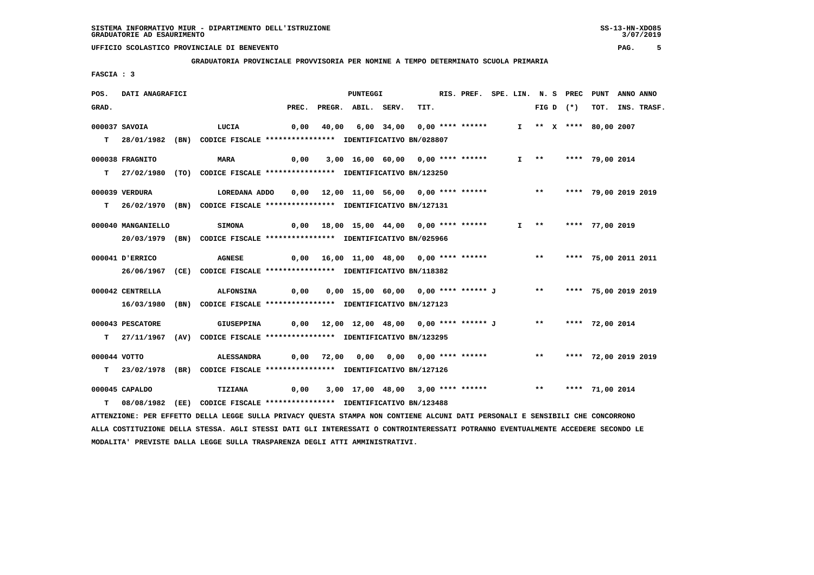**GRADUATORIA PROVINCIALE PROVVISORIA PER NOMINE A TEMPO DETERMINATO SCUOLA PRIMARIA**

 **FASCIA : 3**

| POS.  | DATI ANAGRAFICI    |                                                                                                                                 |      |            | <b>PUNTEGGI</b>                                                      |      | RIS. PREF. SPE. LIN. N. S PREC PUNT ANNO ANNO |  |                         |             |                        |                  |
|-------|--------------------|---------------------------------------------------------------------------------------------------------------------------------|------|------------|----------------------------------------------------------------------|------|-----------------------------------------------|--|-------------------------|-------------|------------------------|------------------|
| GRAD. |                    |                                                                                                                                 |      |            | PREC. PREGR. ABIL. SERV.                                             | TIT. |                                               |  |                         | $FIG D (*)$ |                        | TOT. INS. TRASF. |
|       | 000037 SAVOIA      | LUCIA                                                                                                                           |      | 0,00 40,00 | 6,00 34,00 0,00 **** ******                                          |      |                                               |  |                         |             | I ** X **** 80,00 2007 |                  |
|       |                    |                                                                                                                                 |      |            |                                                                      |      |                                               |  |                         |             |                        |                  |
|       |                    | T 28/01/1982 (BN) CODICE FISCALE *************** IDENTIFICATIVO BN/028807                                                       |      |            |                                                                      |      |                                               |  |                         |             |                        |                  |
|       | 000038 FRAGNITO    | <b>MARA</b>                                                                                                                     | 0,00 |            | 3,00 16,00 60,00 0,00 **** ******                                    |      |                                               |  | $I \rightarrow \star$   |             | **** 79,00 2014        |                  |
|       |                    | T 27/02/1980 (TO) CODICE FISCALE *************** IDENTIFICATIVO BN/123250                                                       |      |            |                                                                      |      |                                               |  |                         |             |                        |                  |
|       |                    |                                                                                                                                 |      |            |                                                                      |      |                                               |  |                         |             |                        |                  |
|       | 000039 VERDURA     | LOREDANA ADDO 0,00 12,00 11,00 56,00 0,00 **** ****** **** ***** **** 79,00 2019 2019                                           |      |            |                                                                      |      |                                               |  |                         |             |                        |                  |
|       |                    | T 26/02/1970 (BN) CODICE FISCALE *************** IDENTIFICATIVO BN/127131                                                       |      |            |                                                                      |      |                                               |  |                         |             |                        |                  |
|       | 000040 MANGANIELLO | SIMONA                                                                                                                          |      |            |                                                                      |      |                                               |  | $I \longrightarrow$ $*$ |             | **** 77,00 2019        |                  |
|       |                    | 20/03/1979 (BN) CODICE FISCALE *************** IDENTIFICATIVO BN/025966                                                         |      |            |                                                                      |      |                                               |  |                         |             |                        |                  |
|       |                    |                                                                                                                                 |      |            |                                                                      |      |                                               |  |                         |             |                        |                  |
|       | 000041 D'ERRICO    | <b>AGNESE</b>                                                                                                                   |      |            | 0,00 16,00 11,00 48,00 0,00 **** ****** *** *** **** 75,00 2011 2011 |      |                                               |  |                         |             |                        |                  |
|       |                    | 26/06/1967 (CE) CODICE FISCALE *************** IDENTIFICATIVO BN/118382                                                         |      |            |                                                                      |      |                                               |  |                         |             |                        |                  |
|       |                    |                                                                                                                                 |      |            |                                                                      |      |                                               |  |                         |             |                        |                  |
|       | 000042 CENTRELLA   | <b>ALFONSINA</b>                                                                                                                | 0,00 |            | 0,00 15,00 60,00 0,00 **** ****** J ** **** 75,00 2019 2019          |      |                                               |  |                         |             |                        |                  |
|       |                    | 16/03/1980 (BN) CODICE FISCALE *************** IDENTIFICATIVO BN/127123                                                         |      |            |                                                                      |      |                                               |  |                         |             |                        |                  |
|       | 000043 PESCATORE   | GIUSEPPINA                                                                                                                      |      |            | 0,00 12,00 12,00 48,00 0,00 **** ****** J ** ***** 72,00 2014        |      |                                               |  |                         |             |                        |                  |
|       |                    | T 27/11/1967 (AV) CODICE FISCALE **************** IDENTIFICATIVO BN/123295                                                      |      |            |                                                                      |      |                                               |  |                         |             |                        |                  |
|       |                    |                                                                                                                                 |      |            |                                                                      |      |                                               |  |                         |             |                        |                  |
|       | 000044 VOTTO       | ALESSANDRA                                                                                                                      |      |            | 0,00 72,00 0,00 0,00 0,00 **** ******     **  **** 72,00 2019 2019   |      |                                               |  |                         |             |                        |                  |
|       |                    | T 23/02/1978 (BR) CODICE FISCALE **************** IDENTIFICATIVO BN/127126                                                      |      |            |                                                                      |      |                                               |  |                         |             |                        |                  |
|       | 000045 CAPALDO     | <b>TIZIANA</b>                                                                                                                  |      |            | 0,00 3,00 17,00 48,00 3,00 **** ****** **** **** **** 71,00 2014     |      |                                               |  |                         |             |                        |                  |
| T.    |                    | 08/08/1982 (EE) CODICE FISCALE *************** IDENTIFICATIVO BN/123488                                                         |      |            |                                                                      |      |                                               |  |                         |             |                        |                  |
|       |                    | ATTENZIONE: PER EFFETTO DELLA LEGGE SULLA PRIVACY QUESTA STAMPA NON CONTIENE ALCUNI DATI PERSONALI E SENSIBILI CHE CONCORRONO   |      |            |                                                                      |      |                                               |  |                         |             |                        |                  |
|       |                    | ALLA COSTITUZIONE DELLA STESSA. AGLI STESSI DATI GLI INTERESSATI O CONTROINTERESSATI POTRANNO EVENTUALMENTE ACCEDERE SECONDO LE |      |            |                                                                      |      |                                               |  |                         |             |                        |                  |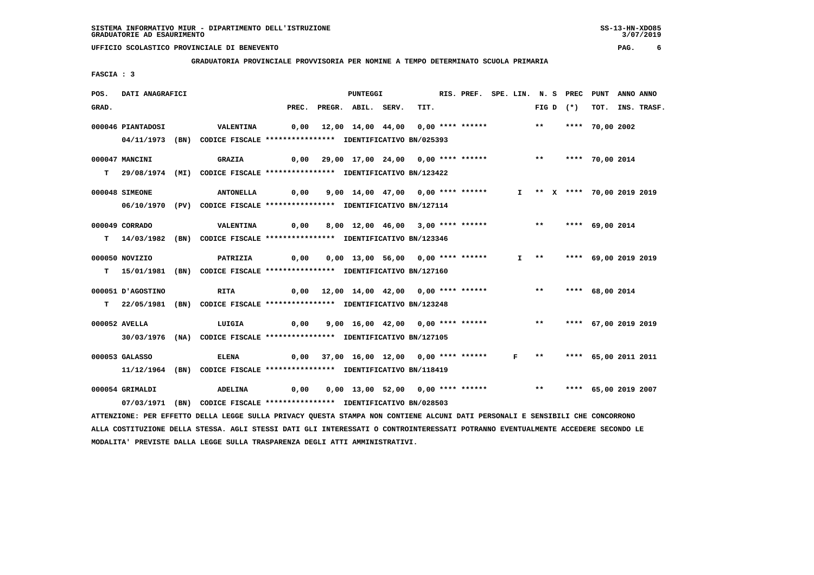**GRADUATORIA PROVINCIALE PROVVISORIA PER NOMINE A TEMPO DETERMINATO SCUOLA PRIMARIA**

 **FASCIA : 3**

| TOT. INS. TRASF.                                                                                                                                                                                                                                                                                     |
|------------------------------------------------------------------------------------------------------------------------------------------------------------------------------------------------------------------------------------------------------------------------------------------------------|
|                                                                                                                                                                                                                                                                                                      |
|                                                                                                                                                                                                                                                                                                      |
|                                                                                                                                                                                                                                                                                                      |
|                                                                                                                                                                                                                                                                                                      |
|                                                                                                                                                                                                                                                                                                      |
|                                                                                                                                                                                                                                                                                                      |
|                                                                                                                                                                                                                                                                                                      |
| I ** X **** 70,00 2019 2019                                                                                                                                                                                                                                                                          |
|                                                                                                                                                                                                                                                                                                      |
|                                                                                                                                                                                                                                                                                                      |
|                                                                                                                                                                                                                                                                                                      |
|                                                                                                                                                                                                                                                                                                      |
| I ** **** 69,00 2019 2019                                                                                                                                                                                                                                                                            |
|                                                                                                                                                                                                                                                                                                      |
|                                                                                                                                                                                                                                                                                                      |
|                                                                                                                                                                                                                                                                                                      |
|                                                                                                                                                                                                                                                                                                      |
| 9,00 16,00 42,00 0,00 **** ****** *** *** **** 67,00 2019 2019                                                                                                                                                                                                                                       |
|                                                                                                                                                                                                                                                                                                      |
|                                                                                                                                                                                                                                                                                                      |
| 0,00 37,00 16,00 12,00 0,00 **** ****** F ** **** 65,00 2011 2011                                                                                                                                                                                                                                    |
|                                                                                                                                                                                                                                                                                                      |
| 0,00 13,00 52,00 0,00 **** ****** *** *** **** 65,00 2019 2007                                                                                                                                                                                                                                       |
|                                                                                                                                                                                                                                                                                                      |
|                                                                                                                                                                                                                                                                                                      |
| ALLA COSTITUZIONE DELLA STESSA. AGLI STESSI DATI GLI INTERESSATI O CONTROINTERESSATI POTRANNO EVENTUALMENTE ACCEDERE SECONDO LE                                                                                                                                                                      |
| **** 70,00 2002<br>0,00 29,00 17,00 24,00 0,00 **** ****** *** *** **** 70,00 2014<br>**** 69,00 2014<br>12,00 14,00 42,00 0,00 **** ****** *** *** **** 68,00 2014<br>ATTENZIONE: PER EFFETTO DELLA LEGGE SULLA PRIVACY QUESTA STAMPA NON CONTIENE ALCUNI DATI PERSONALI E SENSIBILI CHE CONCORRONO |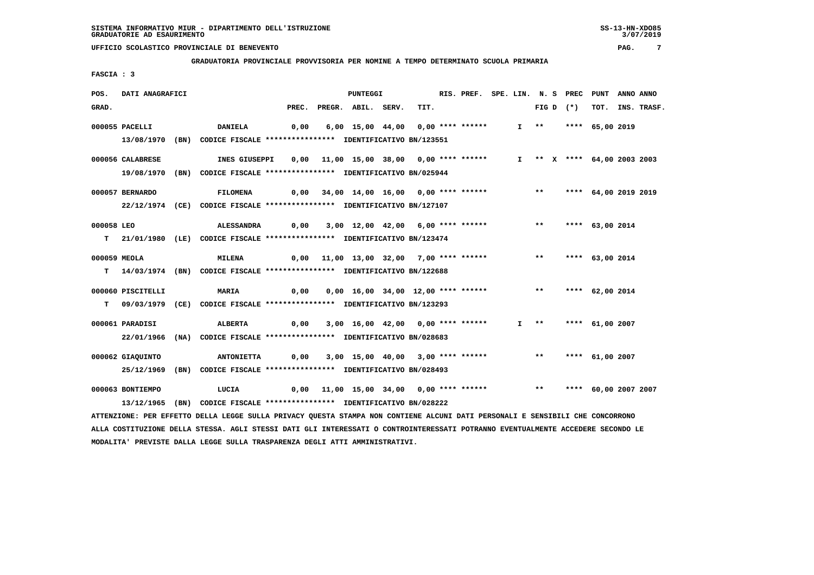**GRADUATORIA PROVINCIALE PROVVISORIA PER NOMINE A TEMPO DETERMINATO SCUOLA PRIMARIA**

 **FASCIA : 3**

| POS.       | DATI ANAGRAFICI   |                                                                                                                                 |       | <b>PUNTEGGI</b>                                                      |      | RIS. PREF. SPE. LIN. N. S PREC PUNT |  |                       |                             |                 | ANNO ANNO |                  |
|------------|-------------------|---------------------------------------------------------------------------------------------------------------------------------|-------|----------------------------------------------------------------------|------|-------------------------------------|--|-----------------------|-----------------------------|-----------------|-----------|------------------|
| GRAD.      |                   |                                                                                                                                 | PREC. | PREGR. ABIL. SERV.                                                   | TIT. |                                     |  |                       | FIG D $(*)$                 |                 |           | TOT. INS. TRASF. |
|            | 000055 PACELLI    | <b>DANIELA</b>                                                                                                                  | 0,00  | 6,00 15,00 44,00 0,00 **** ******                                    |      |                                     |  |                       | I ** **** 65,00 2019        |                 |           |                  |
|            |                   | 13/08/1970 (BN) CODICE FISCALE *************** IDENTIFICATIVO BN/123551                                                         |       |                                                                      |      |                                     |  |                       |                             |                 |           |                  |
|            |                   |                                                                                                                                 |       |                                                                      |      |                                     |  |                       |                             |                 |           |                  |
|            | 000056 CALABRESE  | INES GIUSEPPI                                                                                                                   |       | 0,00 11,00 15,00 38,00 0,00 **** ******                              |      |                                     |  |                       | I ** X **** 64,00 2003 2003 |                 |           |                  |
|            |                   | 19/08/1970 (BN) CODICE FISCALE *************** IDENTIFICATIVO BN/025944                                                         |       |                                                                      |      |                                     |  |                       |                             |                 |           |                  |
|            |                   |                                                                                                                                 |       |                                                                      |      |                                     |  |                       |                             |                 |           |                  |
|            | 000057 BERNARDO   | <b>FILOMENA</b>                                                                                                                 |       | 0,00 34,00 14,00 16,00 0,00 **** ******                              |      |                                     |  |                       | ** **** 64,00 2019 2019     |                 |           |                  |
|            |                   | 22/12/1974 (CE) CODICE FISCALE *************** IDENTIFICATIVO BN/127107                                                         |       |                                                                      |      |                                     |  |                       |                             |                 |           |                  |
| 000058 LEO |                   | <b>ALESSANDRA</b>                                                                                                               | 0,00  | 3,00 12,00 42,00 6,00 **** ******                                    |      |                                     |  | $***$                 |                             | **** 63,00 2014 |           |                  |
|            |                   | T 21/01/1980 (LE) CODICE FISCALE **************** IDENTIFICATIVO BN/123474                                                      |       |                                                                      |      |                                     |  |                       |                             |                 |           |                  |
|            |                   |                                                                                                                                 |       |                                                                      |      |                                     |  |                       |                             |                 |           |                  |
|            | 000059 MEOLA      | <b>MILENA</b>                                                                                                                   |       | 0,00 11,00 13,00 32,00 7,00 **** ******                              |      |                                     |  | $***$                 |                             | **** 63,00 2014 |           |                  |
|            |                   | T 14/03/1974 (BN) CODICE FISCALE **************** IDENTIFICATIVO BN/122688                                                      |       |                                                                      |      |                                     |  |                       |                             |                 |           |                  |
|            |                   |                                                                                                                                 |       |                                                                      |      |                                     |  |                       |                             |                 |           |                  |
|            | 000060 PISCITELLI | <b>MARIA</b><br>$\sim$ 0,00                                                                                                     |       | 0,00 16,00 34,00 12,00 **** ****** *** *** **** 62,00 2014           |      |                                     |  |                       |                             |                 |           |                  |
|            |                   | T 09/03/1979 (CE) CODICE FISCALE **************** IDENTIFICATIVO BN/123293                                                      |       |                                                                      |      |                                     |  |                       |                             |                 |           |                  |
|            |                   |                                                                                                                                 |       |                                                                      |      |                                     |  |                       |                             |                 |           |                  |
|            | 000061 PARADISI   | ALBERTA                                                                                                                         | 0,00  | 3,00 16,00 42,00 0,00 **** ******                                    |      |                                     |  | $I \rightarrow \star$ |                             | **** 61,00 2007 |           |                  |
|            |                   | 22/01/1966 (NA) CODICE FISCALE *************** IDENTIFICATIVO BN/028683                                                         |       |                                                                      |      |                                     |  |                       |                             |                 |           |                  |
|            | 000062 GIAOUINTO  | <b>ANTONIETTA</b>                                                                                                               |       | $0,00$ $3,00$ $15,00$ $40,00$ $3,00$ $***$ **** ******               |      |                                     |  |                       | ** **** 61,00 2007          |                 |           |                  |
|            |                   | 25/12/1969 (BN) CODICE FISCALE *************** IDENTIFICATIVO BN/028493                                                         |       |                                                                      |      |                                     |  |                       |                             |                 |           |                  |
|            |                   |                                                                                                                                 |       |                                                                      |      |                                     |  |                       |                             |                 |           |                  |
|            | 000063 BONTIEMPO  | LUCIA                                                                                                                           |       | 0,00 11,00 15,00 34,00 0,00 **** ****** *** *** **** 60,00 2007 2007 |      |                                     |  |                       |                             |                 |           |                  |
|            |                   | 13/12/1965 (BN) CODICE FISCALE *************** IDENTIFICATIVO BN/028222                                                         |       |                                                                      |      |                                     |  |                       |                             |                 |           |                  |
|            |                   | ATTENZIONE: PER EFFETTO DELLA LEGGE SULLA PRIVACY QUESTA STAMPA NON CONTIENE ALCUNI DATI PERSONALI E SENSIBILI CHE CONCORRONO   |       |                                                                      |      |                                     |  |                       |                             |                 |           |                  |
|            |                   | ALLA COSTITUZIONE DELLA STESSA. AGLI STESSI DATI GLI INTERESSATI O CONTROINTERESSATI POTRANNO EVENTUALMENTE ACCEDERE SECONDO LE |       |                                                                      |      |                                     |  |                       |                             |                 |           |                  |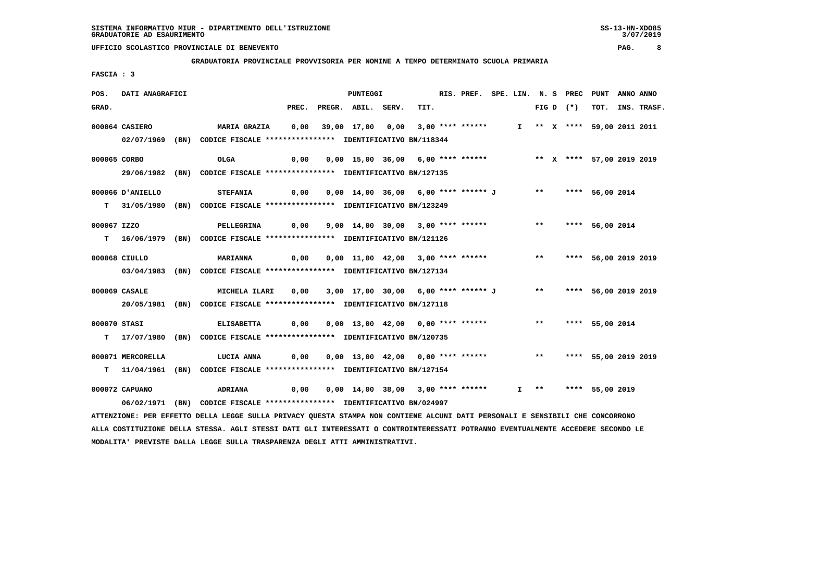**GRADUATORIA PROVINCIALE PROVVISORIA PER NOMINE A TEMPO DETERMINATO SCUOLA PRIMARIA**

 **FASCIA : 3**

| POS.         | DATI ANAGRAFICI   |                                                                                                                               |       |                                                                  | PUNTEGGI                                                       |      | RIS. PREF. SPE. LIN. N. S PREC PUNT |  |  |             |                             | ANNO ANNO |                  |
|--------------|-------------------|-------------------------------------------------------------------------------------------------------------------------------|-------|------------------------------------------------------------------|----------------------------------------------------------------|------|-------------------------------------|--|--|-------------|-----------------------------|-----------|------------------|
| GRAD.        |                   |                                                                                                                               | PREC. |                                                                  | PREGR. ABIL. SERV.                                             | TIT. |                                     |  |  | FIG D $(*)$ |                             |           | TOT. INS. TRASF. |
|              | 000064 CASIERO    | MARIA GRAZIA      0,00    39,00   17,00    0,00    3,00  ****  ******                                                         |       |                                                                  |                                                                |      |                                     |  |  |             | I ** X **** 59,00 2011 2011 |           |                  |
|              |                   | 02/07/1969 (BN) CODICE FISCALE *************** IDENTIFICATIVO BN/118344                                                       |       |                                                                  |                                                                |      |                                     |  |  |             |                             |           |                  |
|              |                   |                                                                                                                               |       |                                                                  |                                                                |      |                                     |  |  |             |                             |           |                  |
|              | 000065 CORBO      | OLGA                                                                                                                          | 0,00  |                                                                  | 0,00 15,00 36,00 6,00 **** ****** * *** * **** 57,00 2019 2019 |      |                                     |  |  |             |                             |           |                  |
|              |                   | 29/06/1982 (BN) CODICE FISCALE *************** IDENTIFICATIVO BN/127135                                                       |       |                                                                  |                                                                |      |                                     |  |  |             |                             |           |                  |
|              | 000066 D'ANIELLO  | <b>STEFANIA</b>                                                                                                               | 0,00  |                                                                  | 0,00 14,00 36,00 6,00 **** ****** J ** **** 56,00 2014         |      |                                     |  |  |             |                             |           |                  |
|              |                   | T 31/05/1980 (BN) CODICE FISCALE *************** IDENTIFICATIVO BN/123249                                                     |       |                                                                  |                                                                |      |                                     |  |  |             |                             |           |                  |
| 000067 IZZO  |                   | PELLEGRINA                                                                                                                    |       | 0,00 9,00 14,00 30,00 3,00 **** ****** *** **** 56,00 2014       |                                                                |      |                                     |  |  |             |                             |           |                  |
|              |                   |                                                                                                                               |       |                                                                  |                                                                |      |                                     |  |  |             |                             |           |                  |
|              |                   | T 16/06/1979 (BN) CODICE FISCALE **************** IDENTIFICATIVO BN/121126                                                    |       |                                                                  |                                                                |      |                                     |  |  |             |                             |           |                  |
|              | 000068 CIULLO     | <b>MARIANNA</b>                                                                                                               |       |                                                                  |                                                                |      |                                     |  |  |             |                             |           |                  |
|              |                   | 03/04/1983 (BN) CODICE FISCALE **************** IDENTIFICATIVO BN/127134                                                      |       |                                                                  |                                                                |      |                                     |  |  |             |                             |           |                  |
|              |                   |                                                                                                                               |       |                                                                  |                                                                |      |                                     |  |  |             |                             |           |                  |
|              | 000069 CASALE     | MICHELA ILARI                                                                                                                 |       | 0,00 3,00 17,00 30,00 6,00 **** ****** J ** **** 56,00 2019 2019 |                                                                |      |                                     |  |  |             |                             |           |                  |
|              |                   | 20/05/1981 (BN) CODICE FISCALE **************** IDENTIFICATIVO BN/127118                                                      |       |                                                                  |                                                                |      |                                     |  |  |             |                             |           |                  |
| 000070 STASI |                   | <b>ELISABETTA</b>                                                                                                             | 0,00  |                                                                  | 0,00 13,00 42,00 0,00 **** ****** *** *** **** 55,00 2014      |      |                                     |  |  |             |                             |           |                  |
|              |                   | T 17/07/1980 (BN) CODICE FISCALE *************** IDENTIFICATIVO BN/120735                                                     |       |                                                                  |                                                                |      |                                     |  |  |             |                             |           |                  |
|              |                   |                                                                                                                               |       |                                                                  |                                                                |      |                                     |  |  |             |                             |           |                  |
|              | 000071 MERCORELLA | <b>LUCIA ANNA</b>                                                                                                             |       | 0,00 0,00 13,00 42,00 0,00 **** ****** *** **** 55,00 2019 2019  |                                                                |      |                                     |  |  |             |                             |           |                  |
|              |                   | T 11/04/1961 (BN) CODICE FISCALE *************** IDENTIFICATIVO BN/127154                                                     |       |                                                                  |                                                                |      |                                     |  |  |             |                             |           |                  |
|              | 000072 CAPUANO    | <b>ADRIANA</b>                                                                                                                | 0,00  | 0,00 14,00 38,00 3,00 **** ******                                |                                                                |      |                                     |  |  |             | I ** **** 55,00 2019        |           |                  |
|              |                   | 06/02/1971 (BN) CODICE FISCALE *************** IDENTIFICATIVO BN/024997                                                       |       |                                                                  |                                                                |      |                                     |  |  |             |                             |           |                  |
|              |                   | ATTENZIONE: PER EFFETTO DELLA LEGGE SULLA PRIVACY QUESTA STAMPA NON CONTIENE ALCUNI DATI PERSONALI E SENSIBILI CHE CONCORRONO |       |                                                                  |                                                                |      |                                     |  |  |             |                             |           |                  |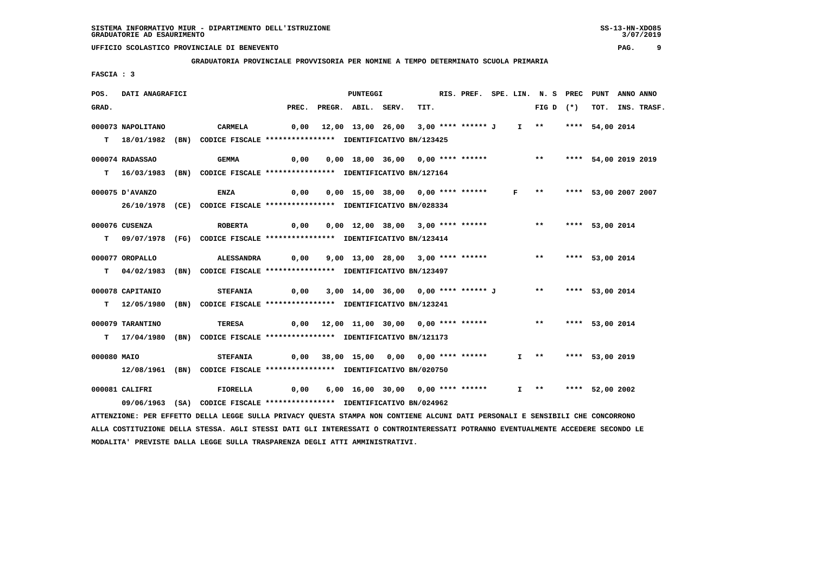**GRADUATORIA PROVINCIALE PROVVISORIA PER NOMINE A TEMPO DETERMINATO SCUOLA PRIMARIA**

 **FASCIA : 3**

| POS.        | DATI ANAGRAFICI   |                                                                                                                               |       |                                                                | PUNTEGGI                                                   |      | RIS. PREF. SPE. LIN. N. S PREC |  |                             | PUNT                 | ANNO ANNO |                  |
|-------------|-------------------|-------------------------------------------------------------------------------------------------------------------------------|-------|----------------------------------------------------------------|------------------------------------------------------------|------|--------------------------------|--|-----------------------------|----------------------|-----------|------------------|
| GRAD.       |                   |                                                                                                                               | PREC. |                                                                | PREGR. ABIL. SERV.                                         | TIT. |                                |  | FIG D $(*)$                 |                      |           | TOT. INS. TRASF. |
|             | 000073 NAPOLITANO | CARMELA                                                                                                                       |       | 0,00 12,00 13,00 26,00 3,00 **** ****** J                      |                                                            |      |                                |  | I ** **** 54,00 2014        |                      |           |                  |
|             |                   |                                                                                                                               |       |                                                                |                                                            |      |                                |  |                             |                      |           |                  |
|             |                   | T 18/01/1982 (BN) CODICE FISCALE *************** IDENTIFICATIVO BN/123425                                                     |       |                                                                |                                                            |      |                                |  |                             |                      |           |                  |
|             | 000074 RADASSAO   | <b>GEMMA</b>                                                                                                                  | 0,00  |                                                                | 0,00 18,00 36,00 0,00 **** ****** *** **** 54,00 2019 2019 |      |                                |  |                             |                      |           |                  |
|             |                   | T 16/03/1983 (BN) CODICE FISCALE *************** IDENTIFICATIVO BN/127164                                                     |       |                                                                |                                                            |      |                                |  |                             |                      |           |                  |
|             |                   |                                                                                                                               |       |                                                                |                                                            |      |                                |  |                             |                      |           |                  |
|             | 000075 D'AVANZO   | <b>ENZA</b>                                                                                                                   | 0,00  |                                                                | 0,00 15,00 38,00 0,00 **** ******                          |      |                                |  | $F \rightarrow \star \star$ | **** 53,00 2007 2007 |           |                  |
|             |                   | 26/10/1978 (CE) CODICE FISCALE *************** IDENTIFICATIVO BN/028334                                                       |       |                                                                |                                                            |      |                                |  |                             |                      |           |                  |
|             | 000076 CUSENZA    | <b>ROBERTA</b>                                                                                                                | 0,00  |                                                                | 0,00 12,00 38,00 3,00 **** ****** *** *** **** 53,00 2014  |      |                                |  |                             |                      |           |                  |
|             |                   | T 09/07/1978 (FG) CODICE FISCALE *************** IDENTIFICATIVO BN/123414                                                     |       |                                                                |                                                            |      |                                |  |                             |                      |           |                  |
|             |                   |                                                                                                                               |       |                                                                |                                                            |      |                                |  |                             |                      |           |                  |
|             | 000077 OROPALLO   | ALESSANDRA                                                                                                                    |       | 0,00 9,00 13,00 28,00 3,00 **** ****** *** *** **** 53,00 2014 |                                                            |      |                                |  |                             |                      |           |                  |
|             |                   | T 04/02/1983 (BN) CODICE FISCALE *************** IDENTIFICATIVO BN/123497                                                     |       |                                                                |                                                            |      |                                |  |                             |                      |           |                  |
|             |                   |                                                                                                                               |       |                                                                |                                                            |      |                                |  |                             |                      |           |                  |
|             | 000078 CAPITANIO  | <b>STEFANIA</b>                                                                                                               | 0,00  | 3,00 14,00 36,00 0,00 **** ****** J ** **** 53,00 2014         |                                                            |      |                                |  |                             |                      |           |                  |
|             |                   | T 12/05/1980 (BN) CODICE FISCALE *************** IDENTIFICATIVO BN/123241                                                     |       |                                                                |                                                            |      |                                |  |                             |                      |           |                  |
|             | 000079 TARANTINO  | <b>TERESA</b>                                                                                                                 |       | $0,00$ 12,00 11,00 30,00 0,00 **** ****** *** **               |                                                            |      |                                |  |                             | **** 53,00 2014      |           |                  |
|             |                   | T 17/04/1980 (BN) CODICE FISCALE **************** IDENTIFICATIVO BN/121173                                                    |       |                                                                |                                                            |      |                                |  |                             |                      |           |                  |
|             |                   |                                                                                                                               |       |                                                                |                                                            |      |                                |  |                             |                      |           |                  |
| 000080 MAIO |                   | <b>STEFANIA</b>                                                                                                               |       | 0,00 38,00 15,00 0,00 0,00 **** ******                         |                                                            |      |                                |  | I ** **** 53,00 2019        |                      |           |                  |
|             |                   | 12/08/1961 (BN) CODICE FISCALE **************** IDENTIFICATIVO BN/020750                                                      |       |                                                                |                                                            |      |                                |  |                             |                      |           |                  |
|             |                   |                                                                                                                               |       |                                                                |                                                            |      |                                |  |                             |                      |           |                  |
|             | 000081 CALIFRI    | <b>FIORELLA</b>                                                                                                               |       |                                                                |                                                            |      |                                |  | $I$ ** **** 52,00 2002      |                      |           |                  |
|             |                   | 09/06/1963 (SA) CODICE FISCALE *************** IDENTIFICATIVO BN/024962                                                       |       |                                                                |                                                            |      |                                |  |                             |                      |           |                  |
|             |                   | ATTENZIONE: PER EFFETTO DELLA LEGGE SULLA PRIVACY QUESTA STAMPA NON CONTIENE ALCUNI DATI PERSONALI E SENSIBILI CHE CONCORRONO |       |                                                                |                                                            |      |                                |  |                             |                      |           |                  |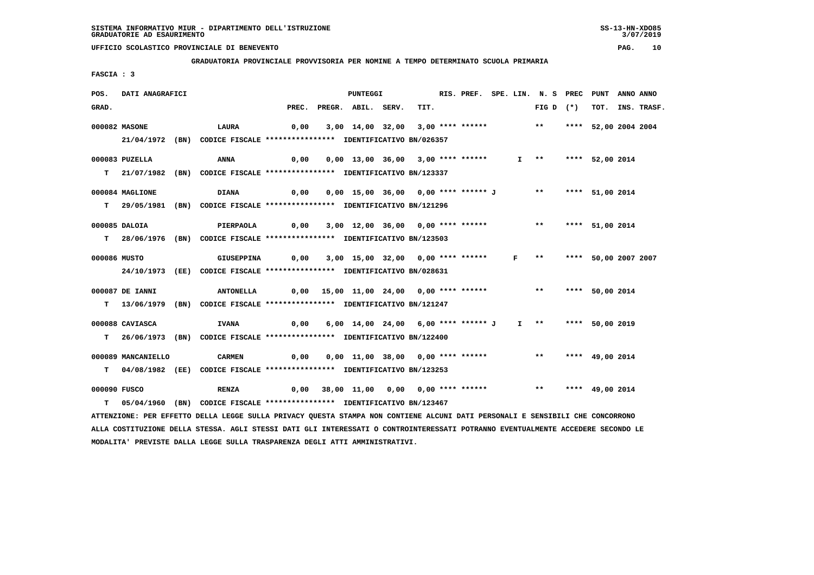#### **GRADUATORIA PROVINCIALE PROVVISORIA PER NOMINE A TEMPO DETERMINATO SCUOLA PRIMARIA**

 **FASCIA : 3**

| POS.  | DATI ANAGRAFICI    |                                                                                                                               |      | PUNTEGGI                                                       |      |  |              | RIS. PREF. SPE. LIN. N. S PREC PUNT |                      | ANNO ANNO |                  |
|-------|--------------------|-------------------------------------------------------------------------------------------------------------------------------|------|----------------------------------------------------------------|------|--|--------------|-------------------------------------|----------------------|-----------|------------------|
| GRAD. |                    |                                                                                                                               |      | PREC. PREGR. ABIL. SERV.                                       | TIT. |  |              | FIG D $(*)$                         |                      |           | TOT. INS. TRASF. |
|       | 000082 MASONE      | LAURA                                                                                                                         | 0,00 | 3,00 14,00 32,00 3,00 **** ******                              |      |  |              | $\star \star$                       | **** 52,00 2004 2004 |           |                  |
|       |                    |                                                                                                                               |      |                                                                |      |  |              |                                     |                      |           |                  |
|       |                    | 21/04/1972 (BN) CODICE FISCALE *************** IDENTIFICATIVO BN/026357                                                       |      |                                                                |      |  |              |                                     |                      |           |                  |
|       | 000083 PUZELLA     | ANNA                                                                                                                          | 0,00 | $0,00$ 13,00 36,00 3,00 **** ******                            |      |  |              | $I$ **                              | **** 52,00 2014      |           |                  |
|       |                    | T 21/07/1982 (BN) CODICE FISCALE *************** IDENTIFICATIVO BN/123337                                                     |      |                                                                |      |  |              |                                     |                      |           |                  |
|       |                    |                                                                                                                               |      |                                                                |      |  |              |                                     |                      |           |                  |
|       | 000084 MAGLIONE    | <b>DIANA</b>                                                                                                                  | 0,00 | 0,00 15,00 36,00 0,00 **** ****** J **                         |      |  |              |                                     | **** 51,00 2014      |           |                  |
|       |                    | T 29/05/1981 (BN) CODICE FISCALE **************** IDENTIFICATIVO BN/121296                                                    |      |                                                                |      |  |              |                                     |                      |           |                  |
|       |                    |                                                                                                                               |      |                                                                |      |  |              |                                     |                      |           |                  |
|       | 000085 DALOIA      | PIERPAOLA                                                                                                                     |      | 0,00 3,00 12,00 36,00 0,00 **** ****** *** *** **** 51,00 2014 |      |  |              |                                     |                      |           |                  |
|       |                    | T 28/06/1976 (BN) CODICE FISCALE *************** IDENTIFICATIVO BN/123503                                                     |      |                                                                |      |  |              |                                     |                      |           |                  |
|       |                    |                                                                                                                               |      |                                                                |      |  |              |                                     |                      |           |                  |
|       | 000086 MUSTO       | <b>GIUSEPPINA</b>                                                                                                             | 0,00 | 3,00 15,00 32,00 0,00 **** ******                              |      |  | $\mathbf{F}$ | $\star\star$                        | **** 50,00 2007 2007 |           |                  |
|       |                    | 24/10/1973 (EE) CODICE FISCALE *************** IDENTIFICATIVO BN/028631                                                       |      |                                                                |      |  |              |                                     |                      |           |                  |
|       | 000087 DE IANNI    | <b>ANTONELLA</b>                                                                                                              |      | $0,00$ 15,00 11,00 24,00 0,00 **** ****** *** **               |      |  |              |                                     | **** 50,00 2014      |           |                  |
|       |                    | T 13/06/1979 (BN) CODICE FISCALE *************** IDENTIFICATIVO BN/121247                                                     |      |                                                                |      |  |              |                                     |                      |           |                  |
|       |                    |                                                                                                                               |      |                                                                |      |  |              |                                     |                      |           |                  |
|       | 000088 CAVIASCA    | <b>IVANA</b>                                                                                                                  | 0,00 | 6,00 14,00 24,00 6,00 **** ****** J                            |      |  |              | I ** **** 50,00 2019                |                      |           |                  |
| т     |                    | 26/06/1973 (BN) CODICE FISCALE *************** IDENTIFICATIVO BN/122400                                                       |      |                                                                |      |  |              |                                     |                      |           |                  |
|       |                    |                                                                                                                               |      |                                                                |      |  |              |                                     |                      |           |                  |
|       | 000089 MANCANIELLO | <b>CARMEN</b>                                                                                                                 | 0,00 | 0,00 11,00 38,00 0,00 **** ****** *** **                       |      |  |              |                                     | **** 49,00 2014      |           |                  |
|       |                    | T 04/08/1982 (EE) CODICE FISCALE *************** IDENTIFICATIVO BN/123253                                                     |      |                                                                |      |  |              |                                     |                      |           |                  |
|       |                    |                                                                                                                               |      |                                                                |      |  |              |                                     |                      |           |                  |
|       | 000090 FUSCO       | <b>RENZA</b>                                                                                                                  |      | $0,00$ 38,00 11,00 0,00 0,00 **** ******                       |      |  |              | $***$                               | **** 49,00 2014      |           |                  |
| T.    |                    | 05/04/1960 (BN) CODICE FISCALE *************** IDENTIFICATIVO BN/123467                                                       |      |                                                                |      |  |              |                                     |                      |           |                  |
|       |                    | ATTENZIONE: PER EFFETTO DELLA LEGGE SULLA PRIVACY QUESTA STAMPA NON CONTIENE ALCUNI DATI PERSONALI E SENSIBILI CHE CONCORRONO |      |                                                                |      |  |              |                                     |                      |           |                  |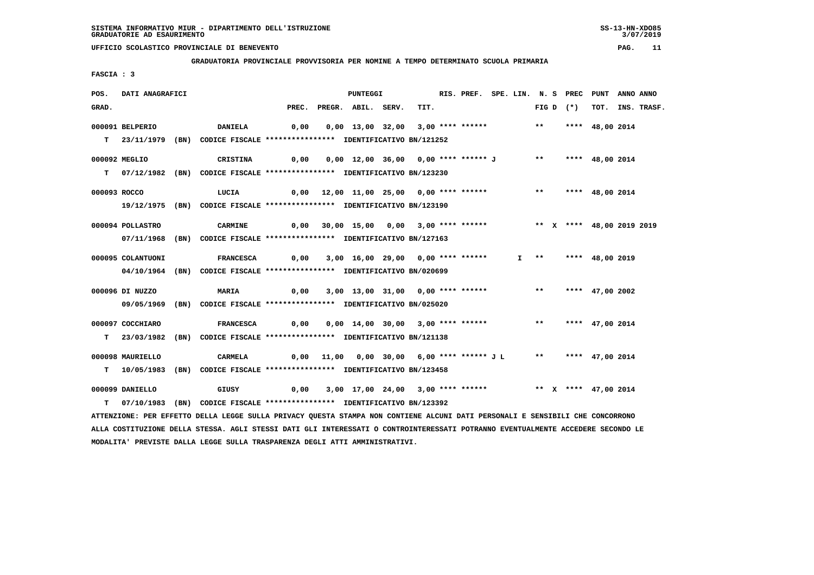**GRADUATORIA PROVINCIALE PROVVISORIA PER NOMINE A TEMPO DETERMINATO SCUOLA PRIMARIA**

 **FASCIA : 3**

| POS.         | DATI ANAGRAFICI   |                                                                                                                               |                                                                               | PUNTEGGI                                                                            |      | RIS. PREF. SPE. LIN. N. S PREC PUNT |  |  |             |                      | ANNO ANNO |                  |
|--------------|-------------------|-------------------------------------------------------------------------------------------------------------------------------|-------------------------------------------------------------------------------|-------------------------------------------------------------------------------------|------|-------------------------------------|--|--|-------------|----------------------|-----------|------------------|
| GRAD.        |                   |                                                                                                                               | PREC.                                                                         | PREGR. ABIL. SERV.                                                                  | TIT. |                                     |  |  | $FIG D (*)$ |                      |           | TOT. INS. TRASF. |
|              | 000091 BELPERIO   | <b>DANIELA</b>                                                                                                                |                                                                               | 0,00  0,00  13,00  32,00  3,00  ****  ******    **        ***    ***    48,00  2014 |      |                                     |  |  |             |                      |           |                  |
|              |                   |                                                                                                                               |                                                                               |                                                                                     |      |                                     |  |  |             |                      |           |                  |
|              |                   | T 23/11/1979 (BN) CODICE FISCALE *************** IDENTIFICATIVO BN/121252                                                     |                                                                               |                                                                                     |      |                                     |  |  |             |                      |           |                  |
|              | 000092 MEGLIO     | CRISTINA                                                                                                                      | 0,00                                                                          | 0,00 12,00 36,00 0,00 **** ****** J ** **** 48,00 2014                              |      |                                     |  |  |             |                      |           |                  |
|              |                   | T 07/12/1982 (BN) CODICE FISCALE **************** IDENTIFICATIVO BN/123230                                                    |                                                                               |                                                                                     |      |                                     |  |  |             |                      |           |                  |
|              |                   |                                                                                                                               |                                                                               |                                                                                     |      |                                     |  |  |             |                      |           |                  |
| 000093 ROCCO |                   | LUCIA                                                                                                                         |                                                                               | 0,00 12,00 11,00 25,00 0,00 **** ****** *** *** **** 48,00 2014                     |      |                                     |  |  |             |                      |           |                  |
|              |                   | 19/12/1975 (BN) CODICE FISCALE *************** IDENTIFICATIVO BN/123190                                                       |                                                                               |                                                                                     |      |                                     |  |  |             |                      |           |                  |
|              |                   |                                                                                                                               |                                                                               |                                                                                     |      |                                     |  |  |             |                      |           |                  |
|              | 000094 POLLASTRO  | <b>CARMINE</b>                                                                                                                |                                                                               | 0,00 30,00 15,00 0,00 3,00 **** ****** *** ** ** ** *** 48,00 2019 2019             |      |                                     |  |  |             |                      |           |                  |
|              |                   | 07/11/1968 (BN) CODICE FISCALE *************** IDENTIFICATIVO BN/127163                                                       |                                                                               |                                                                                     |      |                                     |  |  |             |                      |           |                  |
|              |                   |                                                                                                                               |                                                                               |                                                                                     |      |                                     |  |  |             |                      |           |                  |
|              | 000095 COLANTUONI |                                                                                                                               | FRANCESCA          0,00     3,00    16,00    29,00     0,00    ****    ****** |                                                                                     |      |                                     |  |  |             | I ** **** 48,00 2019 |           |                  |
|              |                   | 04/10/1964 (BN) CODICE FISCALE *************** IDENTIFICATIVO BN/020699                                                       |                                                                               |                                                                                     |      |                                     |  |  |             |                      |           |                  |
|              |                   |                                                                                                                               |                                                                               | 3,00 13,00 31,00 0,00 **** ****** *** *** **** 47,00 2002                           |      |                                     |  |  |             |                      |           |                  |
|              | 000096 DI NUZZO   | <b>MARIA</b>                                                                                                                  | 0,00                                                                          |                                                                                     |      |                                     |  |  |             |                      |           |                  |
|              |                   | 09/05/1969 (BN) CODICE FISCALE **************** IDENTIFICATIVO BN/025020                                                      |                                                                               |                                                                                     |      |                                     |  |  |             |                      |           |                  |
|              | 000097 COCCHIARO  | <b>FRANCESCA</b>                                                                                                              |                                                                               |                                                                                     |      |                                     |  |  |             |                      |           |                  |
|              |                   | T 23/03/1982 (BN) CODICE FISCALE *************** IDENTIFICATIVO BN/121138                                                     |                                                                               |                                                                                     |      |                                     |  |  |             |                      |           |                  |
|              |                   |                                                                                                                               |                                                                               |                                                                                     |      |                                     |  |  |             |                      |           |                  |
|              | 000098 MAURIELLO  | <b>CARMELA</b>                                                                                                                |                                                                               | 0,00 11,00 0,00 30,00 6,00 **** ****** J L ** **** 47,00 2014                       |      |                                     |  |  |             |                      |           |                  |
|              |                   | T 10/05/1983 (BN) CODICE FISCALE **************** IDENTIFICATIVO BN/123458                                                    |                                                                               |                                                                                     |      |                                     |  |  |             |                      |           |                  |
|              |                   |                                                                                                                               |                                                                               |                                                                                     |      |                                     |  |  |             |                      |           |                  |
|              | 000099 DANIELLO   | GIUSY                                                                                                                         |                                                                               | 0,00 3,00 17,00 24,00 3,00 **** ****** *** ** ** **** 47,00 2014                    |      |                                     |  |  |             |                      |           |                  |
|              |                   | T 07/10/1983 (BN) CODICE FISCALE *************** IDENTIFICATIVO BN/123392                                                     |                                                                               |                                                                                     |      |                                     |  |  |             |                      |           |                  |
|              |                   | ATTENZIONE: PER EFFETTO DELLA LEGGE SULLA PRIVACY QUESTA STAMPA NON CONTIENE ALCUNI DATI PERSONALI E SENSIBILI CHE CONCORRONO |                                                                               |                                                                                     |      |                                     |  |  |             |                      |           |                  |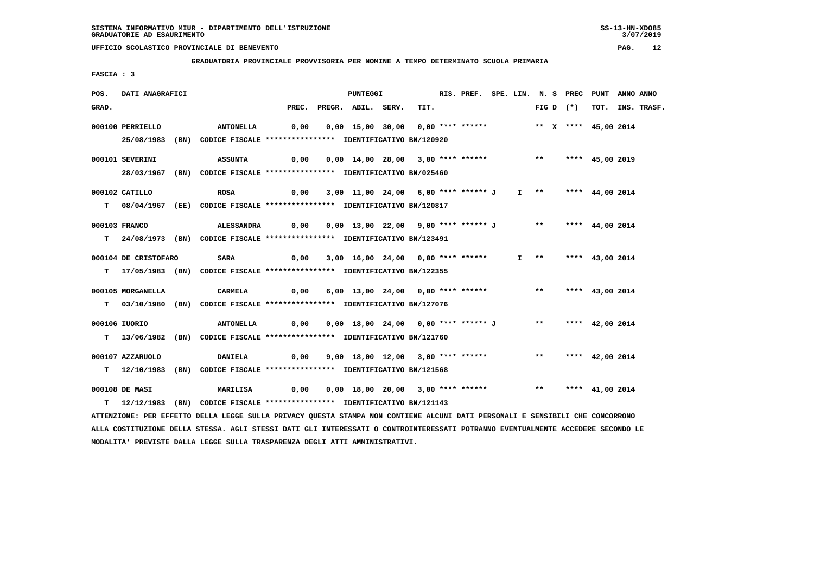**GRADUATORIA PROVINCIALE PROVVISORIA PER NOMINE A TEMPO DETERMINATO SCUOLA PRIMARIA**

 **FASCIA : 3**

| POS.  | DATI ANAGRAFICI      |                                                                                                                               |                                                                       | <b>PUNTEGGI</b>                                                      |      | RIS. PREF. SPE. LIN. N. S PREC PUNT |  |                       |             |                    | ANNO ANNO |                  |
|-------|----------------------|-------------------------------------------------------------------------------------------------------------------------------|-----------------------------------------------------------------------|----------------------------------------------------------------------|------|-------------------------------------|--|-----------------------|-------------|--------------------|-----------|------------------|
| GRAD. |                      |                                                                                                                               |                                                                       | PREC. PREGR. ABIL. SERV.                                             | TIT. |                                     |  |                       | FIG D $(*)$ |                    |           | TOT. INS. TRASF. |
|       | 000100 PERRIELLO     | ANTONELLA                                                                                                                     | 0,00                                                                  | 0,00 15,00 30,00 0,00 **** ******               ** x **** 45,00 2014 |      |                                     |  |                       |             |                    |           |                  |
|       |                      | 25/08/1983 (BN) CODICE FISCALE *************** IDENTIFICATIVO BN/120920                                                       |                                                                       |                                                                      |      |                                     |  |                       |             |                    |           |                  |
|       |                      |                                                                                                                               |                                                                       |                                                                      |      |                                     |  |                       |             |                    |           |                  |
|       | 000101 SEVERINI      | <b>ASSUNTA</b>                                                                                                                | 0,00                                                                  | 0,00 14,00 28,00 3,00 **** ****** *** **** 45,00 2019                |      |                                     |  |                       |             |                    |           |                  |
|       |                      | 28/03/1967 (BN) CODICE FISCALE *************** IDENTIFICATIVO BN/025460                                                       |                                                                       |                                                                      |      |                                     |  |                       |             |                    |           |                  |
|       |                      |                                                                                                                               |                                                                       |                                                                      |      |                                     |  |                       |             |                    |           |                  |
|       | 000102 CATILLO       | <b>ROSA</b>                                                                                                                   |                                                                       | 0,00 3,00 11,00 24,00 6,00 **** ****** J I ** **** 44,00 2014        |      |                                     |  |                       |             |                    |           |                  |
|       |                      | T 08/04/1967 (EE) CODICE FISCALE *************** IDENTIFICATIVO BN/120817                                                     |                                                                       |                                                                      |      |                                     |  |                       |             |                    |           |                  |
|       | 000103 FRANCO        | ALESSANDRA                                                                                                                    |                                                                       | 0,00 0,00 13,00 22,00 9,00 **** ****** J ** **** 44,00 2014          |      |                                     |  |                       |             |                    |           |                  |
|       |                      |                                                                                                                               |                                                                       |                                                                      |      |                                     |  |                       |             |                    |           |                  |
|       |                      | T 24/08/1973 (BN) CODICE FISCALE *************** IDENTIFICATIVO BN/123491                                                     |                                                                       |                                                                      |      |                                     |  |                       |             |                    |           |                  |
|       | 000104 DE CRISTOFARO | SARA                                                                                                                          | 0,00                                                                  | 3,00 16,00 24,00 0,00 **** ******                                    |      |                                     |  | $I \rightarrow \star$ |             | **** 43,00 2014    |           |                  |
|       |                      | T 17/05/1983 (BN) CODICE FISCALE **************** IDENTIFICATIVO BN/122355                                                    |                                                                       |                                                                      |      |                                     |  |                       |             |                    |           |                  |
|       |                      |                                                                                                                               |                                                                       |                                                                      |      |                                     |  |                       |             |                    |           |                  |
|       | 000105 MORGANELLA    | CARMELA                                                                                                                       |                                                                       | $0,00$ 6,00 13,00 24,00 0,00 **** ******                             |      |                                     |  |                       |             | ** **** 43,00 2014 |           |                  |
|       |                      | T 03/10/1980 (BN) CODICE FISCALE *************** IDENTIFICATIVO BN/127076                                                     |                                                                       |                                                                      |      |                                     |  |                       |             |                    |           |                  |
|       | 000106 IUORIO        |                                                                                                                               | ANTONELLA 0,00 0,00 18,00 24,00 0,00 **** ****** J ** **** 42,00 2014 |                                                                      |      |                                     |  |                       |             |                    |           |                  |
|       |                      |                                                                                                                               |                                                                       |                                                                      |      |                                     |  |                       |             |                    |           |                  |
|       |                      | T 13/06/1982 (BN) CODICE FISCALE *************** IDENTIFICATIVO BN/121760                                                     |                                                                       |                                                                      |      |                                     |  |                       |             |                    |           |                  |
|       | 000107 AZZARUOLO     | <b>DANIELA</b>                                                                                                                | 0,00                                                                  | 9,00 18,00 12,00 3,00 **** ****** *** *** **** 42,00 2014            |      |                                     |  |                       |             |                    |           |                  |
|       |                      | T 12/10/1983 (BN) CODICE FISCALE **************** IDENTIFICATIVO BN/121568                                                    |                                                                       |                                                                      |      |                                     |  |                       |             |                    |           |                  |
|       |                      |                                                                                                                               |                                                                       |                                                                      |      |                                     |  |                       |             |                    |           |                  |
|       | 000108 DE MASI       | MARILISA                                                                                                                      | 0,00                                                                  | 0,00 18,00 20,00 3,00 **** ****** *** *** **** 41,00 2014            |      |                                     |  |                       |             |                    |           |                  |
|       |                      | T 12/12/1983 (BN) CODICE FISCALE **************** IDENTIFICATIVO BN/121143                                                    |                                                                       |                                                                      |      |                                     |  |                       |             |                    |           |                  |
|       |                      | ATTENZIONE: PER EFFETTO DELLA LEGGE SULLA PRIVACY QUESTA STAMPA NON CONTIENE ALCUNI DATI PERSONALI E SENSIBILI CHE CONCORRONO |                                                                       |                                                                      |      |                                     |  |                       |             |                    |           |                  |
|       |                      |                                                                                                                               |                                                                       |                                                                      |      |                                     |  |                       |             |                    |           |                  |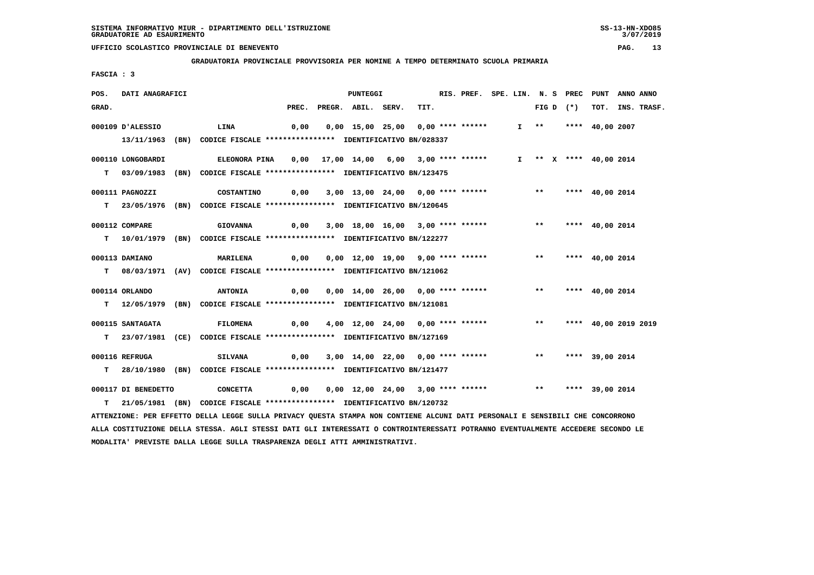**GRADUATORIA PROVINCIALE PROVVISORIA PER NOMINE A TEMPO DETERMINATO SCUOLA PRIMARIA**

 **FASCIA : 3**

| POS.  | DATI ANAGRAFICI     |                                                                            |       | PUNTEGGI                                                                            |  | RIS. PREF. SPE. LIN. N. S PREC |  |                       |             | PUNT                   | ANNO ANNO |                  |
|-------|---------------------|----------------------------------------------------------------------------|-------|-------------------------------------------------------------------------------------|--|--------------------------------|--|-----------------------|-------------|------------------------|-----------|------------------|
| GRAD. |                     |                                                                            | PREC. | PREGR. ABIL. SERV.                                                                  |  | TIT.                           |  |                       | FIG D $(*)$ |                        |           | TOT. INS. TRASF. |
|       | 000109 D'ALESSIO    | LINA                                                                       | 0,00  | 0,00 15,00 25,00 0,00 **** ******                                                   |  |                                |  | $I \rightarrow \star$ |             | **** 40,00 2007        |           |                  |
|       |                     | 13/11/1963 (BN) CODICE FISCALE *************** IDENTIFICATIVO BN/028337    |       |                                                                                     |  |                                |  |                       |             |                        |           |                  |
|       |                     |                                                                            |       |                                                                                     |  |                                |  |                       |             |                        |           |                  |
|       | 000110 LONGOBARDI   | <b>ELEONORA PINA</b>                                                       |       | 0,00 17,00 14,00 6,00 3,00 **** ******                                              |  |                                |  |                       |             | I ** X **** 40,00 2014 |           |                  |
|       |                     | T 03/09/1983 (BN) CODICE FISCALE **************** IDENTIFICATIVO BN/123475 |       |                                                                                     |  |                                |  |                       |             |                        |           |                  |
|       |                     |                                                                            |       |                                                                                     |  |                                |  |                       |             |                        |           |                  |
|       | 000111 PAGNOZZI     | COSTANTINO                                                                 | 0,00  | 3,00 13,00 24,00 0,00 **** ****** *** **                                            |  |                                |  |                       |             | **** 40,00 2014        |           |                  |
|       |                     | T 23/05/1976 (BN) CODICE FISCALE *************** IDENTIFICATIVO BN/120645  |       |                                                                                     |  |                                |  |                       |             |                        |           |                  |
|       | 000112 COMPARE      | <b>GIOVANNA</b>                                                            | 0,00  | 3,00 18,00 16,00 3,00 **** ****** *** **                                            |  |                                |  |                       |             | **** 40,00 2014        |           |                  |
|       |                     | T 10/01/1979 (BN) CODICE FISCALE **************** IDENTIFICATIVO BN/122277 |       |                                                                                     |  |                                |  |                       |             |                        |           |                  |
|       |                     |                                                                            |       |                                                                                     |  |                                |  |                       |             |                        |           |                  |
|       | 000113 DAMIANO      | <b>MARILENA</b>                                                            | 0,00  | 0,00 12,00 19,00 9,00 **** ****** *** **                                            |  |                                |  |                       |             | **** $40.002014$       |           |                  |
|       |                     | T 08/03/1971 (AV) CODICE FISCALE *************** IDENTIFICATIVO BN/121062  |       |                                                                                     |  |                                |  |                       |             |                        |           |                  |
|       |                     |                                                                            |       |                                                                                     |  |                                |  |                       |             |                        |           |                  |
|       | 000114 ORLANDO      | <b>ANTONIA</b>                                                             |       | 0,00  0,00  14,00  26,00  0,00  ****  ******    **        ***    ***    40,00  2014 |  |                                |  |                       |             |                        |           |                  |
|       |                     | T 12/05/1979 (BN) CODICE FISCALE *************** IDENTIFICATIVO BN/121081  |       |                                                                                     |  |                                |  |                       |             |                        |           |                  |
|       | 000115 SANTAGATA    | <b>FILOMENA</b>                                                            | 0,00  | 4,00 12,00 24,00 0,00 **** ****** *** **                                            |  |                                |  |                       |             | **** 40,00 2019 2019   |           |                  |
|       |                     | T 23/07/1981 (CE) CODICE FISCALE *************** IDENTIFICATIVO BN/127169  |       |                                                                                     |  |                                |  |                       |             |                        |           |                  |
|       |                     |                                                                            |       |                                                                                     |  |                                |  |                       |             |                        |           |                  |
|       | 000116 REFRUGA      | <b>SILVANA</b>                                                             | 0,00  | 3,00 14,00 22,00 0,00 **** ****** *** **                                            |  |                                |  |                       |             | **** 39,00 2014        |           |                  |
|       |                     | T 28/10/1980 (BN) CODICE FISCALE *************** IDENTIFICATIVO BN/121477  |       |                                                                                     |  |                                |  |                       |             |                        |           |                  |
|       |                     |                                                                            |       |                                                                                     |  |                                |  |                       |             |                        |           |                  |
|       | 000117 DI BENEDETTO | CONCETTA                                                                   | 0,00  | $0,00$ 12,00 24,00 3,00 **** ****** *** **                                          |  |                                |  |                       |             | **** 39,00 2014        |           |                  |
| т     |                     | 21/05/1981 (BN) CODICE FISCALE **************** IDENTIFICATIVO BN/120732   |       |                                                                                     |  |                                |  |                       |             |                        |           |                  |

 **ATTENZIONE: PER EFFETTO DELLA LEGGE SULLA PRIVACY QUESTA STAMPA NON CONTIENE ALCUNI DATI PERSONALI E SENSIBILI CHE CONCORRONO ALLA COSTITUZIONE DELLA STESSA. AGLI STESSI DATI GLI INTERESSATI O CONTROINTERESSATI POTRANNO EVENTUALMENTE ACCEDERE SECONDO LE MODALITA' PREVISTE DALLA LEGGE SULLA TRASPARENZA DEGLI ATTI AMMINISTRATIVI.**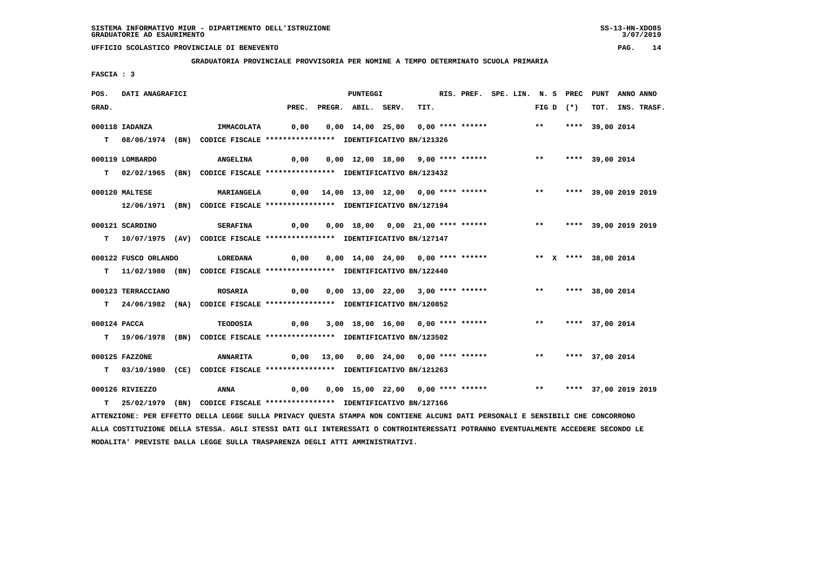**GRADUATORIA PROVINCIALE PROVVISORIA PER NOMINE A TEMPO DETERMINATO SCUOLA PRIMARIA**

 **FASCIA : 3**

| POS.  | DATI ANAGRAFICI      |                                                                                                                                 |                                         | <b>PUNTEGGI</b>                                                |      |  |  | RIS. PREF. SPE. LIN. N. S PREC PUNT |                 | ANNO ANNO |                  |
|-------|----------------------|---------------------------------------------------------------------------------------------------------------------------------|-----------------------------------------|----------------------------------------------------------------|------|--|--|-------------------------------------|-----------------|-----------|------------------|
| GRAD. |                      |                                                                                                                                 | PREC.                                   | PREGR. ABIL. SERV.                                             | TIT. |  |  | FIG D $(*)$                         |                 |           | TOT. INS. TRASF. |
|       | 000118 IADANZA       | IMMACOLATA                                                                                                                      | 0,00                                    | 0,00 14,00 25,00 0,00 **** ******                              |      |  |  | $***$                               | **** 39,00 2014 |           |                  |
|       |                      | T 08/06/1974 (BN) CODICE FISCALE *************** IDENTIFICATIVO BN/121326                                                       |                                         |                                                                |      |  |  |                                     |                 |           |                  |
|       |                      |                                                                                                                                 |                                         |                                                                |      |  |  |                                     |                 |           |                  |
|       | 000119 LOMBARDO      | <b>ANGELINA</b>                                                                                                                 | 0,00                                    | 0,00 12,00 18,00 9,00 **** ******                              |      |  |  | $***$                               | **** 39,00 2014 |           |                  |
|       |                      | T 02/02/1965 (BN) CODICE FISCALE **************** IDENTIFICATIVO BN/123432                                                      |                                         |                                                                |      |  |  |                                     |                 |           |                  |
|       |                      |                                                                                                                                 |                                         |                                                                |      |  |  |                                     |                 |           |                  |
|       | 000120 MALTESE       | <b>MARIANGELA</b>                                                                                                               | 0,00 14,00 13,00 12,00 0,00 **** ****** |                                                                |      |  |  | ** **** 39,00 2019 2019             |                 |           |                  |
|       |                      | 12/06/1971 (BN) CODICE FISCALE **************** IDENTIFICATIVO BN/127194                                                        |                                         |                                                                |      |  |  |                                     |                 |           |                  |
|       | 000121 SCARDINO      | <b>SERAFINA</b>                                                                                                                 | 0,00                                    | 0,00 18,00 0,00 21,00 **** ******                              |      |  |  | ** **** 39,00 2019 2019             |                 |           |                  |
|       |                      | T 10/07/1975 (AV) CODICE FISCALE **************** IDENTIFICATIVO BN/127147                                                      |                                         |                                                                |      |  |  |                                     |                 |           |                  |
|       |                      |                                                                                                                                 |                                         |                                                                |      |  |  |                                     |                 |           |                  |
|       | 000122 FUSCO ORLANDO | LOREDANA                                                                                                                        | 0,00                                    | 0,00 14,00 24,00 0,00 **** ******                              |      |  |  | ** X **** 38,00 2014                |                 |           |                  |
|       |                      | T 11/02/1980 (BN) CODICE FISCALE **************** IDENTIFICATIVO BN/122440                                                      |                                         |                                                                |      |  |  |                                     |                 |           |                  |
|       |                      |                                                                                                                                 |                                         |                                                                |      |  |  |                                     |                 |           |                  |
|       | 000123 TERRACCIANO   | <b>ROSARIA</b>                                                                                                                  | 0,00                                    | 0,00 13,00 22,00 3,00 **** ******                              |      |  |  | ** **** 38,00 2014                  |                 |           |                  |
|       |                      | T 24/06/1982 (NA) CODICE FISCALE **************** IDENTIFICATIVO BN/120852                                                      |                                         |                                                                |      |  |  |                                     |                 |           |                  |
|       | 000124 PACCA         | <b>TEODOSIA</b>                                                                                                                 |                                         | $0,00$ 3,00 18,00 16,00 0,00 **** ******                       |      |  |  | $***$                               | **** 37,00 2014 |           |                  |
|       |                      | T 19/06/1978 (BN) CODICE FISCALE *************** IDENTIFICATIVO BN/123502                                                       |                                         |                                                                |      |  |  |                                     |                 |           |                  |
|       |                      |                                                                                                                                 |                                         |                                                                |      |  |  |                                     |                 |           |                  |
|       | 000125 FAZZONE       | <b>ANNARITA</b>                                                                                                                 |                                         | $0,00$ 13,00 0,00 24,00 0,00 **** ******                       |      |  |  | ** **** 37,00 2014                  |                 |           |                  |
|       |                      | T 03/10/1980 (CE) CODICE FISCALE **************** IDENTIFICATIVO BN/121263                                                      |                                         |                                                                |      |  |  |                                     |                 |           |                  |
|       |                      |                                                                                                                                 |                                         |                                                                |      |  |  |                                     |                 |           |                  |
|       | 000126 RIVIEZZO      | ANNA                                                                                                                            | 0,00                                    | 0,00 15,00 22,00 0,00 **** ****** *** *** **** 37,00 2019 2019 |      |  |  |                                     |                 |           |                  |
|       |                      | T 25/02/1979 (BN) CODICE FISCALE **************** IDENTIFICATIVO BN/127166                                                      |                                         |                                                                |      |  |  |                                     |                 |           |                  |
|       |                      | ATTENZIONE: PER EFFETTO DELLA LEGGE SULLA PRIVACY QUESTA STAMPA NON CONTIENE ALCUNI DATI PERSONALI E SENSIBILI CHE CONCORRONO   |                                         |                                                                |      |  |  |                                     |                 |           |                  |
|       |                      | ALLA COSTITUZIONE DELLA STESSA. AGLI STESSI DATI GLI INTERESSATI O CONTROINTERESSATI POTRANNO EVENTUALMENTE ACCEDERE SECONDO LE |                                         |                                                                |      |  |  |                                     |                 |           |                  |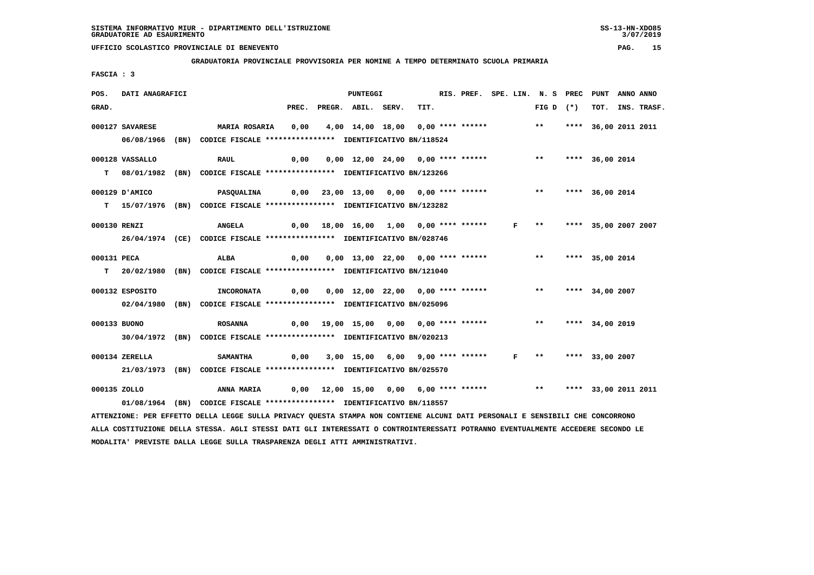**GRADUATORIA PROVINCIALE PROVVISORIA PER NOMINE A TEMPO DETERMINATO SCUOLA PRIMARIA**

 **FASCIA : 3**

| POS.         | DATI ANAGRAFICI |                                                                                                                                 |       | <b>PUNTEGGI</b>                                       |      | RIS. PREF. SPE. LIN. N. S PREC PUNT |              |                       |                      | ANNO ANNO |             |
|--------------|-----------------|---------------------------------------------------------------------------------------------------------------------------------|-------|-------------------------------------------------------|------|-------------------------------------|--------------|-----------------------|----------------------|-----------|-------------|
| GRAD.        |                 |                                                                                                                                 | PREC. | PREGR. ABIL. SERV.                                    | TIT. |                                     |              | FIG D $(*)$           | тот.                 |           | INS. TRASF. |
|              | 000127 SAVARESE | MARIA ROSARIA                                                                                                                   | 0,00  | 4,00 14,00 18,00 0,00 **** ****** *** ** **           |      |                                     |              |                       | **** 36,00 2011 2011 |           |             |
|              |                 | 06/08/1966 (BN) CODICE FISCALE *************** IDENTIFICATIVO BN/118524                                                         |       |                                                       |      |                                     |              |                       |                      |           |             |
|              |                 |                                                                                                                                 |       |                                                       |      |                                     |              |                       |                      |           |             |
|              | 000128 VASSALLO | <b>RAUL</b>                                                                                                                     | 0,00  | 0,00 12,00 24,00 0,00 **** ******                     |      |                                     |              | $***$                 | **** 36,00 2014      |           |             |
|              |                 | T 08/01/1982 (BN) CODICE FISCALE **************** IDENTIFICATIVO BN/123266                                                      |       |                                                       |      |                                     |              |                       |                      |           |             |
|              |                 |                                                                                                                                 |       |                                                       |      |                                     |              |                       |                      |           |             |
|              | 000129 D'AMICO  | <b>PASOUALINA</b>                                                                                                               |       | 0,00 23,00 13,00 0,00 0,00 **** ******                |      |                                     |              | ** **** 36,00 2014    |                      |           |             |
|              |                 | T 15/07/1976 (BN) CODICE FISCALE **************** IDENTIFICATIVO BN/123282                                                      |       |                                                       |      |                                     |              |                       |                      |           |             |
| 000130 RENZI |                 | <b>ANGELA</b>                                                                                                                   |       | 0,00 18,00 16,00 1,00 0,00 **** ******                |      |                                     | $\mathbf{F}$ | $***$                 | **** 35,00 2007 2007 |           |             |
|              |                 | 26/04/1974 (CE) CODICE FISCALE *************** IDENTIFICATIVO BN/028746                                                         |       |                                                       |      |                                     |              |                       |                      |           |             |
|              |                 |                                                                                                                                 |       |                                                       |      |                                     |              |                       |                      |           |             |
| 000131 PECA  |                 | <b>ALBA</b>                                                                                                                     | 0,00  | 0,00 13,00 22,00 0,00 **** ****** *** **              |      |                                     |              |                       | **** 35,00 2014      |           |             |
|              |                 | T 20/02/1980 (BN) CODICE FISCALE **************** IDENTIFICATIVO BN/121040                                                      |       |                                                       |      |                                     |              |                       |                      |           |             |
|              |                 |                                                                                                                                 |       |                                                       |      |                                     |              |                       |                      |           |             |
|              | 000132 ESPOSITO | <b>INCORONATA</b>                                                                                                               | 0,00  | 0,00 12,00 22,00 0,00 **** ******                     |      |                                     |              | $***$                 | **** 34,00 2007      |           |             |
|              |                 | 02/04/1980 (BN) CODICE FISCALE *************** IDENTIFICATIVO BN/025096                                                         |       |                                                       |      |                                     |              |                       |                      |           |             |
| 000133 BUONO |                 | <b>ROSANNA</b>                                                                                                                  |       | 0,00 19,00 15,00 0,00 0,00 **** ****** *** **         |      |                                     |              |                       | **** 34,00 2019      |           |             |
|              |                 | 30/04/1972 (BN) CODICE FISCALE *************** IDENTIFICATIVO BN/020213                                                         |       |                                                       |      |                                     |              |                       |                      |           |             |
|              |                 |                                                                                                                                 |       |                                                       |      |                                     |              |                       |                      |           |             |
|              | 000134 ZERELLA  | <b>SAMANTHA</b>                                                                                                                 |       | $0,00$ $3,00$ $15,00$ $6,00$ $9,00$ $***$ **** ****** |      |                                     |              | $F \rightarrow \star$ | **** 33,00 2007      |           |             |
|              |                 | 21/03/1973 (BN) CODICE FISCALE *************** IDENTIFICATIVO BN/025570                                                         |       |                                                       |      |                                     |              |                       |                      |           |             |
|              |                 |                                                                                                                                 |       |                                                       |      |                                     |              |                       |                      |           |             |
| 000135 ZOLLO |                 | ANNA MARIA                                                                                                                      |       | $0,00$ 12,00 15,00 0,00 6,00 **** ****** *** **       |      |                                     |              |                       | **** 33,00 2011 2011 |           |             |
|              |                 | 01/08/1964 (BN) CODICE FISCALE *************** IDENTIFICATIVO BN/118557                                                         |       |                                                       |      |                                     |              |                       |                      |           |             |
|              |                 | ATTENZIONE: PER EFFETTO DELLA LEGGE SULLA PRIVACY QUESTA STAMPA NON CONTIENE ALCUNI DATI PERSONALI E SENSIBILI CHE CONCORRONO   |       |                                                       |      |                                     |              |                       |                      |           |             |
|              |                 | ALLA COSTITUZIONE DELLA STESSA. AGLI STESSI DATI GLI INTERESSATI O CONTROINTERESSATI POTRANNO EVENTUALMENTE ACCEDERE SECONDO LE |       |                                                       |      |                                     |              |                       |                      |           |             |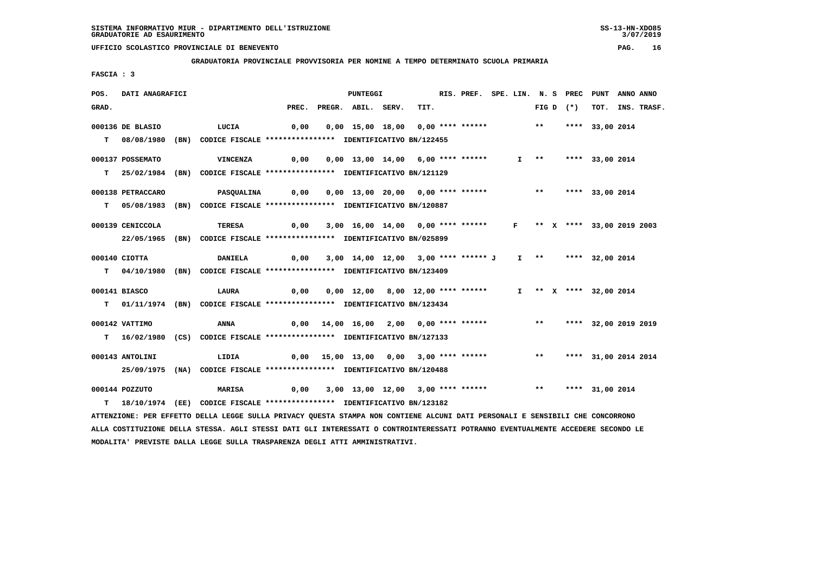**GRADUATORIA PROVINCIALE PROVVISORIA PER NOMINE A TEMPO DETERMINATO SCUOLA PRIMARIA**

 **FASCIA : 3**

| POS.  | DATI ANAGRAFICI   |                                                                                                                               |       | PUNTEGGI                                                      |      | RIS. PREF. SPE. LIN. N. S PREC PUNT |  |                       |             |                         | ANNO ANNO |                  |
|-------|-------------------|-------------------------------------------------------------------------------------------------------------------------------|-------|---------------------------------------------------------------|------|-------------------------------------|--|-----------------------|-------------|-------------------------|-----------|------------------|
| GRAD. |                   |                                                                                                                               | PREC. | PREGR. ABIL. SERV.                                            | TIT. |                                     |  |                       | FIG D $(*)$ |                         |           | TOT. INS. TRASF. |
|       | 000136 DE BLASIO  | LUCIA                                                                                                                         | 0,00  | $0,00$ 15,00 18,00 0,00 **** ****** *** **                    |      |                                     |  |                       |             | **** 33,00 2014         |           |                  |
|       |                   |                                                                                                                               |       |                                                               |      |                                     |  |                       |             |                         |           |                  |
|       | $T = 08/08/1980$  | (BN) CODICE FISCALE **************** IDENTIFICATIVO BN/122455                                                                 |       |                                                               |      |                                     |  |                       |             |                         |           |                  |
|       | 000137 POSSEMATO  | <b>VINCENZA</b>                                                                                                               | 0,00  | 0,00 13,00 14,00 6,00 **** ******                             |      |                                     |  | $I \rightarrow \star$ |             | **** 33,00 2014         |           |                  |
|       |                   | T 25/02/1984 (BN) CODICE FISCALE *************** IDENTIFICATIVO BN/121129                                                     |       |                                                               |      |                                     |  |                       |             |                         |           |                  |
|       |                   |                                                                                                                               |       |                                                               |      |                                     |  |                       |             |                         |           |                  |
|       | 000138 PETRACCARO | <b>PASQUALINA</b>                                                                                                             | 0,00  | 0,00 13,00 20,00 0,00 **** ****** *** **** 33,00 2014         |      |                                     |  |                       |             |                         |           |                  |
|       |                   | T 05/08/1983 (BN) CODICE FISCALE *************** IDENTIFICATIVO BN/120887                                                     |       |                                                               |      |                                     |  |                       |             |                         |           |                  |
|       |                   |                                                                                                                               |       |                                                               |      |                                     |  |                       |             |                         |           |                  |
|       | 000139 CENICCOLA  | <b>TERESA</b>                                                                                                                 | 0,00  | 3,00 16,00 14,00 0,00 **** ****** F ** X **** 33,00 2019 2003 |      |                                     |  |                       |             |                         |           |                  |
|       |                   | 22/05/1965 (BN) CODICE FISCALE *************** IDENTIFICATIVO BN/025899                                                       |       |                                                               |      |                                     |  |                       |             |                         |           |                  |
|       | 000140 CIOTTA     | <b>DANIELA</b>                                                                                                                | 0,00  | 3,00 14,00 12,00 3,00 **** ****** J I ** **** 32,00 2014      |      |                                     |  |                       |             |                         |           |                  |
|       |                   |                                                                                                                               |       |                                                               |      |                                     |  |                       |             |                         |           |                  |
|       |                   | T 04/10/1980 (BN) CODICE FISCALE *************** IDENTIFICATIVO BN/123409                                                     |       |                                                               |      |                                     |  |                       |             |                         |           |                  |
|       | 000141 BIASCO     | LAURA                                                                                                                         | 0,00  | 0,00 12,00 8,00 12,00 **** ******                             |      |                                     |  |                       |             | I ** X **** 32,00 2014  |           |                  |
|       |                   | T 01/11/1974 (BN) CODICE FISCALE *************** IDENTIFICATIVO BN/123434                                                     |       |                                                               |      |                                     |  |                       |             |                         |           |                  |
|       |                   |                                                                                                                               |       |                                                               |      |                                     |  |                       |             |                         |           |                  |
|       | 000142 VATTIMO    | <b>ANNA</b>                                                                                                                   |       | $0,00$ 14,00 16,00 2,00 0,00 **** ******                      |      |                                     |  |                       |             | ** **** 32,00 2019 2019 |           |                  |
|       |                   | T 16/02/1980 (CS) CODICE FISCALE *************** IDENTIFICATIVO BN/127133                                                     |       |                                                               |      |                                     |  |                       |             |                         |           |                  |
|       |                   |                                                                                                                               |       | $0,00$ 15,00 13,00 0,00 3,00 **** ******                      |      |                                     |  | $***$                 |             |                         |           |                  |
|       | 000143 ANTOLINI   | LIDIA                                                                                                                         |       |                                                               |      |                                     |  |                       |             | **** 31,00 2014 2014    |           |                  |
|       |                   | 25/09/1975 (NA) CODICE FISCALE *************** IDENTIFICATIVO BN/120488                                                       |       |                                                               |      |                                     |  |                       |             |                         |           |                  |
|       | 000144 POZZUTO    | MARISA                                                                                                                        | 0,00  | 3,00 13,00 12,00 3,00 **** ******                             |      |                                     |  | $***$                 |             | **** 31,00 2014         |           |                  |
| T.    |                   | 18/10/1974 (EE) CODICE FISCALE *************** IDENTIFICATIVO BN/123182                                                       |       |                                                               |      |                                     |  |                       |             |                         |           |                  |
|       |                   | ATTENZIONE: PER EFFETTO DELLA LEGGE SULLA PRIVACY QUESTA STAMPA NON CONTIENE ALCUNI DATI PERSONALI E SENSIBILI CHE CONCORRONO |       |                                                               |      |                                     |  |                       |             |                         |           |                  |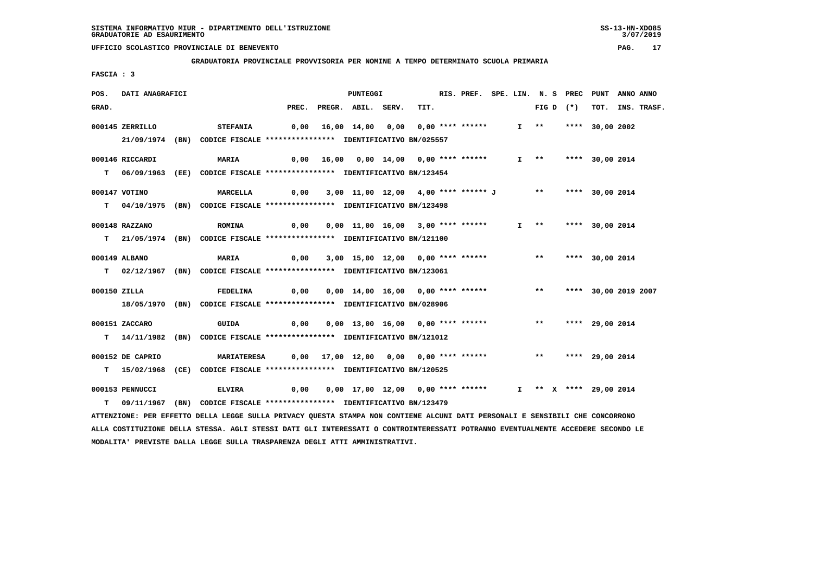**GRADUATORIA PROVINCIALE PROVVISORIA PER NOMINE A TEMPO DETERMINATO SCUOLA PRIMARIA**

 **FASCIA : 3**

| POS.         | DATI ANAGRAFICI  |                                                                                                                                 |      | PUNTEGGI                                                       |      | RIS. PREF. SPE. LIN. N. S PREC PUNT ANNO ANNO |  |                       |             |                    |                  |
|--------------|------------------|---------------------------------------------------------------------------------------------------------------------------------|------|----------------------------------------------------------------|------|-----------------------------------------------|--|-----------------------|-------------|--------------------|------------------|
| GRAD.        |                  |                                                                                                                                 |      | PREC. PREGR. ABIL. SERV.                                       | TIT. |                                               |  |                       | FIG D $(*)$ |                    | TOT. INS. TRASF. |
|              | 000145 ZERRILLO  | <b>STEFANIA</b>                                                                                                                 |      | 0,00 16,00 14,00 0,00 0,00 **** ******                         |      |                                               |  | $I \rightarrow \star$ |             | **** 30,00 2002    |                  |
|              |                  |                                                                                                                                 |      |                                                                |      |                                               |  |                       |             |                    |                  |
|              |                  | 21/09/1974 (BN) CODICE FISCALE *************** IDENTIFICATIVO BN/025557                                                         |      |                                                                |      |                                               |  |                       |             |                    |                  |
|              | 000146 RICCARDI  | <b>MARIA</b>                                                                                                                    |      | $0,00$ 16,00 0,00 14,00 0,00 **** ******                       |      |                                               |  | $I \longrightarrow$   |             | **** 30,00 2014    |                  |
|              |                  | T 06/09/1963 (EE) CODICE FISCALE **************** IDENTIFICATIVO BN/123454                                                      |      |                                                                |      |                                               |  |                       |             |                    |                  |
|              |                  |                                                                                                                                 |      |                                                                |      |                                               |  |                       |             |                    |                  |
|              | 000147 VOTINO    | <b>MARCELLA</b>                                                                                                                 |      | 0,00 3,00 11,00 12,00 4,00 **** ****** J ** **** 30,00 2014    |      |                                               |  |                       |             |                    |                  |
|              |                  | T 04/10/1975 (BN) CODICE FISCALE **************** IDENTIFICATIVO BN/123498                                                      |      |                                                                |      |                                               |  |                       |             |                    |                  |
|              | 000148 RAZZANO   | <b>ROMINA</b>                                                                                                                   | 0,00 | 0,00 11,00 16,00 3,00 **** ******                              |      |                                               |  | $I \rightarrow \star$ |             | **** 30,00 2014    |                  |
|              |                  |                                                                                                                                 |      |                                                                |      |                                               |  |                       |             |                    |                  |
|              |                  | T 21/05/1974 (BN) CODICE FISCALE **************** IDENTIFICATIVO BN/121100                                                      |      |                                                                |      |                                               |  |                       |             |                    |                  |
|              | 000149 ALBANO    | <b>MARIA</b>                                                                                                                    | 0,00 | 3,00 15,00 12,00 0,00 **** ******                              |      |                                               |  | $***$                 |             | **** 30,00 2014    |                  |
|              |                  | T 02/12/1967 (BN) CODICE FISCALE *************** IDENTIFICATIVO BN/123061                                                       |      |                                                                |      |                                               |  |                       |             |                    |                  |
|              |                  |                                                                                                                                 |      |                                                                |      |                                               |  |                       |             |                    |                  |
| 000150 ZILLA |                  | <b>FEDELINA</b>                                                                                                                 | 0,00 | 0,00 14,00 16,00 0,00 **** ****** *** *** **** 30,00 2019 2007 |      |                                               |  |                       |             |                    |                  |
|              |                  | 18/05/1970 (BN) CODICE FISCALE *************** IDENTIFICATIVO BN/028906                                                         |      |                                                                |      |                                               |  |                       |             |                    |                  |
|              |                  |                                                                                                                                 |      |                                                                |      |                                               |  |                       |             |                    |                  |
|              | 000151 ZACCARO   | GUIDA                                                                                                                           | 0,00 | 0,00 13,00 16,00 0,00 **** ****** *** **                       |      |                                               |  |                       |             | **** 29,00 2014    |                  |
|              |                  | T  14/11/1982 (BN) CODICE FISCALE **************** IDENTIFICATIVO BN/121012                                                     |      |                                                                |      |                                               |  |                       |             |                    |                  |
|              | 000152 DE CAPRIO |                                                                                                                                 |      | 0,00 17,00 12,00 0,00 0,00 **** ******                         |      |                                               |  |                       |             | ** **** 29,00 2014 |                  |
|              |                  | <b>MARIATERESA</b>                                                                                                              |      |                                                                |      |                                               |  |                       |             |                    |                  |
|              | $T = 15/02/1968$ | (CE) CODICE FISCALE **************** IDENTIFICATIVO BN/120525                                                                   |      |                                                                |      |                                               |  |                       |             |                    |                  |
|              | 000153 PENNUCCI  | <b>ELVIRA</b>                                                                                                                   | 0,00 | 0,00 17,00 12,00 0,00 **** ****** 1 ** X **** 29,00 2014       |      |                                               |  |                       |             |                    |                  |
|              |                  | T 09/11/1967 (BN) CODICE FISCALE **************** IDENTIFICATIVO BN/123479                                                      |      |                                                                |      |                                               |  |                       |             |                    |                  |
|              |                  | ATTENZIONE: PER EFFETTO DELLA LEGGE SULLA PRIVACY QUESTA STAMPA NON CONTIENE ALCUNI DATI PERSONALI E SENSIBILI CHE CONCORRONO   |      |                                                                |      |                                               |  |                       |             |                    |                  |
|              |                  | ALLA COSTITUZIONE DELLA STESSA. AGLI STESSI DATI GLI INTERESSATI O CONTROINTERESSATI POTRANNO EVENTUALMENTE ACCEDERE SECONDO LE |      |                                                                |      |                                               |  |                       |             |                    |                  |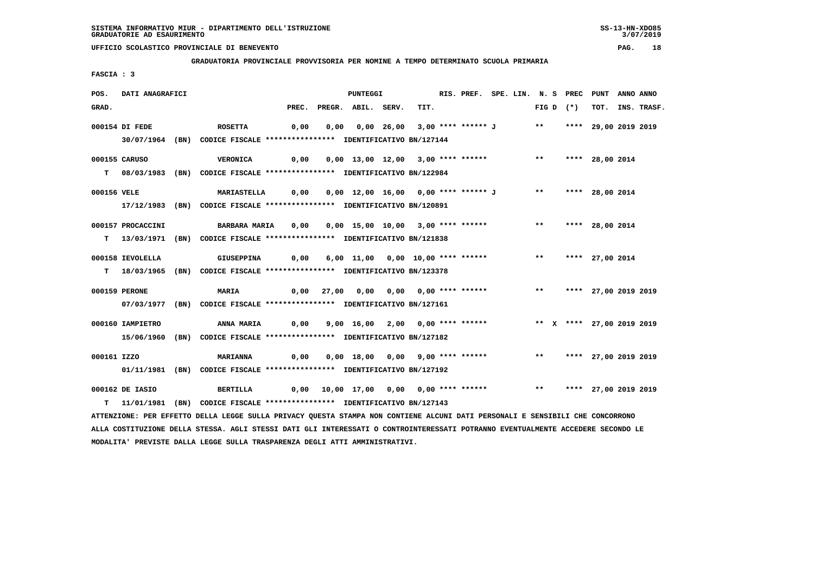**GRADUATORIA PROVINCIALE PROVVISORIA PER NOMINE A TEMPO DETERMINATO SCUOLA PRIMARIA**

 **FASCIA : 3**

| POS.        | DATI ANAGRAFICI   |                                                                                                                               |       |      | PUNTEGGI           |                                                                            | RIS. PREF. SPE. LIN. N. S PREC PUNT ANNO ANNO |  |  |             |                    |                  |
|-------------|-------------------|-------------------------------------------------------------------------------------------------------------------------------|-------|------|--------------------|----------------------------------------------------------------------------|-----------------------------------------------|--|--|-------------|--------------------|------------------|
| GRAD.       |                   |                                                                                                                               | PREC. |      | PREGR. ABIL. SERV. | TIT.                                                                       |                                               |  |  | FIG D $(*)$ |                    | TOT. INS. TRASF. |
|             | 000154 DI FEDE    | <b>ROSETTA</b>                                                                                                                | 0,00  | 0,00 |                    | 0,00 26,00 3,00 **** ****** J ** **** 29,00 2019 2019                      |                                               |  |  |             |                    |                  |
|             |                   | 30/07/1964 (BN) CODICE FISCALE *************** IDENTIFICATIVO BN/127144                                                       |       |      |                    |                                                                            |                                               |  |  |             |                    |                  |
|             | 000155 CARUSO     | <b>VERONICA</b>                                                                                                               | 0,00  |      |                    | $0,00$ 13,00 12,00 3,00 **** ****** *** **                                 |                                               |  |  |             | **** 28,00 2014    |                  |
|             |                   | T 08/03/1983 (BN) CODICE FISCALE *************** IDENTIFICATIVO BN/122984                                                     |       |      |                    |                                                                            |                                               |  |  |             |                    |                  |
| 000156 VELE |                   | MARIASTELLA 0,00                                                                                                              |       |      |                    | 0,00 12,00 16,00 0,00 **** ****** J ** **** 28,00 2014                     |                                               |  |  |             |                    |                  |
|             |                   | 17/12/1983 (BN) CODICE FISCALE *************** IDENTIFICATIVO BN/120891                                                       |       |      |                    |                                                                            |                                               |  |  |             |                    |                  |
|             | 000157 PROCACCINI | BARBARA MARIA     0,00    0,00   15,00   10,00   3,00  ****  ******                                                           |       |      |                    |                                                                            |                                               |  |  |             | ** **** 28,00 2014 |                  |
|             |                   | T 13/03/1971 (BN) CODICE FISCALE *************** IDENTIFICATIVO BN/121838                                                     |       |      |                    |                                                                            |                                               |  |  |             |                    |                  |
|             | 000158 IEVOLELLA  | <b>GIUSEPPINA</b>                                                                                                             | 0,00  |      |                    | 6,00 11,00 0,00 10,00 **** ****** *** *** **** 27,00 2014                  |                                               |  |  |             |                    |                  |
|             |                   | T 18/03/1965 (BN) CODICE FISCALE *************** IDENTIFICATIVO BN/123378                                                     |       |      |                    |                                                                            |                                               |  |  |             |                    |                  |
|             | 000159 PERONE     | <b>MARIA</b>                                                                                                                  |       |      |                    |                                                                            |                                               |  |  |             |                    |                  |
|             |                   | 07/03/1977 (BN) CODICE FISCALE *************** IDENTIFICATIVO BN/127161                                                       |       |      |                    |                                                                            |                                               |  |  |             |                    |                  |
|             | 000160 IAMPIETRO  | <b>ANNA MARIA</b>                                                                                                             |       |      |                    | 0,00 9,00 16,00 2,00 0,00 **** ****** *** ** **** 27,00 2019 2019          |                                               |  |  |             |                    |                  |
|             |                   | 15/06/1960 (BN) CODICE FISCALE *************** IDENTIFICATIVO BN/127182                                                       |       |      |                    |                                                                            |                                               |  |  |             |                    |                  |
| 000161 IZZO |                   | <b>MARIANNA</b>                                                                                                               | 0,00  |      |                    | 0,00 18,00 0,00 9,00 **** ******             **       **** 27,00 2019 2019 |                                               |  |  |             |                    |                  |
|             |                   | 01/11/1981 (BN) CODICE FISCALE **************** IDENTIFICATIVO BN/127192                                                      |       |      |                    |                                                                            |                                               |  |  |             |                    |                  |
|             | 000162 DE IASIO   | BERTILLA                                                                                                                      |       |      |                    | 0,00 10,00 17,00 0,00 0,00 **** ****** *** *** **** 27,00 2019 2019        |                                               |  |  |             |                    |                  |
|             |                   | T 11/01/1981 (BN) CODICE FISCALE **************** IDENTIFICATIVO BN/127143                                                    |       |      |                    |                                                                            |                                               |  |  |             |                    |                  |
|             |                   | ATTENZIONE: PER EFFETTO DELLA LEGGE SULLA PRIVACY QUESTA STAMPA NON CONTIENE ALCUNI DATI PERSONALI E SENSIBILI CHE CONCORRONO |       |      |                    |                                                                            |                                               |  |  |             |                    |                  |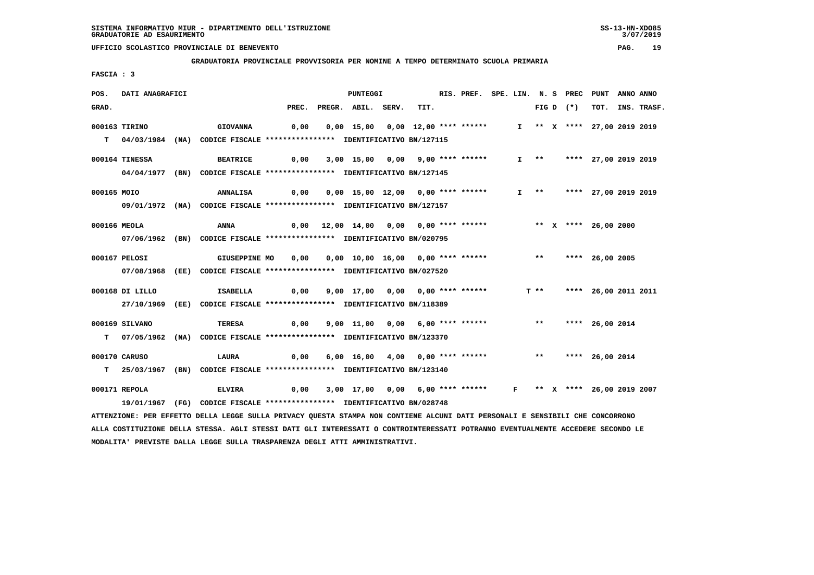**GRADUATORIA PROVINCIALE PROVVISORIA PER NOMINE A TEMPO DETERMINATO SCUOLA PRIMARIA**

 **FASCIA : 3**

| POS.        | DATI ANAGRAFICI                                                                                                                 |                 |               |      | <b>PUNTEGGI</b>                                              |      | RIS. PREF. SPE. LIN. N. S PREC PUNT |  |        |             |                             | ANNO ANNO |                  |
|-------------|---------------------------------------------------------------------------------------------------------------------------------|-----------------|---------------|------|--------------------------------------------------------------|------|-------------------------------------|--|--------|-------------|-----------------------------|-----------|------------------|
| GRAD.       |                                                                                                                                 |                 |               |      | PREC. PREGR. ABIL. SERV.                                     | TIT. |                                     |  |        | FIG D $(*)$ |                             |           | TOT. INS. TRASF. |
|             | 000163 TIRINO                                                                                                                   | <b>GIOVANNA</b> |               | 0,00 | 0,00 15,00 0,00 12,00 **** ******                            |      |                                     |  |        |             | I ** X **** 27,00 2019 2019 |           |                  |
|             | T 04/03/1984 (NA) CODICE FISCALE **************** IDENTIFICATIVO BN/127115                                                      |                 |               |      |                                                              |      |                                     |  |        |             |                             |           |                  |
|             |                                                                                                                                 |                 |               |      |                                                              |      |                                     |  |        |             |                             |           |                  |
|             | 000164 TINESSA                                                                                                                  | <b>BEATRICE</b> |               | 0,00 | 3,00 15,00 0,00 9,00 **** ******                             |      |                                     |  | $I$ ** |             | **** 27,00 2019 2019        |           |                  |
|             | 04/04/1977 (BN) CODICE FISCALE *************** IDENTIFICATIVO BN/127145                                                         |                 |               |      |                                                              |      |                                     |  |        |             |                             |           |                  |
|             |                                                                                                                                 |                 |               |      |                                                              |      |                                     |  |        |             |                             |           |                  |
| 000165 MOIO |                                                                                                                                 | ANNALISA        |               |      |                                                              |      |                                     |  |        |             | I ** **** 27,00 2019 2019   |           |                  |
|             | 09/01/1972 (NA) CODICE FISCALE *************** IDENTIFICATIVO BN/127157                                                         |                 |               |      |                                                              |      |                                     |  |        |             |                             |           |                  |
|             | 000166 MEOLA                                                                                                                    | ANNA            |               |      | 0,00 12,00 14,00 0,00 0,00 **** ******                       |      |                                     |  |        |             | ** X **** 26,00 2000        |           |                  |
|             | 07/06/1962 (BN) CODICE FISCALE *************** IDENTIFICATIVO BN/020795                                                         |                 |               |      |                                                              |      |                                     |  |        |             |                             |           |                  |
|             |                                                                                                                                 |                 |               |      |                                                              |      |                                     |  |        |             |                             |           |                  |
|             | 000167 PELOSI                                                                                                                   |                 | GIUSEPPINE MO | 0,00 | 0,00 10,00 16,00 0,00 **** ****** *** *** **** 26,00 2005    |      |                                     |  |        |             |                             |           |                  |
|             | 07/08/1968 (EE) CODICE FISCALE *************** IDENTIFICATIVO BN/027520                                                         |                 |               |      |                                                              |      |                                     |  |        |             |                             |           |                  |
|             | 000168 DI LILLO                                                                                                                 | ISABELLA        |               | 0,00 | 9,00 17,00 0,00 0,00 **** ******                             |      |                                     |  |        |             | $T$ ** **** 26,00 2011 2011 |           |                  |
|             |                                                                                                                                 |                 |               |      |                                                              |      |                                     |  |        |             |                             |           |                  |
|             | 27/10/1969 (EE) CODICE FISCALE *************** IDENTIFICATIVO BN/118389                                                         |                 |               |      |                                                              |      |                                     |  |        |             |                             |           |                  |
|             | 000169 SILVANO                                                                                                                  | <b>TERESA</b>   |               | 0,00 | 9,00 11,00 0,00 6,00 **** ******                             |      |                                     |  | $***$  |             | **** 26,00 2014             |           |                  |
|             | T 07/05/1962 (NA) CODICE FISCALE **************** IDENTIFICATIVO BN/123370                                                      |                 |               |      |                                                              |      |                                     |  |        |             |                             |           |                  |
|             |                                                                                                                                 |                 |               |      |                                                              |      |                                     |  |        |             |                             |           |                  |
|             | 000170 CARUSO                                                                                                                   | LAURA           |               | 0,00 | 6,00 16,00 4,00 0,00 **** ******                             |      |                                     |  |        |             | ** **** 26,00 2014          |           |                  |
|             | T 25/03/1967 (BN) CODICE FISCALE *************** IDENTIFICATIVO BN/123140                                                       |                 |               |      |                                                              |      |                                     |  |        |             |                             |           |                  |
|             | 000171 REPOLA                                                                                                                   | <b>ELVIRA</b>   |               | 0,00 | 3,00 17,00 0,00 6,00 **** ****** F ** X **** 26,00 2019 2007 |      |                                     |  |        |             |                             |           |                  |
|             | 19/01/1967 (FG) CODICE FISCALE **************** IDENTIFICATIVO BN/028748                                                        |                 |               |      |                                                              |      |                                     |  |        |             |                             |           |                  |
|             | ATTENZIONE: PER EFFETTO DELLA LEGGE SULLA PRIVACY OUESTA STAMPA NON CONTIENE ALCUNI DATI PERSONALI E SENSIBILI CHE CONCORRONO   |                 |               |      |                                                              |      |                                     |  |        |             |                             |           |                  |
|             |                                                                                                                                 |                 |               |      |                                                              |      |                                     |  |        |             |                             |           |                  |
|             | ALLA COSTITUZIONE DELLA STESSA. AGLI STESSI DATI GLI INTERESSATI O CONTROINTERESSATI POTRANNO EVENTUALMENTE ACCEDERE SECONDO LE |                 |               |      |                                                              |      |                                     |  |        |             |                             |           |                  |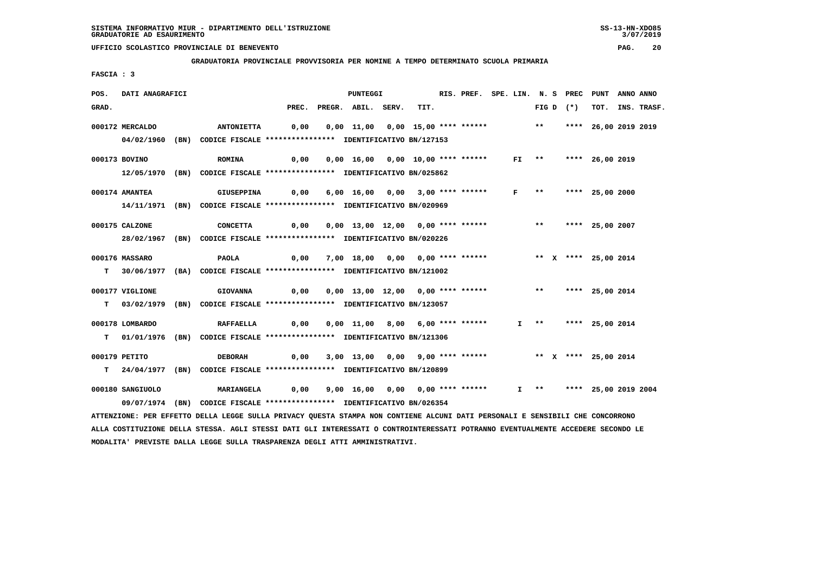**GRADUATORIA PROVINCIALE PROVVISORIA PER NOMINE A TEMPO DETERMINATO SCUOLA PRIMARIA**

 **FASCIA : 3**

| POS.  | DATI ANAGRAFICI  |                                                                                                                                 |                                                                                         | <b>PUNTEGGI</b>                                           |  | RIS. PREF. SPE. LIN. N. S PREC PUNT |  |  |             |                           | ANNO ANNO |                  |
|-------|------------------|---------------------------------------------------------------------------------------------------------------------------------|-----------------------------------------------------------------------------------------|-----------------------------------------------------------|--|-------------------------------------|--|--|-------------|---------------------------|-----------|------------------|
| GRAD. |                  |                                                                                                                                 | PREC.                                                                                   | PREGR. ABIL. SERV.                                        |  | TIT.                                |  |  | $FIG D (*)$ |                           |           | TOT. INS. TRASF. |
|       | 000172 MERCALDO  | <b>ANTONIETTA</b>                                                                                                               | 0,00                                                                                    | 0,00 11,00 0,00 15,00 **** ****** ** **                   |  |                                     |  |  |             | **** 26,00 2019 2019      |           |                  |
|       |                  | 04/02/1960 (BN) CODICE FISCALE *************** IDENTIFICATIVO BN/127153                                                         |                                                                                         |                                                           |  |                                     |  |  |             |                           |           |                  |
|       | 000173 BOVINO    | <b>ROMINA</b>                                                                                                                   | 0,00                                                                                    | 0,00 16,00 0,00 10,00 **** ****** FI ** **** 26,00 2019   |  |                                     |  |  |             |                           |           |                  |
|       |                  | 12/05/1970 (BN) CODICE FISCALE *************** IDENTIFICATIVO BN/025862                                                         |                                                                                         |                                                           |  |                                     |  |  |             |                           |           |                  |
|       |                  |                                                                                                                                 |                                                                                         |                                                           |  |                                     |  |  |             |                           |           |                  |
|       | 000174 AMANTEA   | GIUSEPPINA                                                                                                                      | 0,00 6,00 16,00 0,00 3,00 **** ****** F **                                              |                                                           |  |                                     |  |  |             | **** 25,00 2000           |           |                  |
|       |                  | 14/11/1971 (BN) CODICE FISCALE *************** IDENTIFICATIVO BN/020969                                                         |                                                                                         |                                                           |  |                                     |  |  |             |                           |           |                  |
|       | 000175 CALZONE   | CONCETTA                                                                                                                        | 0,00                                                                                    | 0,00 13,00 12,00 0,00 **** ****** *** *** **** 25,00 2007 |  |                                     |  |  |             |                           |           |                  |
|       |                  | 28/02/1967 (BN) CODICE FISCALE *************** IDENTIFICATIVO BN/020226                                                         |                                                                                         |                                                           |  |                                     |  |  |             |                           |           |                  |
|       |                  |                                                                                                                                 |                                                                                         |                                                           |  |                                     |  |  |             |                           |           |                  |
|       | 000176 MASSARO   | <b>PAOLA</b>                                                                                                                    | 0,00                                                                                    | 7,00 18,00 0,00 0,00 **** ****** * *** * **** 25,00 2014  |  |                                     |  |  |             |                           |           |                  |
|       |                  | T 30/06/1977 (BA) CODICE FISCALE *************** IDENTIFICATIVO BN/121002                                                       |                                                                                         |                                                           |  |                                     |  |  |             |                           |           |                  |
|       | 000177 VIGLIONE  | <b>GIOVANNA</b>                                                                                                                 | 0,00  0,00  13,00  12,00  0,00  ****  ******                 **      ****   25,00  2014 |                                                           |  |                                     |  |  |             |                           |           |                  |
|       |                  | T 03/02/1979 (BN) CODICE FISCALE *************** IDENTIFICATIVO BN/123057                                                       |                                                                                         |                                                           |  |                                     |  |  |             |                           |           |                  |
|       |                  |                                                                                                                                 |                                                                                         |                                                           |  |                                     |  |  |             |                           |           |                  |
|       | 000178 LOMBARDO  | <b>RAFFAELLA</b>                                                                                                                | 0,00                                                                                    | 0,00 11,00 8,00 6,00 **** ******                          |  |                                     |  |  |             | I ** **** 25,00 2014      |           |                  |
|       |                  | T 01/01/1976 (BN) CODICE FISCALE **************** IDENTIFICATIVO BN/121306                                                      |                                                                                         |                                                           |  |                                     |  |  |             |                           |           |                  |
|       | 000179 PETITO    | <b>DEBORAH</b>                                                                                                                  | 0,00                                                                                    |                                                           |  |                                     |  |  |             |                           |           |                  |
|       |                  | T 24/04/1977 (BN) CODICE FISCALE **************** IDENTIFICATIVO BN/120899                                                      |                                                                                         |                                                           |  |                                     |  |  |             |                           |           |                  |
|       |                  |                                                                                                                                 |                                                                                         |                                                           |  |                                     |  |  |             |                           |           |                  |
|       | 000180 SANGIUOLO | <b>MARIANGELA</b>                                                                                                               |                                                                                         | 0,00 9,00 16,00 0,00 0,00 **** ******                     |  |                                     |  |  |             | I ** **** 25,00 2019 2004 |           |                  |
|       |                  | 09/07/1974 (BN) CODICE FISCALE *************** IDENTIFICATIVO BN/026354                                                         |                                                                                         |                                                           |  |                                     |  |  |             |                           |           |                  |
|       |                  | ATTENZIONE: PER EFFETTO DELLA LEGGE SULLA PRIVACY QUESTA STAMPA NON CONTIENE ALCUNI DATI PERSONALI E SENSIBILI CHE CONCORRONO   |                                                                                         |                                                           |  |                                     |  |  |             |                           |           |                  |
|       |                  | ALLA COSTITUZIONE DELLA STESSA. AGLI STESSI DATI GLI INTERESSATI O CONTROINTERESSATI POTRANNO EVENTUALMENTE ACCEDERE SECONDO LE |                                                                                         |                                                           |  |                                     |  |  |             |                           |           |                  |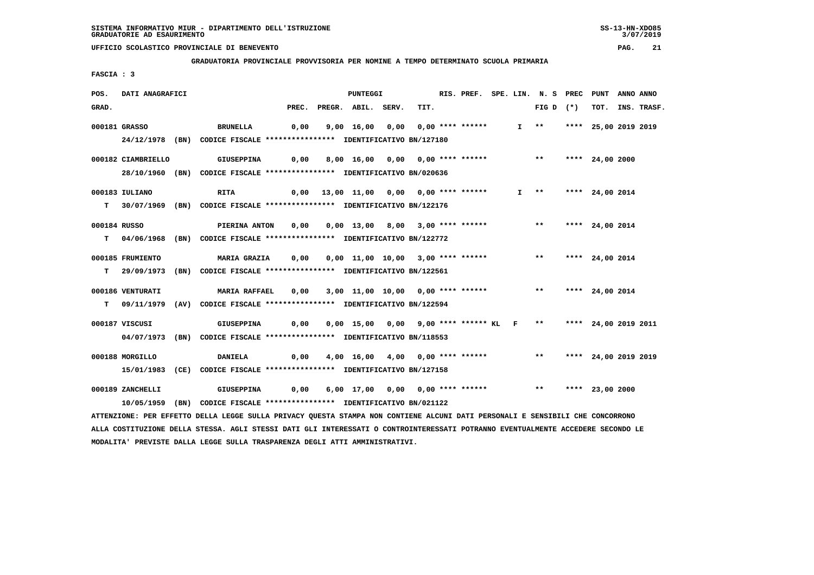**GRADUATORIA PROVINCIALE PROVVISORIA PER NOMINE A TEMPO DETERMINATO SCUOLA PRIMARIA**

 **FASCIA : 3**

| POS.  | DATI ANAGRAFICI    |                                                                                                                                 |       | <b>PUNTEGGI</b>                                               |      |  |  | RIS. PREF. SPE. LIN. N. S PREC PUNT |                 | ANNO ANNO |                  |
|-------|--------------------|---------------------------------------------------------------------------------------------------------------------------------|-------|---------------------------------------------------------------|------|--|--|-------------------------------------|-----------------|-----------|------------------|
| GRAD. |                    |                                                                                                                                 | PREC. | PREGR. ABIL. SERV.                                            | TIT. |  |  | FIG D $(*)$                         |                 |           | TOT. INS. TRASF. |
|       | 000181 GRASSO      | BRUNELLA                                                                                                                        |       | 0,00 9,00 16,00 0,00 0,00 **** ******                         |      |  |  | I ** **** 25,00 2019 2019           |                 |           |                  |
|       |                    | 24/12/1978 (BN) CODICE FISCALE *************** IDENTIFICATIVO BN/127180                                                         |       |                                                               |      |  |  |                                     |                 |           |                  |
|       |                    |                                                                                                                                 |       |                                                               |      |  |  |                                     |                 |           |                  |
|       | 000182 CIAMBRIELLO | <b>GIUSEPPINA</b>                                                                                                               | 0,00  | 8,00 16,00 0,00 0,00 **** ****** *** **                       |      |  |  |                                     | **** 24,00 2000 |           |                  |
|       |                    | 28/10/1960 (BN) CODICE FISCALE *************** IDENTIFICATIVO BN/020636                                                         |       |                                                               |      |  |  |                                     |                 |           |                  |
|       | 000183 IULIANO     | <b>RITA</b>                                                                                                                     |       | 0,00 13,00 11,00 0,00 0,00 **** ******                        |      |  |  | $I$ ** **** 24,00 2014              |                 |           |                  |
|       |                    | T 30/07/1969 (BN) CODICE FISCALE **************** IDENTIFICATIVO BN/122176                                                      |       |                                                               |      |  |  |                                     |                 |           |                  |
|       |                    |                                                                                                                                 |       |                                                               |      |  |  |                                     |                 |           |                  |
|       | 000184 RUSSO       | <b>PIERINA ANTON</b>                                                                                                            | 0,00  | 0,00 13,00 8,00 3,00 **** ******                              |      |  |  | $***$                               | **** 24,00 2014 |           |                  |
|       |                    | T 04/06/1968 (BN) CODICE FISCALE **************** IDENTIFICATIVO BN/122772                                                      |       |                                                               |      |  |  |                                     |                 |           |                  |
|       | 000185 FRUMIENTO   | MARIA GRAZIA 0,00                                                                                                               |       | 0,00 11,00 10,00 3,00 **** ******                             |      |  |  | ** **** 24,00 2014                  |                 |           |                  |
|       |                    | T 29/09/1973 (BN) CODICE FISCALE *************** IDENTIFICATIVO BN/122561                                                       |       |                                                               |      |  |  |                                     |                 |           |                  |
|       |                    |                                                                                                                                 |       |                                                               |      |  |  |                                     |                 |           |                  |
|       | 000186 VENTURATI   | <b>MARIA RAFFAEL</b>                                                                                                            | 0,00  | 3,00 11,00 10,00 0,00 **** ****** *** *** **** 24,00 2014     |      |  |  |                                     |                 |           |                  |
|       |                    | T 09/11/1979 (AV) CODICE FISCALE **************** IDENTIFICATIVO BN/122594                                                      |       |                                                               |      |  |  |                                     |                 |           |                  |
|       |                    |                                                                                                                                 |       |                                                               |      |  |  |                                     |                 |           |                  |
|       | 000187 VISCUSI     | GIUSEPPINA                                                                                                                      | 0,00  | 0,00 15,00 0,00 9,00 **** ****** KL F ** **** 24,00 2019 2011 |      |  |  |                                     |                 |           |                  |
|       |                    | 04/07/1973 (BN) CODICE FISCALE *************** IDENTIFICATIVO BN/118553                                                         |       |                                                               |      |  |  |                                     |                 |           |                  |
|       | 000188 MORGILLO    | <b>DANIELA</b>                                                                                                                  | 0,00  | 4,00 16,00 4,00 0,00 **** ****** *** *** **** 24,00 2019 2019 |      |  |  |                                     |                 |           |                  |
|       |                    | 15/01/1983 (CE) CODICE FISCALE *************** IDENTIFICATIVO BN/127158                                                         |       |                                                               |      |  |  |                                     |                 |           |                  |
|       |                    |                                                                                                                                 |       |                                                               |      |  |  |                                     |                 |           |                  |
|       | 000189 ZANCHELLI   | <b>GIUSEPPINA</b>                                                                                                               | 0,00  | 6,00 17,00 0,00 0,00 **** ****** *** *** **** 23,00 2000      |      |  |  |                                     |                 |           |                  |
|       |                    | 10/05/1959 (BN) CODICE FISCALE **************** IDENTIFICATIVO BN/021122                                                        |       |                                                               |      |  |  |                                     |                 |           |                  |
|       |                    | ATTENZIONE: PER EFFETTO DELLA LEGGE SULLA PRIVACY QUESTA STAMPA NON CONTIENE ALCUNI DATI PERSONALI E SENSIBILI CHE CONCORRONO   |       |                                                               |      |  |  |                                     |                 |           |                  |
|       |                    | ALLA COSTITUZIONE DELLA STESSA. AGLI STESSI DATI GLI INTERESSATI O CONTROINTERESSATI POTRANNO EVENTUALMENTE ACCEDERE SECONDO LE |       |                                                               |      |  |  |                                     |                 |           |                  |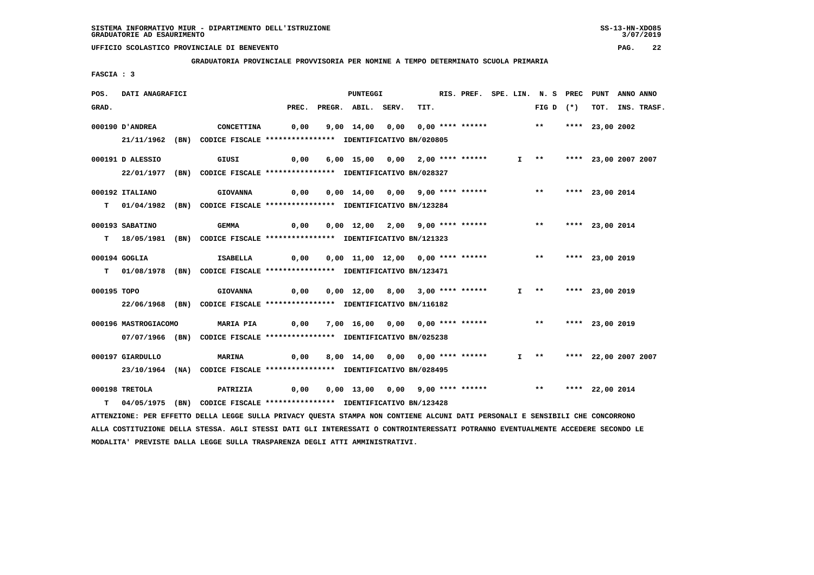#### **GRADUATORIA PROVINCIALE PROVVISORIA PER NOMINE A TEMPO DETERMINATO SCUOLA PRIMARIA**

 **FASCIA : 3**

| POS.        | DATI ANAGRAFICI                                                                                                                 |                                                                         |       | <b>PUNTEGGI</b>                                                      |      | RIS. PREF. SPE. LIN. N. S PREC |  |                           |                      | PUNT            | ANNO ANNO |                  |
|-------------|---------------------------------------------------------------------------------------------------------------------------------|-------------------------------------------------------------------------|-------|----------------------------------------------------------------------|------|--------------------------------|--|---------------------------|----------------------|-----------------|-----------|------------------|
| GRAD.       |                                                                                                                                 |                                                                         | PREC. | PREGR. ABIL. SERV.                                                   | TIT. |                                |  | FIG D $(*)$               |                      |                 |           | TOT. INS. TRASF. |
|             | 000190 D'ANDREA                                                                                                                 | <b>CONCETTINA</b>                                                       | 0,00  | 9,00 14,00 0,00 0,00 **** ****** *** **                              |      |                                |  |                           |                      | **** 23,00 2002 |           |                  |
|             |                                                                                                                                 | 21/11/1962 (BN) CODICE FISCALE *************** IDENTIFICATIVO BN/020805 |       |                                                                      |      |                                |  |                           |                      |                 |           |                  |
|             |                                                                                                                                 |                                                                         |       |                                                                      |      |                                |  |                           |                      |                 |           |                  |
|             | 000191 D ALESSIO                                                                                                                | GIUSI                                                                   | 0,00  | 6,00 15,00 0,00 2,00 **** ******                                     |      |                                |  | $I \longrightarrow$       | **** 23,00 2007 2007 |                 |           |                  |
|             | 22/01/1977 (BN) CODICE FISCALE *************** IDENTIFICATIVO BN/028327                                                         |                                                                         |       |                                                                      |      |                                |  |                           |                      |                 |           |                  |
|             | 000192 ITALIANO                                                                                                                 | <b>GIOVANNA</b>                                                         | 0,00  | 0,00 14,00 0,00 9,00 **** ******                                     |      |                                |  | ** **** 23,00 2014        |                      |                 |           |                  |
|             | T 01/04/1982 (BN) CODICE FISCALE **************** IDENTIFICATIVO BN/123284                                                      |                                                                         |       |                                                                      |      |                                |  |                           |                      |                 |           |                  |
|             |                                                                                                                                 |                                                                         |       |                                                                      |      |                                |  |                           |                      |                 |           |                  |
|             | 000193 SABATINO                                                                                                                 | <b>GEMMA</b>                                                            | 0,00  | 0,00 12,00 2,00 9,00 **** ****** *** **                              |      |                                |  |                           |                      | **** 23,00 2014 |           |                  |
|             | T 18/05/1981 (BN) CODICE FISCALE *************** IDENTIFICATIVO BN/121323                                                       |                                                                         |       |                                                                      |      |                                |  |                           |                      |                 |           |                  |
|             | 000194 GOGLIA                                                                                                                   | ISABELLA                                                                | 0,00  | 0,00 11,00 12,00 0,00 **** ******             **     **** 23,00 2019 |      |                                |  |                           |                      |                 |           |                  |
|             | T 01/08/1978 (BN) CODICE FISCALE *************** IDENTIFICATIVO BN/123471                                                       |                                                                         |       |                                                                      |      |                                |  |                           |                      |                 |           |                  |
| 000195 TOPO |                                                                                                                                 |                                                                         |       | 0,00 12,00 8,00 3,00 **** ******                                     |      |                                |  | $I$ ** **** 23,00 2019    |                      |                 |           |                  |
|             |                                                                                                                                 | <b>GIOVANNA</b>                                                         | 0,00  |                                                                      |      |                                |  |                           |                      |                 |           |                  |
|             | 22/06/1968 (BN) CODICE FISCALE *************** IDENTIFICATIVO BN/116182                                                         |                                                                         |       |                                                                      |      |                                |  |                           |                      |                 |           |                  |
|             | 000196 MASTROGIACOMO                                                                                                            | <b>MARIA PIA</b>                                                        | 0,00  | 7,00 16,00 0,00 0,00 **** ****** *** *** **** 23,00 2019             |      |                                |  |                           |                      |                 |           |                  |
|             | 07/07/1966 (BN) CODICE FISCALE *************** IDENTIFICATIVO BN/025238                                                         |                                                                         |       |                                                                      |      |                                |  |                           |                      |                 |           |                  |
|             |                                                                                                                                 |                                                                         |       |                                                                      |      |                                |  |                           |                      |                 |           |                  |
|             | 000197 GIARDULLO                                                                                                                | MARINA                                                                  | 0,00  | 8,00 14,00 0,00 0,00 **** ******                                     |      |                                |  | I ** **** 22,00 2007 2007 |                      |                 |           |                  |
|             | 23/10/1964 (NA) CODICE FISCALE *************** IDENTIFICATIVO BN/028495                                                         |                                                                         |       |                                                                      |      |                                |  |                           |                      |                 |           |                  |
|             | 000198 TRETOLA                                                                                                                  | <b>PATRIZIA</b>                                                         | 0,00  | 0,00 13,00 0,00 9,00 **** ******             **     **** 22,00 2014  |      |                                |  |                           |                      |                 |           |                  |
| т           | 04/05/1975 (BN) CODICE FISCALE *************** IDENTIFICATIVO BN/123428                                                         |                                                                         |       |                                                                      |      |                                |  |                           |                      |                 |           |                  |
|             | ATTENZIONE: PER EFFETTO DELLA LEGGE SULLA PRIVACY QUESTA STAMPA NON CONTIENE ALCUNI DATI PERSONALI E SENSIBILI CHE CONCORRONO   |                                                                         |       |                                                                      |      |                                |  |                           |                      |                 |           |                  |
|             | ALLA COSTITUZIONE DELLA STESSA. AGLI STESSI DATI GLI INTERESSATI O CONTROINTERESSATI POTRANNO EVENTUALMENTE ACCEDERE SECONDO LE |                                                                         |       |                                                                      |      |                                |  |                           |                      |                 |           |                  |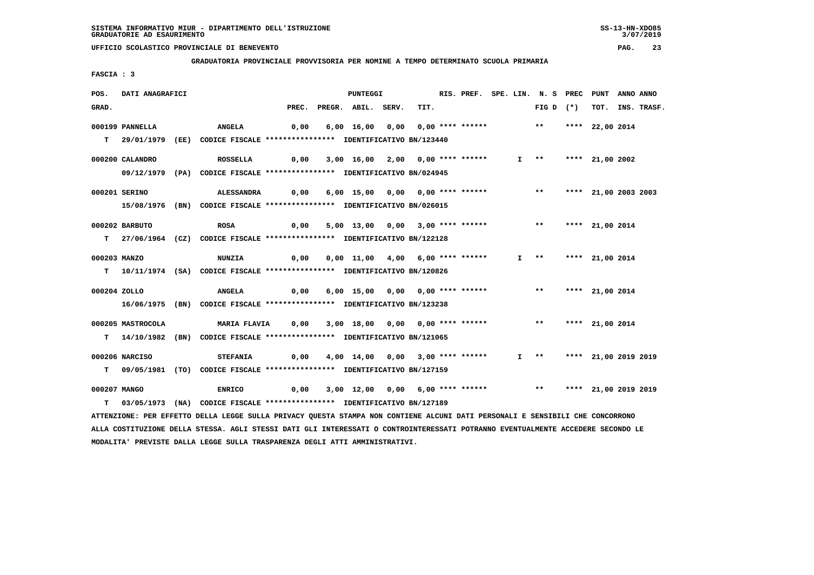**GRADUATORIA PROVINCIALE PROVVISORIA PER NOMINE A TEMPO DETERMINATO SCUOLA PRIMARIA**

 **FASCIA : 3**

| POS.         | DATI ANAGRAFICI   |                                                                                                                                 |       | <b>PUNTEGGI</b>                                               |      | RIS. PREF. SPE. LIN. N. S PREC PUNT |  |                           |                 | ANNO ANNO |                  |
|--------------|-------------------|---------------------------------------------------------------------------------------------------------------------------------|-------|---------------------------------------------------------------|------|-------------------------------------|--|---------------------------|-----------------|-----------|------------------|
| GRAD.        |                   |                                                                                                                                 | PREC. | PREGR. ABIL. SERV.                                            | TIT. |                                     |  | FIG D $(*)$               |                 |           | TOT. INS. TRASF. |
|              | 000199 PANNELLA   | <b>ANGELA</b>                                                                                                                   | 0,00  | 6,00 16,00 0,00 0,00 **** ****** *** **                       |      |                                     |  |                           | **** 22,00 2014 |           |                  |
|              |                   |                                                                                                                                 |       |                                                               |      |                                     |  |                           |                 |           |                  |
| т            |                   | 29/01/1979 (EE) CODICE FISCALE *************** IDENTIFICATIVO BN/123440                                                         |       |                                                               |      |                                     |  |                           |                 |           |                  |
|              | 000200 CALANDRO   | ROSSELLA                                                                                                                        | 0,00  | 3,00 16,00 2,00 0,00 **** ******                              |      |                                     |  | $I \rightarrow \star$     | **** 21,00 2002 |           |                  |
|              |                   | 09/12/1979 (PA) CODICE FISCALE **************** IDENTIFICATIVO BN/024945                                                        |       |                                                               |      |                                     |  |                           |                 |           |                  |
|              | 000201 SERINO     | ALESSANDRA                                                                                                                      |       |                                                               |      |                                     |  | ** **** 21,00 2003 2003   |                 |           |                  |
|              |                   |                                                                                                                                 | 0,00  | 6,00 15,00 0,00 0,00 **** ******                              |      |                                     |  |                           |                 |           |                  |
|              |                   | 15/08/1976 (BN) CODICE FISCALE *************** IDENTIFICATIVO BN/026015                                                         |       |                                                               |      |                                     |  |                           |                 |           |                  |
|              | 000202 BARBUTO    | <b>ROSA</b>                                                                                                                     | 0,00  | 5,00 13,00 0,00 3,00 **** ******                              |      |                                     |  | $***$                     | **** 21,00 2014 |           |                  |
|              |                   | T 27/06/1964 (CZ) CODICE FISCALE **************** IDENTIFICATIVO BN/122128                                                      |       |                                                               |      |                                     |  |                           |                 |           |                  |
|              |                   |                                                                                                                                 |       |                                                               |      |                                     |  |                           |                 |           |                  |
| 000203 MANZO |                   | <b>NUNZIA</b>                                                                                                                   | 0,00  | 0,00 11,00 4,00 6,00 **** ******                              |      |                                     |  | I ** **** 21,00 2014      |                 |           |                  |
|              |                   | T  10/11/1974 (SA) CODICE FISCALE **************** IDENTIFICATIVO BN/120826                                                     |       |                                                               |      |                                     |  |                           |                 |           |                  |
| 000204 ZOLLO |                   | <b>ANGELA</b>                                                                                                                   |       |                                                               |      |                                     |  | $***$                     | **** 21,00 2014 |           |                  |
|              |                   |                                                                                                                                 | 0,00  | 6,00 15,00 0,00 0,00 **** ******                              |      |                                     |  |                           |                 |           |                  |
|              |                   | 16/06/1975 (BN) CODICE FISCALE **************** IDENTIFICATIVO BN/123238                                                        |       |                                                               |      |                                     |  |                           |                 |           |                  |
|              | 000205 MASTROCOLA | MARIA FLAVIA 0,00 3,00 18,00 0,00 0,00 **** ******                                                                              |       |                                                               |      |                                     |  | ** **** 21,00 2014        |                 |           |                  |
|              |                   | T 14/10/1982 (BN) CODICE FISCALE **************** IDENTIFICATIVO BN/121065                                                      |       |                                                               |      |                                     |  |                           |                 |           |                  |
|              |                   |                                                                                                                                 |       |                                                               |      |                                     |  |                           |                 |           |                  |
|              | 000206 NARCISO    | <b>STEFANIA</b>                                                                                                                 | 0,00  | 4,00 14,00 0,00 3,00 **** ******                              |      |                                     |  | I ** **** 21,00 2019 2019 |                 |           |                  |
|              |                   | T 09/05/1981 (TO) CODICE FISCALE *************** IDENTIFICATIVO BN/127159                                                       |       |                                                               |      |                                     |  |                           |                 |           |                  |
| 000207 MANGO |                   | <b>ENRICO</b>                                                                                                                   | 0,00  | 3,00 12,00 0,00 6,00 **** ****** *** *** **** 21,00 2019 2019 |      |                                     |  |                           |                 |           |                  |
|              |                   | T 03/05/1973 (NA) CODICE FISCALE **************** IDENTIFICATIVO BN/127189                                                      |       |                                                               |      |                                     |  |                           |                 |           |                  |
|              |                   | ATTENZIONE: PER EFFETTO DELLA LEGGE SULLA PRIVACY OUESTA STAMPA NON CONTIENE ALCUNI DATI PERSONALI E SENSIBILI CHE CONCORRONO   |       |                                                               |      |                                     |  |                           |                 |           |                  |
|              |                   | ALLA COSTITUZIONE DELLA STESSA. AGLI STESSI DATI GLI INTERESSATI O CONTROINTERESSATI POTRANNO EVENTUALMENTE ACCEDERE SECONDO LE |       |                                                               |      |                                     |  |                           |                 |           |                  |
|              |                   |                                                                                                                                 |       |                                                               |      |                                     |  |                           |                 |           |                  |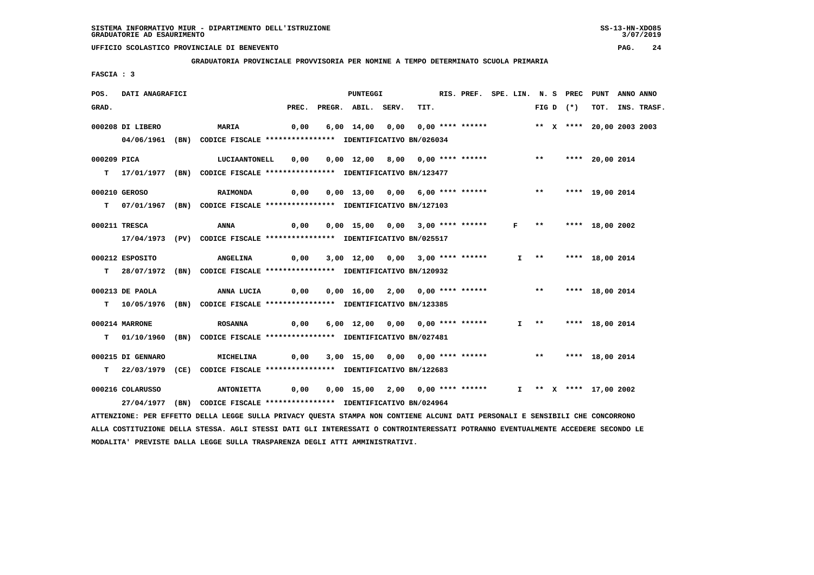**MODALITA' PREVISTE DALLA LEGGE SULLA TRASPARENZA DEGLI ATTI AMMINISTRATIVI.**

# **UFFICIO SCOLASTICO PROVINCIALE DI BENEVENTO PAG. 24**

 **GRADUATORIA PROVINCIALE PROVVISORIA PER NOMINE A TEMPO DETERMINATO SCUOLA PRIMARIA**

 **FASCIA : 3**

| POS.  | DATI ANAGRAFICI   |                                                                                                                                                                                                                                                                  |       | PUNTEGGI                              |      | RIS. PREF. SPE. LIN. N. S PREC |              |                     |             | PUNT                      | ANNO ANNO |                  |
|-------|-------------------|------------------------------------------------------------------------------------------------------------------------------------------------------------------------------------------------------------------------------------------------------------------|-------|---------------------------------------|------|--------------------------------|--------------|---------------------|-------------|---------------------------|-----------|------------------|
| GRAD. |                   |                                                                                                                                                                                                                                                                  | PREC. | PREGR. ABIL. SERV.                    | TIT. |                                |              |                     | FIG D $(*)$ |                           |           | TOT. INS. TRASF. |
|       | 000208 DI LIBERO  | <b>MARIA</b>                                                                                                                                                                                                                                                     | 0,00  | 6,00 14,00 0,00 0,00 **** ******      |      |                                |              |                     |             | ** X **** 20,00 2003 2003 |           |                  |
|       |                   | 04/06/1961 (BN) CODICE FISCALE *************** IDENTIFICATIVO BN/026034                                                                                                                                                                                          |       |                                       |      |                                |              |                     |             |                           |           |                  |
|       | 000209 PICA       | LUCIAANTONELL                                                                                                                                                                                                                                                    |       |                                       |      |                                |              | $***$               |             |                           |           |                  |
|       |                   | T 17/01/1977 (BN) CODICE FISCALE **************** IDENTIFICATIVO BN/123477                                                                                                                                                                                       | 0,00  | 0,00 12,00 8,00 0,00 **** ******      |      |                                |              |                     |             | **** 20,00 2014           |           |                  |
|       |                   |                                                                                                                                                                                                                                                                  |       |                                       |      |                                |              |                     |             |                           |           |                  |
|       | 000210 GEROSO     | <b>RAIMONDA</b>                                                                                                                                                                                                                                                  |       |                                       |      |                                |              |                     |             | ** **** 19,00 2014        |           |                  |
|       |                   | T 07/01/1967 (BN) CODICE FISCALE *************** IDENTIFICATIVO BN/127103                                                                                                                                                                                        |       |                                       |      |                                |              |                     |             |                           |           |                  |
|       | 000211 TRESCA     | ANNA                                                                                                                                                                                                                                                             | 0,00  | 0,00 15,00 0,00 3,00 **** ******      |      |                                | $\mathbf{F}$ | $\star \star$       |             | **** 18,00 2002           |           |                  |
|       |                   | 17/04/1973 (PV) CODICE FISCALE *************** IDENTIFICATIVO BN/025517                                                                                                                                                                                          |       |                                       |      |                                |              |                     |             |                           |           |                  |
|       |                   |                                                                                                                                                                                                                                                                  |       |                                       |      |                                |              |                     |             |                           |           |                  |
|       | 000212 ESPOSITO   | <b>ANGELINA</b>                                                                                                                                                                                                                                                  |       | 0,00 3,00 12,00 0,00 3,00 **** ****** |      |                                |              | $I \longrightarrow$ |             | **** 18,00 2014           |           |                  |
|       |                   | T 28/07/1972 (BN) CODICE FISCALE **************** IDENTIFICATIVO BN/120932                                                                                                                                                                                       |       |                                       |      |                                |              |                     |             |                           |           |                  |
|       | 000213 DE PAOLA   | ANNA LUCIA                                                                                                                                                                                                                                                       | 0,00  | 0,00 16,00 2,00 0,00 **** ******      |      |                                |              | $***$               |             | **** 18,00 2014           |           |                  |
|       |                   | T 10/05/1976 (BN) CODICE FISCALE *************** IDENTIFICATIVO BN/123385                                                                                                                                                                                        |       |                                       |      |                                |              |                     |             |                           |           |                  |
|       |                   |                                                                                                                                                                                                                                                                  |       |                                       |      |                                |              |                     |             |                           |           |                  |
|       | 000214 MARRONE    | <b>ROSANNA</b>                                                                                                                                                                                                                                                   |       | 0,00 6,00 12,00 0,00 0,00 **** ****** |      |                                |              | $I$ **              |             | **** 18,00 2014           |           |                  |
|       |                   | T 01/10/1960 (BN) CODICE FISCALE **************** IDENTIFICATIVO BN/027481                                                                                                                                                                                       |       |                                       |      |                                |              |                     |             |                           |           |                  |
|       | 000215 DI GENNARO | MICHELINA                                                                                                                                                                                                                                                        |       | 0,00 3,00 15,00 0,00 0,00 **** ****** |      |                                |              |                     |             | ** **** 18,00 2014        |           |                  |
|       |                   | T 22/03/1979 (CE) CODICE FISCALE *************** IDENTIFICATIVO BN/122683                                                                                                                                                                                        |       |                                       |      |                                |              |                     |             |                           |           |                  |
|       |                   |                                                                                                                                                                                                                                                                  |       |                                       |      |                                |              |                     |             |                           |           |                  |
|       | 000216 COLARUSSO  | <b>ANTONIETTA</b>                                                                                                                                                                                                                                                |       |                                       |      |                                |              |                     |             | I ** X **** 17,00 2002    |           |                  |
|       |                   | 27/04/1977 (BN) CODICE FISCALE *************** IDENTIFICATIVO BN/024964                                                                                                                                                                                          |       |                                       |      |                                |              |                     |             |                           |           |                  |
|       |                   | ATTENZIONE: PER EFFETTO DELLA LEGGE SULLA PRIVACY QUESTA STAMPA NON CONTIENE ALCUNI DATI PERSONALI E SENSIBILI CHE CONCORRONO<br>ALLA COSTITUZIONE DELLA STESSA. AGLI STESSI DATI GLI INTERESSATI O CONTROINTERESSATI POTRANNO EVENTUALMENTE ACCEDERE SECONDO LE |       |                                       |      |                                |              |                     |             |                           |           |                  |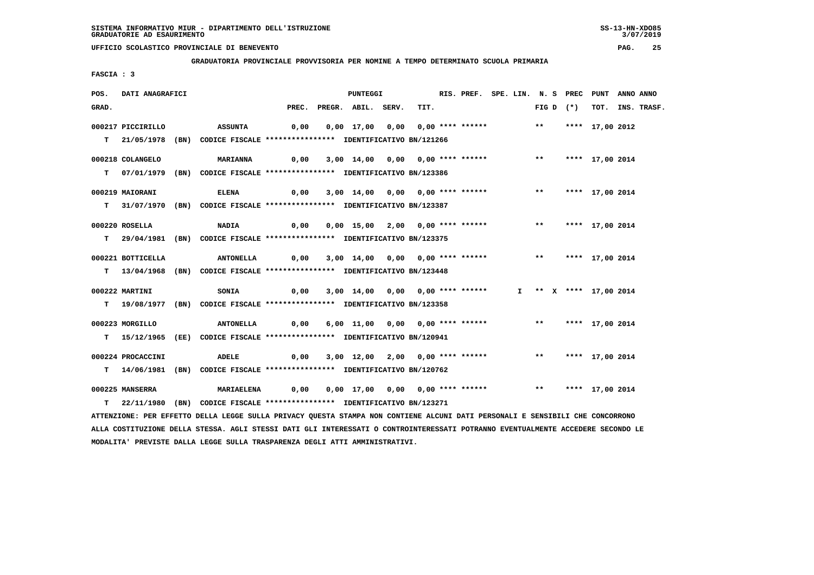**GRADUATORIA PROVINCIALE PROVVISORIA PER NOMINE A TEMPO DETERMINATO SCUOLA PRIMARIA**

 **FASCIA : 3**

| POS.  | DATI ANAGRAFICI        |                                                                                                                               |      | PUNTEGGI                                                                           |      | RIS. PREF. SPE. LIN. N. S PREC PUNT ANNO ANNO |  |  |             |                        |                  |
|-------|------------------------|-------------------------------------------------------------------------------------------------------------------------------|------|------------------------------------------------------------------------------------|------|-----------------------------------------------|--|--|-------------|------------------------|------------------|
| GRAD. |                        |                                                                                                                               |      | PREC. PREGR. ABIL. SERV.                                                           | TIT. |                                               |  |  | FIG D $(*)$ |                        | TOT. INS. TRASF. |
|       | 000217 PICCIRILLO      | ASSUNTA                                                                                                                       | 0,00 | 0,00 17,00 0,00 0,00 **** ****** *** *** **** 17,00 2012                           |      |                                               |  |  |             |                        |                  |
|       |                        | T 21/05/1978 (BN) CODICE FISCALE *************** IDENTIFICATIVO BN/121266                                                     |      |                                                                                    |      |                                               |  |  |             |                        |                  |
|       |                        |                                                                                                                               |      |                                                                                    |      |                                               |  |  |             |                        |                  |
|       | 000218 COLANGELO       | <b>MARIANNA</b>                                                                                                               | 0,00 | 3,00 14,00 0,00 0,00 **** ****** *** *** **** 17,00 2014                           |      |                                               |  |  |             |                        |                  |
|       |                        | T 07/01/1979 (BN) CODICE FISCALE *************** IDENTIFICATIVO BN/123386                                                     |      |                                                                                    |      |                                               |  |  |             |                        |                  |
|       |                        |                                                                                                                               |      |                                                                                    |      |                                               |  |  |             |                        |                  |
|       | 000219 MAIORANI        | <b>ELENA</b>                                                                                                                  | 0,00 | 3,00 14,00 0,00 0,00 **** ****** *** *** **** 17,00 2014                           |      |                                               |  |  |             |                        |                  |
|       |                        | T 31/07/1970 (BN) CODICE FISCALE *************** IDENTIFICATIVO BN/123387                                                     |      |                                                                                    |      |                                               |  |  |             |                        |                  |
|       | 000220 ROSELLA         | <b>NADIA</b>                                                                                                                  |      | 0,00  0,00  15,00  2,00  0,00  ****  ******    **        ***    ***    17,00  2014 |      |                                               |  |  |             |                        |                  |
|       |                        | T 29/04/1981 (BN) CODICE FISCALE **************** IDENTIFICATIVO BN/123375                                                    |      |                                                                                    |      |                                               |  |  |             |                        |                  |
|       |                        |                                                                                                                               |      |                                                                                    |      |                                               |  |  |             |                        |                  |
|       | 000221 BOTTICELLA      | ANTONELLA 0,00 3,00 14,00 0,00 0,00 **** ****** **** **** 17,00 2014                                                          |      |                                                                                    |      |                                               |  |  |             |                        |                  |
|       |                        | T 13/04/1968 (BN) CODICE FISCALE **************** IDENTIFICATIVO BN/123448                                                    |      |                                                                                    |      |                                               |  |  |             |                        |                  |
|       |                        |                                                                                                                               |      |                                                                                    |      |                                               |  |  |             |                        |                  |
|       | 000222 MARTINI         | <b>SONIA</b>                                                                                                                  | 0,00 | 3,00 14,00 0,00 0,00 **** ******                                                   |      |                                               |  |  |             | I ** X **** 17,00 2014 |                  |
|       |                        | T 19/08/1977 (BN) CODICE FISCALE *************** IDENTIFICATIVO BN/123358                                                     |      |                                                                                    |      |                                               |  |  |             |                        |                  |
|       | 000223 MORGILLO        | ANTONELLA                                                                                                                     |      | 0,00 6,00 11,00 0,00 0,00 **** ****** *** *** **** 17,00 2014                      |      |                                               |  |  |             |                        |                  |
|       |                        | T 15/12/1965 (EE) CODICE FISCALE *************** IDENTIFICATIVO BN/120941                                                     |      |                                                                                    |      |                                               |  |  |             |                        |                  |
|       |                        |                                                                                                                               |      |                                                                                    |      |                                               |  |  |             |                        |                  |
|       | 000224 PROCACCINI      | ADELE                                                                                                                         |      |                                                                                    |      |                                               |  |  |             |                        |                  |
|       |                        | T 14/06/1981 (BN) CODICE FISCALE **************** IDENTIFICATIVO BN/120762                                                    |      |                                                                                    |      |                                               |  |  |             |                        |                  |
|       |                        |                                                                                                                               |      |                                                                                    |      |                                               |  |  |             |                        |                  |
|       | <b>000225 MANSERRA</b> | <b>MARIAELENA</b>                                                                                                             |      | 0,00 0,00 17,00 0,00 0,00 **** ****** *** *** **** 17,00 2014                      |      |                                               |  |  |             |                        |                  |
|       |                        | T 22/11/1980 (BN) CODICE FISCALE *************** IDENTIFICATIVO BN/123271                                                     |      |                                                                                    |      |                                               |  |  |             |                        |                  |
|       |                        | ATTENZIONE: PER EFFETTO DELLA LEGGE SULLA PRIVACY QUESTA STAMPA NON CONTIENE ALCUNI DATI PERSONALI E SENSIBILI CHE CONCORRONO |      |                                                                                    |      |                                               |  |  |             |                        |                  |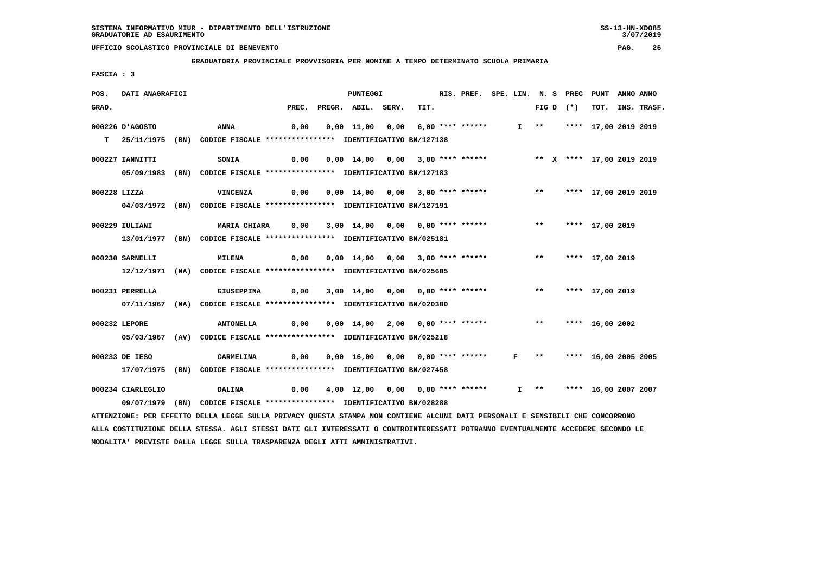**GRADUATORIA PROVINCIALE PROVVISORIA PER NOMINE A TEMPO DETERMINATO SCUOLA PRIMARIA**

 **FASCIA : 3**

| POS.  | DATI ANAGRAFICI   |                                                                                                                               |       | <b>PUNTEGGI</b>                                                        |      | RIS. PREF. SPE. LIN. N. S PREC |              |                          | PUNT                    | ANNO ANNO |             |
|-------|-------------------|-------------------------------------------------------------------------------------------------------------------------------|-------|------------------------------------------------------------------------|------|--------------------------------|--------------|--------------------------|-------------------------|-----------|-------------|
| GRAD. |                   |                                                                                                                               | PREC. | PREGR. ABIL. SERV.                                                     | TIT. |                                |              | FIG D $(*)$              | тот.                    |           | INS. TRASF. |
|       | 000226 D'AGOSTO   | <b>ANNA</b>                                                                                                                   | 0,00  | 0,00 11,00 0,00 6,00 **** ******                                       |      |                                |              | $I \longrightarrow$ $**$ | **** 17,00 2019 2019    |           |             |
| T.    |                   | 25/11/1975 (BN) CODICE FISCALE *************** IDENTIFICATIVO BN/127138                                                       |       |                                                                        |      |                                |              |                          |                         |           |             |
|       | 000227 IANNITTI   | <b>SONIA</b>                                                                                                                  | 0,00  | 0,00 14,00 0,00 3,00 **** ******             ** x **** 17,00 2019 2019 |      |                                |              |                          |                         |           |             |
|       |                   | 05/09/1983 (BN) CODICE FISCALE *************** IDENTIFICATIVO BN/127183                                                       |       |                                                                        |      |                                |              |                          |                         |           |             |
|       | 000228 LIZZA      | <b>VINCENZA</b>                                                                                                               | 0,00  | 0,00 14,00 0,00 3,00 **** ******                                       |      |                                |              |                          | ** **** 17,00 2019 2019 |           |             |
|       |                   | 04/03/1972 (BN) CODICE FISCALE *************** IDENTIFICATIVO BN/127191                                                       |       |                                                                        |      |                                |              |                          |                         |           |             |
|       | 000229 IULIANI    | <b>MARIA CHIARA</b>                                                                                                           | 0,00  | 3,00 14,00 0,00 0,00 **** ******                                       |      |                                |              |                          | ** **** 17,00 2019      |           |             |
|       |                   | 13/01/1977 (BN) CODICE FISCALE *************** IDENTIFICATIVO BN/025181                                                       |       |                                                                        |      |                                |              |                          |                         |           |             |
|       | 000230 SARNELLI   | <b>MILENA</b>                                                                                                                 | 0,00  | 0,00 14,00 0,00 3,00 **** ****** *** **                                |      |                                |              |                          | **** 17,00 2019         |           |             |
|       |                   | 12/12/1971 (NA) CODICE FISCALE *************** IDENTIFICATIVO BN/025605                                                       |       |                                                                        |      |                                |              |                          |                         |           |             |
|       | 000231 PERRELLA   | <b>GIUSEPPINA</b>                                                                                                             | 0,00  | 3,00 14,00 0,00 0,00 **** ******                                       |      |                                |              | $***$                    | **** 17,00 2019         |           |             |
|       |                   | 07/11/1967 (NA) CODICE FISCALE *************** IDENTIFICATIVO BN/020300                                                       |       |                                                                        |      |                                |              |                          |                         |           |             |
|       | 000232 LEPORE     | <b>ANTONELLA</b>                                                                                                              | 0,00  | 0,00 14,00 2,00 0,00 **** ****** *** **                                |      |                                |              |                          | **** 16,00 2002         |           |             |
|       |                   | 05/03/1967 (AV) CODICE FISCALE *************** IDENTIFICATIVO BN/025218                                                       |       |                                                                        |      |                                |              |                          |                         |           |             |
|       | 000233 DE IESO    | CARMELINA                                                                                                                     | 0,00  | 0,00 16,00 0,00 0,00 **** ******                                       |      |                                | $\mathbf{F}$ |                          | ** **** 16,00 2005 2005 |           |             |
|       |                   | 17/07/1975 (BN) CODICE FISCALE *************** IDENTIFICATIVO BN/027458                                                       |       |                                                                        |      |                                |              |                          |                         |           |             |
|       |                   |                                                                                                                               |       |                                                                        |      |                                |              |                          |                         |           |             |
|       | 000234 CIARLEGLIO | <b>DALINA</b>                                                                                                                 | 0,00  | 4,00 12,00 0,00 0,00 **** ******                                       |      |                                |              | $I \longrightarrow$ $**$ | **** 16,00 2007 2007    |           |             |
|       |                   | 09/07/1979 (BN) CODICE FISCALE *************** IDENTIFICATIVO BN/028288                                                       |       |                                                                        |      |                                |              |                          |                         |           |             |
|       |                   | ATTENZIONE: PER EFFETTO DELLA LEGGE SULLA PRIVACY QUESTA STAMPA NON CONTIENE ALCUNI DATI PERSONALI E SENSIBILI CHE CONCORRONO |       |                                                                        |      |                                |              |                          |                         |           |             |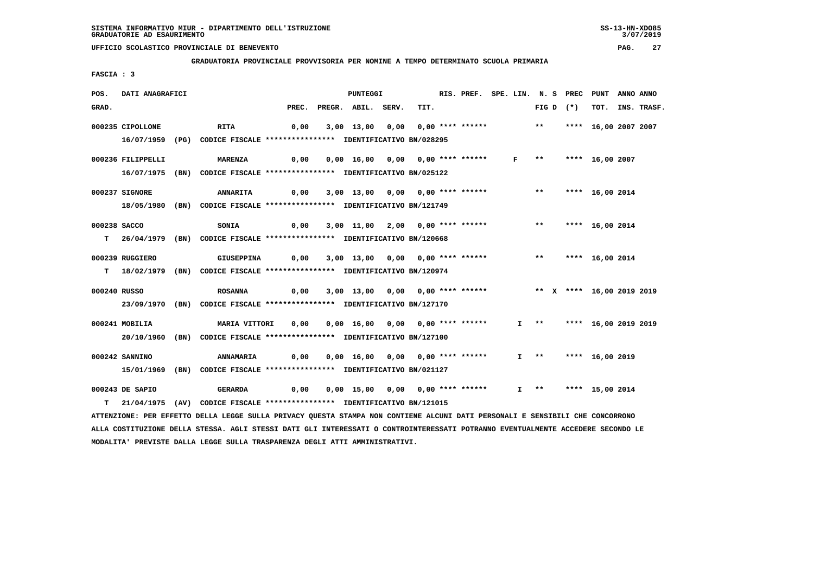#### **GRADUATORIA PROVINCIALE PROVVISORIA PER NOMINE A TEMPO DETERMINATO SCUOLA PRIMARIA**

 **FASCIA : 3**

| POS.  | DATI ANAGRAFICI   |                                                                                                                               |       | PUNTEGGI                                                               |      | RIS. PREF. SPE. LIN. N. S PREC PUNT |              |                        |                      | ANNO ANNO |                  |
|-------|-------------------|-------------------------------------------------------------------------------------------------------------------------------|-------|------------------------------------------------------------------------|------|-------------------------------------|--------------|------------------------|----------------------|-----------|------------------|
| GRAD. |                   |                                                                                                                               | PREC. | PREGR. ABIL. SERV.                                                     | TIT. |                                     |              | FIG D $(*)$            |                      |           | TOT. INS. TRASF. |
|       | 000235 CIPOLLONE  | <b>RITA</b>                                                                                                                   | 0,00  | 3,00 13,00 0,00 0,00 **** ****** ** **                                 |      |                                     |              |                        | **** 16,00 2007 2007 |           |                  |
|       |                   | 16/07/1959 (PG) CODICE FISCALE *************** IDENTIFICATIVO BN/028295                                                       |       |                                                                        |      |                                     |              |                        |                      |           |                  |
|       | 000236 FILIPPELLI | <b>MARENZA</b>                                                                                                                | 0,00  | 0,00 16,00 0,00 0,00 **** ******                                       |      |                                     | $\mathbf{F}$ | ** **** 16,00 2007     |                      |           |                  |
|       |                   | 16/07/1975 (BN) CODICE FISCALE *************** IDENTIFICATIVO BN/025122                                                       |       |                                                                        |      |                                     |              |                        |                      |           |                  |
|       | 000237 SIGNORE    | <b>ANNARITA</b>                                                                                                               | 0,00  | 3,00 13,00 0,00 0,00 **** ****** *** **                                |      |                                     |              |                        | **** 16,00 2014      |           |                  |
|       |                   | 18/05/1980 (BN) CODICE FISCALE *************** IDENTIFICATIVO BN/121749                                                       |       |                                                                        |      |                                     |              |                        |                      |           |                  |
|       | 000238 SACCO      | SONIA                                                                                                                         | 0,00  | 3,00 11,00 2,00 0,00 **** ******                                       |      |                                     |              | ** **** 16,00 2014     |                      |           |                  |
|       |                   | T 26/04/1979 (BN) CODICE FISCALE **************** IDENTIFICATIVO BN/120668                                                    |       |                                                                        |      |                                     |              |                        |                      |           |                  |
|       |                   |                                                                                                                               |       |                                                                        |      |                                     |              |                        |                      |           |                  |
|       | 000239 RUGGIERO   | GIUSEPPINA                                                                                                                    |       | 0,00 3,00 13,00 0,00 0,00 **** ****** *** *** **** 16,00 2014          |      |                                     |              |                        |                      |           |                  |
|       |                   | T 18/02/1979 (BN) CODICE FISCALE **************** IDENTIFICATIVO BN/120974                                                    |       |                                                                        |      |                                     |              |                        |                      |           |                  |
|       | 000240 RUSSO      | <b>ROSANNA</b>                                                                                                                | 0,00  | 3,00 13,00 0,00 0,00 **** ******             ** X **** 16,00 2019 2019 |      |                                     |              |                        |                      |           |                  |
|       |                   | 23/09/1970 (BN) CODICE FISCALE *************** IDENTIFICATIVO BN/127170                                                       |       |                                                                        |      |                                     |              |                        |                      |           |                  |
|       | 000241 MOBILIA    | MARIA VITTORI                                                                                                                 | 0,00  | 0,00 16,00 0,00 0,00 **** ******                                       |      |                                     |              | $I \rightarrow \star$  | **** 16,00 2019 2019 |           |                  |
|       |                   | 20/10/1960 (BN) CODICE FISCALE *************** IDENTIFICATIVO BN/127100                                                       |       |                                                                        |      |                                     |              |                        |                      |           |                  |
|       |                   |                                                                                                                               |       |                                                                        |      |                                     |              |                        |                      |           |                  |
|       | 000242 SANNINO    | <b>ANNAMARIA</b>                                                                                                              | 0,00  | 0,00 16,00 0,00 0,00 **** ******                                       |      |                                     |              | $I$ ** **** 16,00 2019 |                      |           |                  |
|       | 15/01/1969        | (BN) CODICE FISCALE **************** IDENTIFICATIVO BN/021127                                                                 |       |                                                                        |      |                                     |              |                        |                      |           |                  |
|       | 000243 DE SAPIO   | <b>GERARDA</b>                                                                                                                | 0,00  | 0,00 15,00 0,00 0,00 **** ******                                       |      |                                     |              | I ** **** 15,00 2014   |                      |           |                  |
|       |                   | T 21/04/1975 (AV) CODICE FISCALE **************** IDENTIFICATIVO BN/121015                                                    |       |                                                                        |      |                                     |              |                        |                      |           |                  |
|       |                   | ATTENZIONE: PER EFFETTO DELLA LEGGE SULLA PRIVACY QUESTA STAMPA NON CONTIENE ALCUNI DATI PERSONALI E SENSIBILI CHE CONCORRONO |       |                                                                        |      |                                     |              |                        |                      |           |                  |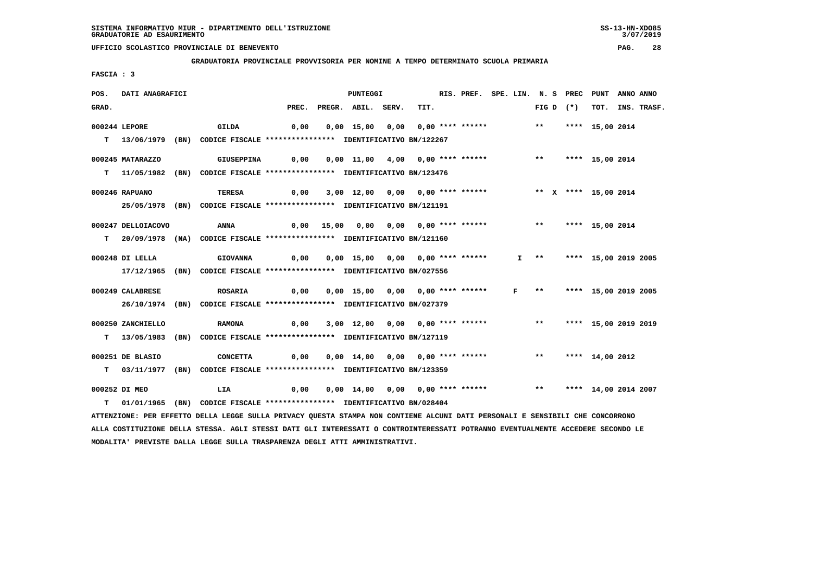**GRADUATORIA PROVINCIALE PROVVISORIA PER NOMINE A TEMPO DETERMINATO SCUOLA PRIMARIA**

 **FASCIA : 3**

| POS.  | DATI ANAGRAFICI    |                                                                                                                                 |       | <b>PUNTEGGI</b>                         |      | RIS. PREF. SPE. LIN. N. S PREC PUNT |  |       |             |                           | ANNO ANNO |             |
|-------|--------------------|---------------------------------------------------------------------------------------------------------------------------------|-------|-----------------------------------------|------|-------------------------------------|--|-------|-------------|---------------------------|-----------|-------------|
| GRAD. |                    |                                                                                                                                 | PREC. | PREGR. ABIL. SERV.                      | TIT. |                                     |  |       | FIG D $(*)$ | тот.                      |           | INS. TRASF. |
|       | 000244 LEPORE      | GILDA                                                                                                                           | 0,00  | $0,00$ 15,00 0,00 0,00 **** ******      |      |                                     |  | $***$ |             | **** 15,00 2014           |           |             |
|       |                    |                                                                                                                                 |       |                                         |      |                                     |  |       |             |                           |           |             |
|       | T 13/06/1979       | (BN) CODICE FISCALE **************** IDENTIFICATIVO BN/122267                                                                   |       |                                         |      |                                     |  |       |             |                           |           |             |
|       | 000245 MATARAZZO   | <b>GIUSEPPINA</b>                                                                                                               | 0,00  | 0,00 11,00 4,00 0,00 **** ******        |      |                                     |  | $***$ |             | **** 15,00 2014           |           |             |
|       |                    | T 11/05/1982 (BN) CODICE FISCALE **************** IDENTIFICATIVO BN/123476                                                      |       |                                         |      |                                     |  |       |             |                           |           |             |
|       |                    |                                                                                                                                 |       |                                         |      |                                     |  |       |             |                           |           |             |
|       | 000246 RAPUANO     | <b>TERESA</b>                                                                                                                   | 0,00  | 3,00 12,00 0,00 0,00 **** ******        |      |                                     |  |       |             | ** X **** 15,00 2014      |           |             |
|       |                    | 25/05/1978 (BN) CODICE FISCALE *************** IDENTIFICATIVO BN/121191                                                         |       |                                         |      |                                     |  |       |             |                           |           |             |
|       | 000247 DELLOIACOVO | <b>ANNA</b>                                                                                                                     | 0,00  |                                         |      |                                     |  | $***$ |             | **** 15,00 2014           |           |             |
|       |                    | T 20/09/1978 (NA) CODICE FISCALE **************** IDENTIFICATIVO BN/121160                                                      |       |                                         |      |                                     |  |       |             |                           |           |             |
|       |                    |                                                                                                                                 |       |                                         |      |                                     |  |       |             |                           |           |             |
|       | 000248 DI LELLA    | <b>GIOVANNA</b>                                                                                                                 | 0,00  | 0,00 15,00 0,00 0,00 **** ******        |      |                                     |  |       |             | I ** **** 15,00 2019 2005 |           |             |
|       |                    | 17/12/1965 (BN) CODICE FISCALE *************** IDENTIFICATIVO BN/027556                                                         |       |                                         |      |                                     |  |       |             |                           |           |             |
|       |                    |                                                                                                                                 |       |                                         |      |                                     |  |       |             |                           |           |             |
|       | 000249 CALABRESE   | <b>ROSARIA</b>                                                                                                                  | 0,00  | 0,00 15,00 0,00 0,00 **** ****** F **   |      |                                     |  |       |             | **** 15,00 2019 2005      |           |             |
|       |                    | 26/10/1974 (BN) CODICE FISCALE *************** IDENTIFICATIVO BN/027379                                                         |       |                                         |      |                                     |  |       |             |                           |           |             |
|       | 000250 ZANCHIELLO  | <b>RAMONA</b>                                                                                                                   | 0,00  | 3,00 12,00 0,00 0,00 **** ******        |      |                                     |  | $***$ |             | **** 15,00 2019 2019      |           |             |
|       |                    | T 13/05/1983 (BN) CODICE FISCALE *************** IDENTIFICATIVO BN/127119                                                       |       |                                         |      |                                     |  |       |             |                           |           |             |
|       |                    |                                                                                                                                 |       |                                         |      |                                     |  |       |             |                           |           |             |
|       | 000251 DE BLASIO   | <b>CONCETTA</b>                                                                                                                 | 0,00  | 0,00 14,00 0,00 0,00 **** ******        |      |                                     |  |       |             | ** **** 14,00 2012        |           |             |
|       |                    | T 03/11/1977 (BN) CODICE FISCALE **************** IDENTIFICATIVO BN/123359                                                      |       |                                         |      |                                     |  |       |             |                           |           |             |
|       | 000252 DI MEO      | LIA                                                                                                                             | 0,00  | 0,00 14,00 0,00 0,00 **** ****** *** ** |      |                                     |  |       |             | **** 14,00 2014 2007      |           |             |
|       |                    |                                                                                                                                 |       |                                         |      |                                     |  |       |             |                           |           |             |
|       |                    | T 01/01/1965 (BN) CODICE FISCALE **************** IDENTIFICATIVO BN/028404                                                      |       |                                         |      |                                     |  |       |             |                           |           |             |
|       |                    | ATTENZIONE: PER EFFETTO DELLA LEGGE SULLA PRIVACY QUESTA STAMPA NON CONTIENE ALCUNI DATI PERSONALI E SENSIBILI CHE CONCORRONO   |       |                                         |      |                                     |  |       |             |                           |           |             |
|       |                    | ALLA COSTITUZIONE DELLA STESSA. AGLI STESSI DATI GLI INTERESSATI O CONTROINTERESSATI POTRANNO EVENTUALMENTE ACCEDERE SECONDO LE |       |                                         |      |                                     |  |       |             |                           |           |             |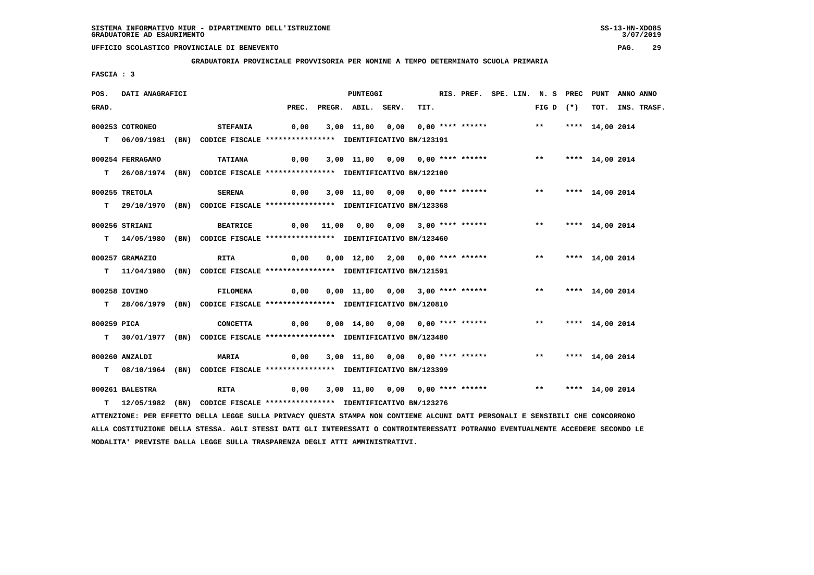**GRADUATORIA PROVINCIALE PROVVISORIA PER NOMINE A TEMPO DETERMINATO SCUOLA PRIMARIA**

 **FASCIA : 3**

| POS.        | DATI ANAGRAFICI  |                                                                                                                               |                                                               | <b>PUNTEGGI</b>                                               |      |  |  | RIS. PREF. SPE. LIN. N. S PREC PUNT ANNO ANNO |                 |                  |
|-------------|------------------|-------------------------------------------------------------------------------------------------------------------------------|---------------------------------------------------------------|---------------------------------------------------------------|------|--|--|-----------------------------------------------|-----------------|------------------|
| GRAD.       |                  |                                                                                                                               |                                                               | PREC. PREGR. ABIL. SERV.                                      | TIT. |  |  | FIG D $(*)$                                   |                 | TOT. INS. TRASF. |
|             | 000253 COTRONEO  | <b>STEFANIA</b>                                                                                                               |                                                               | 0,00 3,00 11,00 0,00 0,00 **** ****** *** **                  |      |  |  |                                               | **** 14,00 2014 |                  |
|             |                  | T 06/09/1981 (BN) CODICE FISCALE *************** IDENTIFICATIVO BN/123191                                                     |                                                               |                                                               |      |  |  |                                               |                 |                  |
|             |                  |                                                                                                                               |                                                               |                                                               |      |  |  |                                               |                 |                  |
|             | 000254 FERRAGAMO | <b>TATIANA</b>                                                                                                                | 0,00 3,00 11,00 0,00 0,00 **** ****** *** *** **** 14,00 2014 |                                                               |      |  |  |                                               |                 |                  |
|             |                  | T 26/08/1974 (BN) CODICE FISCALE *************** IDENTIFICATIVO BN/122100                                                     |                                                               |                                                               |      |  |  |                                               |                 |                  |
|             | 000255 TRETOLA   | <b>SERENA</b>                                                                                                                 | 0,00                                                          | 3,00 11,00 0,00 0,00 **** ****** *** **                       |      |  |  |                                               | **** 14,00 2014 |                  |
|             |                  | T 29/10/1970 (BN) CODICE FISCALE *************** IDENTIFICATIVO BN/123368                                                     |                                                               |                                                               |      |  |  |                                               |                 |                  |
|             | 000256 STRIANI   | <b>BEATRICE</b>                                                                                                               |                                                               | 0,00 11,00 0,00 0,00 3,00 **** ****** *** *** **** 14,00 2014 |      |  |  |                                               |                 |                  |
|             |                  | T 14/05/1980 (BN) CODICE FISCALE *************** IDENTIFICATIVO BN/123460                                                     |                                                               |                                                               |      |  |  |                                               |                 |                  |
|             | 000257 GRAMAZIO  | RITA                                                                                                                          | 0,00                                                          | 0,00 12,00 2,00 0,00 **** ****** *** *** **** 14,00 2014      |      |  |  |                                               |                 |                  |
|             |                  | T 11/04/1980 (BN) CODICE FISCALE *************** IDENTIFICATIVO BN/121591                                                     |                                                               |                                                               |      |  |  |                                               |                 |                  |
|             | 000258 IOVINO    | <b>FILOMENA</b>                                                                                                               |                                                               |                                                               |      |  |  |                                               | **** 14,00 2014 |                  |
|             |                  | T 28/06/1979 (BN) CODICE FISCALE *************** IDENTIFICATIVO BN/120810                                                     |                                                               |                                                               |      |  |  |                                               |                 |                  |
| 000259 PICA |                  | <b>CONCETTA</b>                                                                                                               | 0,00                                                          | 0,00 14,00 0,00 0,00 **** ******               **             |      |  |  |                                               | **** 14,00 2014 |                  |
|             |                  | T 30/01/1977 (BN) CODICE FISCALE *************** IDENTIFICATIVO BN/123480                                                     |                                                               |                                                               |      |  |  |                                               |                 |                  |
|             |                  |                                                                                                                               |                                                               |                                                               |      |  |  |                                               |                 |                  |
|             | 000260 ANZALDI   | <b>MARIA</b>                                                                                                                  | 0,00                                                          | 3,00 11,00 0,00 0,00 **** ******                              |      |  |  | ** **** 14,00 2014                            |                 |                  |
|             |                  | T 08/10/1964 (BN) CODICE FISCALE *************** IDENTIFICATIVO BN/123399                                                     |                                                               |                                                               |      |  |  |                                               |                 |                  |
|             | 000261 BALESTRA  | <b>RITA</b>                                                                                                                   | $\sim$ 0,00                                                   | 3,00 11,00 0,00 0,00 **** ****** *** *** **** 14,00 2014      |      |  |  |                                               |                 |                  |
|             |                  | T 12/05/1982 (BN) CODICE FISCALE *************** IDENTIFICATIVO BN/123276                                                     |                                                               |                                                               |      |  |  |                                               |                 |                  |
|             |                  | ATTENZIONE: PER EFFETTO DELLA LEGGE SULLA PRIVACY QUESTA STAMPA NON CONTIENE ALCUNI DATI PERSONALI E SENSIBILI CHE CONCORRONO |                                                               |                                                               |      |  |  |                                               |                 |                  |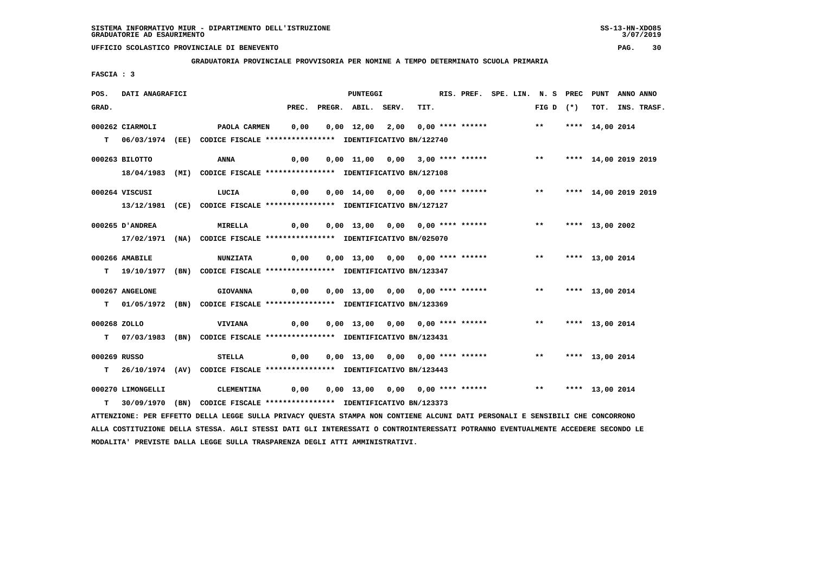**GRADUATORIA PROVINCIALE PROVVISORIA PER NOMINE A TEMPO DETERMINATO SCUOLA PRIMARIA**

 **FASCIA : 3**

| POS.         | DATI ANAGRAFICI   |                                                                                                                               |      |                                                                                     | PUNTEGGI                                                  |      |  |  | RIS. PREF. SPE. LIN. N. S PREC PUNT |  | ANNO ANNO |                  |
|--------------|-------------------|-------------------------------------------------------------------------------------------------------------------------------|------|-------------------------------------------------------------------------------------|-----------------------------------------------------------|------|--|--|-------------------------------------|--|-----------|------------------|
| GRAD.        |                   |                                                                                                                               |      | PREC. PREGR. ABIL. SERV.                                                            |                                                           | TIT. |  |  | FIG D $(*)$                         |  |           | TOT. INS. TRASF. |
|              | 000262 CIARMOLI   | PAOLA CARMEN 0,00 0,00 12,00 2,00 0,00 **** ****** **** **** 14,00 2014                                                       |      |                                                                                     |                                                           |      |  |  |                                     |  |           |                  |
|              |                   | T 06/03/1974 (EE) CODICE FISCALE **************** IDENTIFICATIVO BN/122740                                                    |      |                                                                                     |                                                           |      |  |  |                                     |  |           |                  |
|              | 000263 BILOTTO    | 0,00  0,00 11,00  0,00  3,00 **** ******      **   **** 14,00 2019 2019<br>ANNA                                               |      |                                                                                     |                                                           |      |  |  |                                     |  |           |                  |
|              |                   | 18/04/1983 (MI) CODICE FISCALE **************** IDENTIFICATIVO BN/127108                                                      |      |                                                                                     |                                                           |      |  |  |                                     |  |           |                  |
|              | 000264 VISCUSI    | LUCIA                                                                                                                         | 0,00 |                                                                                     | 0,00 14,00 0,00 0,00 **** ****** *** **** 14,00 2019 2019 |      |  |  |                                     |  |           |                  |
|              |                   | 13/12/1981 (CE) CODICE FISCALE *************** IDENTIFICATIVO BN/127127                                                       |      |                                                                                     |                                                           |      |  |  |                                     |  |           |                  |
|              | 000265 D'ANDREA   | MIRELLA                                                                                                                       |      |                                                                                     |                                                           |      |  |  |                                     |  |           |                  |
|              |                   | 17/02/1971 (NA) CODICE FISCALE *************** IDENTIFICATIVO BN/025070                                                       |      |                                                                                     |                                                           |      |  |  |                                     |  |           |                  |
|              | 000266 AMABILE    | <b>NUNZIATA</b>                                                                                                               |      | 0,00  0,00  13,00  0,00  0,00  ****  ******    **         ***    ***    13,00  2014 |                                                           |      |  |  |                                     |  |           |                  |
|              |                   | T 19/10/1977 (BN) CODICE FISCALE *************** IDENTIFICATIVO BN/123347                                                     |      |                                                                                     |                                                           |      |  |  |                                     |  |           |                  |
|              | 000267 ANGELONE   | GIOVANNA 0,00 0,00 13,00 0,00 0,00 **** ****** *** **** 13,00 2014                                                            |      |                                                                                     |                                                           |      |  |  |                                     |  |           |                  |
|              |                   | T 01/05/1972 (BN) CODICE FISCALE *************** IDENTIFICATIVO BN/123369                                                     |      |                                                                                     |                                                           |      |  |  |                                     |  |           |                  |
| 000268 ZOLLO |                   | VIVIANA                                                                                                                       |      | 0,00  0,00  13,00  0,00  0,00  ****  ******    **         ***    ***    13,00  2014 |                                                           |      |  |  |                                     |  |           |                  |
|              |                   | T 07/03/1983 (BN) CODICE FISCALE *************** IDENTIFICATIVO BN/123431                                                     |      |                                                                                     |                                                           |      |  |  |                                     |  |           |                  |
| 000269 RUSSO |                   | STELLA                                                                                                                        |      |                                                                                     |                                                           |      |  |  | ** **** 13,00 2014                  |  |           |                  |
|              |                   | T 26/10/1974 (AV) CODICE FISCALE **************** IDENTIFICATIVO BN/123443                                                    |      |                                                                                     |                                                           |      |  |  |                                     |  |           |                  |
|              | 000270 LIMONGELLI | CLEMENTINA      0,00     0,00    13,00    0,00     0,00    ****    *******    ***    ****    13,00    2014                    |      |                                                                                     |                                                           |      |  |  |                                     |  |           |                  |
|              |                   | T 30/09/1970 (BN) CODICE FISCALE *************** IDENTIFICATIVO BN/123373                                                     |      |                                                                                     |                                                           |      |  |  |                                     |  |           |                  |
|              |                   | ATTENZIONE: PER EFFETTO DELLA LEGGE SULLA PRIVACY QUESTA STAMPA NON CONTIENE ALCUNI DATI PERSONALI E SENSIBILI CHE CONCORRONO |      |                                                                                     |                                                           |      |  |  |                                     |  |           |                  |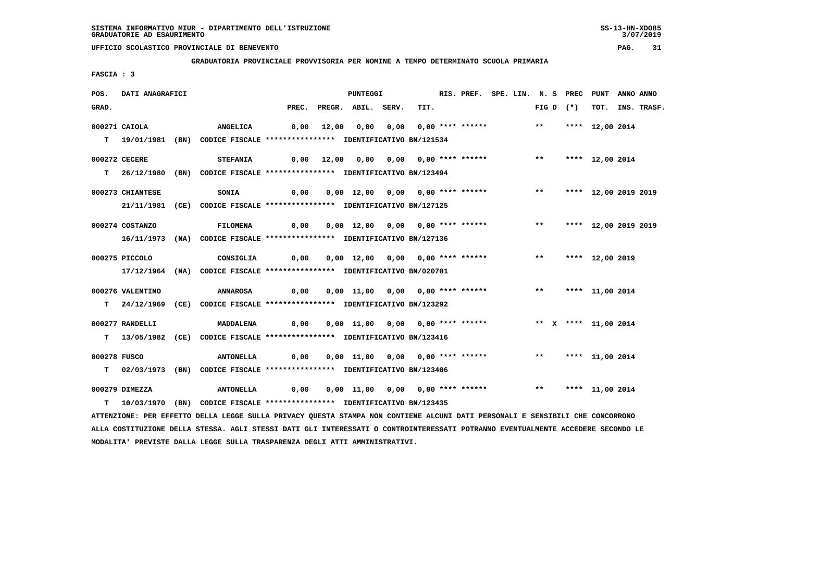**GRADUATORIA PROVINCIALE PROVVISORIA PER NOMINE A TEMPO DETERMINATO SCUOLA PRIMARIA**

 **FASCIA : 3**

| POS.         | DATI ANAGRAFICI  |                                                                                                                               |                                                                    | <b>PUNTEGGI</b>                                                                            |      | RIS. PREF. SPE. LIN. N. S PREC PUNT ANNO ANNO |  |  |             |                      |                  |
|--------------|------------------|-------------------------------------------------------------------------------------------------------------------------------|--------------------------------------------------------------------|--------------------------------------------------------------------------------------------|------|-----------------------------------------------|--|--|-------------|----------------------|------------------|
| GRAD.        |                  |                                                                                                                               |                                                                    | PREC. PREGR. ABIL. SERV.                                                                   | TIT. |                                               |  |  | FIG D $(*)$ |                      | TOT. INS. TRASF. |
|              | 000271 CAIOLA    | <b>ANGELICA</b>                                                                                                               |                                                                    | 0,00 12,00 0,00 0,00 0,00 **** ******               **     **** 12,00 2014                 |      |                                               |  |  |             |                      |                  |
|              |                  | T 19/01/1981 (BN) CODICE FISCALE **************** IDENTIFICATIVO BN/121534                                                    |                                                                    |                                                                                            |      |                                               |  |  |             |                      |                  |
|              |                  |                                                                                                                               |                                                                    |                                                                                            |      |                                               |  |  |             |                      |                  |
|              | 000272 CECERE    | <b>STEFANIA</b>                                                                                                               |                                                                    | 0,00 12,00 0,00 0,00 0,00 **** ****** *** **** 12,00 2014                                  |      |                                               |  |  |             |                      |                  |
|              |                  | T 26/12/1980 (BN) CODICE FISCALE *************** IDENTIFICATIVO BN/123494                                                     |                                                                    |                                                                                            |      |                                               |  |  |             |                      |                  |
|              |                  |                                                                                                                               |                                                                    |                                                                                            |      |                                               |  |  |             |                      |                  |
|              | 000273 CHIANTESE | <b>SONIA</b>                                                                                                                  | 0,00                                                               | 0,00 12,00 0,00 0,00 **** ****** *** **                                                    |      |                                               |  |  |             | **** 12,00 2019 2019 |                  |
|              |                  | 21/11/1981 (CE) CODICE FISCALE *************** IDENTIFICATIVO BN/127125                                                       |                                                                    |                                                                                            |      |                                               |  |  |             |                      |                  |
|              | 000274 COSTANZO  | FILOMENA                                                                                                                      |                                                                    | 0,00  0,00  12,00  0,00  0,00  ****  ******    **        ***    ***    12,00  2019    2019 |      |                                               |  |  |             |                      |                  |
|              |                  | 16/11/1973 (NA) CODICE FISCALE *************** IDENTIFICATIVO BN/127136                                                       |                                                                    |                                                                                            |      |                                               |  |  |             |                      |                  |
|              |                  |                                                                                                                               |                                                                    |                                                                                            |      |                                               |  |  |             |                      |                  |
|              | 000275 PICCOLO   |                                                                                                                               | CONSIGLIA 0,00 0,00 12,00 0,00 0,00 **** ****** *** *** 12,00 2019 |                                                                                            |      |                                               |  |  |             |                      |                  |
|              |                  | 17/12/1964 (NA) CODICE FISCALE *************** IDENTIFICATIVO BN/020701                                                       |                                                                    |                                                                                            |      |                                               |  |  |             |                      |                  |
|              |                  |                                                                                                                               |                                                                    |                                                                                            |      |                                               |  |  |             |                      |                  |
|              | 000276 VALENTINO | ANNAROSA                                                                                                                      | 0,00                                                               | 0,00 11,00 0,00 0,00 **** ****** *** *** **** 11,00 2014                                   |      |                                               |  |  |             |                      |                  |
|              |                  | T 24/12/1969 (CE) CODICE FISCALE *************** IDENTIFICATIVO BN/123292                                                     |                                                                    |                                                                                            |      |                                               |  |  |             |                      |                  |
|              | 000277 RANDELLI  | MADDALENA                                                                                                                     | 0,00                                                               | 0,00 11,00 0,00 0,00 **** ******             ** x **** 11,00 2014                          |      |                                               |  |  |             |                      |                  |
|              |                  | T 13/05/1982 (CE) CODICE FISCALE **************** IDENTIFICATIVO BN/123416                                                    |                                                                    |                                                                                            |      |                                               |  |  |             |                      |                  |
|              |                  |                                                                                                                               |                                                                    |                                                                                            |      |                                               |  |  |             |                      |                  |
| 000278 FUSCO |                  | <b>ANTONELLA</b>                                                                                                              |                                                                    | 0,00 0,00 11,00 0,00 0,00 **** ****** *** *** **** 11,00 2014                              |      |                                               |  |  |             |                      |                  |
|              |                  | T 02/03/1973 (BN) CODICE FISCALE *************** IDENTIFICATIVO BN/123406                                                     |                                                                    |                                                                                            |      |                                               |  |  |             |                      |                  |
|              |                  |                                                                                                                               |                                                                    | 0,00 0,00 11,00 0,00 0,00 **** ****** *** *** **** 11,00 2014                              |      |                                               |  |  |             |                      |                  |
|              | 000279 DIMEZZA   | <b>ANTONELLA</b>                                                                                                              |                                                                    |                                                                                            |      |                                               |  |  |             |                      |                  |
|              |                  | T 10/03/1970 (BN) CODICE FISCALE **************** IDENTIFICATIVO BN/123435                                                    |                                                                    |                                                                                            |      |                                               |  |  |             |                      |                  |
|              |                  | ATTENZIONE: PER EFFETTO DELLA LEGGE SULLA PRIVACY QUESTA STAMPA NON CONTIENE ALCUNI DATI PERSONALI E SENSIBILI CHE CONCORRONO |                                                                    |                                                                                            |      |                                               |  |  |             |                      |                  |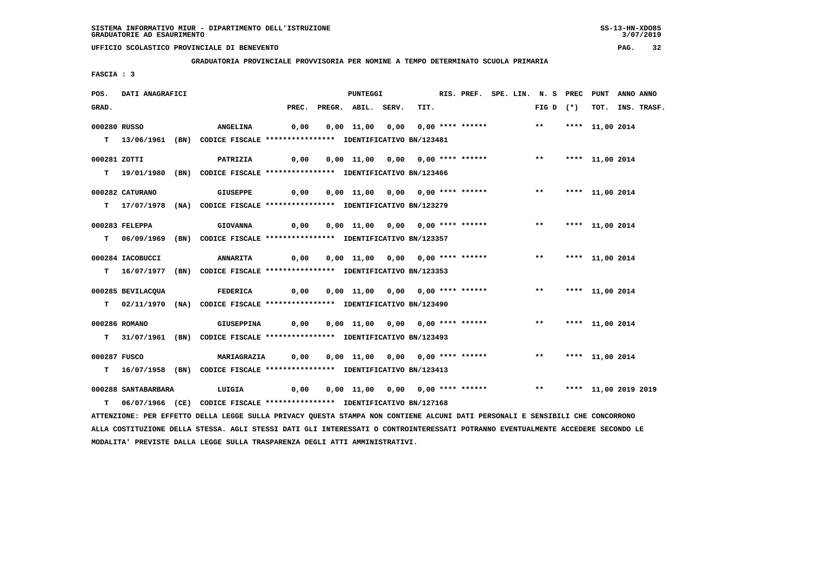**GRADUATORIA PROVINCIALE PROVVISORIA PER NOMINE A TEMPO DETERMINATO SCUOLA PRIMARIA**

 **FASCIA : 3**

| POS.         | DATI ANAGRAFICI     |                                                                                                                               |                                                                                       | PUNTEGGI                                                 |  |      |  | RIS. PREF. SPE. LIN. N. S PREC PUNT |  | ANNO ANNO |                  |
|--------------|---------------------|-------------------------------------------------------------------------------------------------------------------------------|---------------------------------------------------------------------------------------|----------------------------------------------------------|--|------|--|-------------------------------------|--|-----------|------------------|
| GRAD.        |                     |                                                                                                                               |                                                                                       | PREC. PREGR. ABIL. SERV.                                 |  | TIT. |  | $FIG D (*)$                         |  |           | TOT. INS. TRASF. |
| 000280 RUSSO |                     |                                                                                                                               |                                                                                       |                                                          |  |      |  |                                     |  |           |                  |
|              |                     |                                                                                                                               |                                                                                       |                                                          |  |      |  |                                     |  |           |                  |
|              |                     | T 13/06/1961 (BN) CODICE FISCALE **************** IDENTIFICATIVO BN/123481                                                    |                                                                                       |                                                          |  |      |  |                                     |  |           |                  |
| 000281 ZOTTI |                     | <b>PATRIZIA</b>                                                                                                               |                                                                                       |                                                          |  |      |  |                                     |  |           |                  |
|              |                     |                                                                                                                               |                                                                                       |                                                          |  |      |  |                                     |  |           |                  |
|              |                     | T 19/01/1980 (BN) CODICE FISCALE *************** IDENTIFICATIVO BN/123466                                                     |                                                                                       |                                                          |  |      |  |                                     |  |           |                  |
|              | 000282 CATURANO     | <b>GIUSEPPE</b>                                                                                                               | 0,00                                                                                  | 0,00 11,00 0,00 0,00 **** ****** *** *** **** 11,00 2014 |  |      |  |                                     |  |           |                  |
|              |                     | T 17/07/1978 (NA) CODICE FISCALE *************** IDENTIFICATIVO BN/123279                                                     |                                                                                       |                                                          |  |      |  |                                     |  |           |                  |
|              |                     |                                                                                                                               |                                                                                       |                                                          |  |      |  |                                     |  |           |                  |
|              | 000283 FELEPPA      | <b>GIOVANNA</b>                                                                                                               |                                                                                       |                                                          |  |      |  |                                     |  |           |                  |
|              |                     | T 06/09/1969 (BN) CODICE FISCALE *************** IDENTIFICATIVO BN/123357                                                     |                                                                                       |                                                          |  |      |  |                                     |  |           |                  |
|              |                     |                                                                                                                               |                                                                                       |                                                          |  |      |  |                                     |  |           |                  |
|              | 000284 IACOBUCCI    |                                                                                                                               |                                                                                       |                                                          |  |      |  |                                     |  |           |                  |
|              |                     | T 16/07/1977 (BN) CODICE FISCALE **************** IDENTIFICATIVO BN/123353                                                    |                                                                                       |                                                          |  |      |  |                                     |  |           |                  |
|              |                     |                                                                                                                               |                                                                                       |                                                          |  |      |  |                                     |  |           |                  |
|              | 000285 BEVILACQUA   |                                                                                                                               |                                                                                       |                                                          |  |      |  |                                     |  |           |                  |
|              |                     | T 02/11/1970 (NA) CODICE FISCALE *************** IDENTIFICATIVO BN/123490                                                     |                                                                                       |                                                          |  |      |  |                                     |  |           |                  |
|              | 000286 ROMANO       | <b>GIUSEPPINA</b>                                                                                                             | 0,00  0,00  11,00  0,00  0,00  ****  ******           **          ****    11,00  2014 |                                                          |  |      |  |                                     |  |           |                  |
|              |                     |                                                                                                                               |                                                                                       |                                                          |  |      |  |                                     |  |           |                  |
|              |                     | T 31/07/1961 (BN) CODICE FISCALE *************** IDENTIFICATIVO BN/123493                                                     |                                                                                       |                                                          |  |      |  |                                     |  |           |                  |
| 000287 FUSCO |                     | MARIAGRAZIA 0,00 0,00 11,00 0,00 0,00 **** ****** *** **** 11,00 2014                                                         |                                                                                       |                                                          |  |      |  |                                     |  |           |                  |
|              |                     | T 16/07/1958 (BN) CODICE FISCALE *************** IDENTIFICATIVO BN/123413                                                     |                                                                                       |                                                          |  |      |  |                                     |  |           |                  |
|              |                     |                                                                                                                               |                                                                                       |                                                          |  |      |  |                                     |  |           |                  |
|              | 000288 SANTABARBARA |                                                                                                                               |                                                                                       |                                                          |  |      |  |                                     |  |           |                  |
|              |                     | T 06/07/1966 (CE) CODICE FISCALE *************** IDENTIFICATIVO BN/127168                                                     |                                                                                       |                                                          |  |      |  |                                     |  |           |                  |
|              |                     | ATTENZIONE: PER EFFETTO DELLA LEGGE SULLA PRIVACY QUESTA STAMPA NON CONTIENE ALCUNI DATI PERSONALI E SENSIBILI CHE CONCORRONO |                                                                                       |                                                          |  |      |  |                                     |  |           |                  |